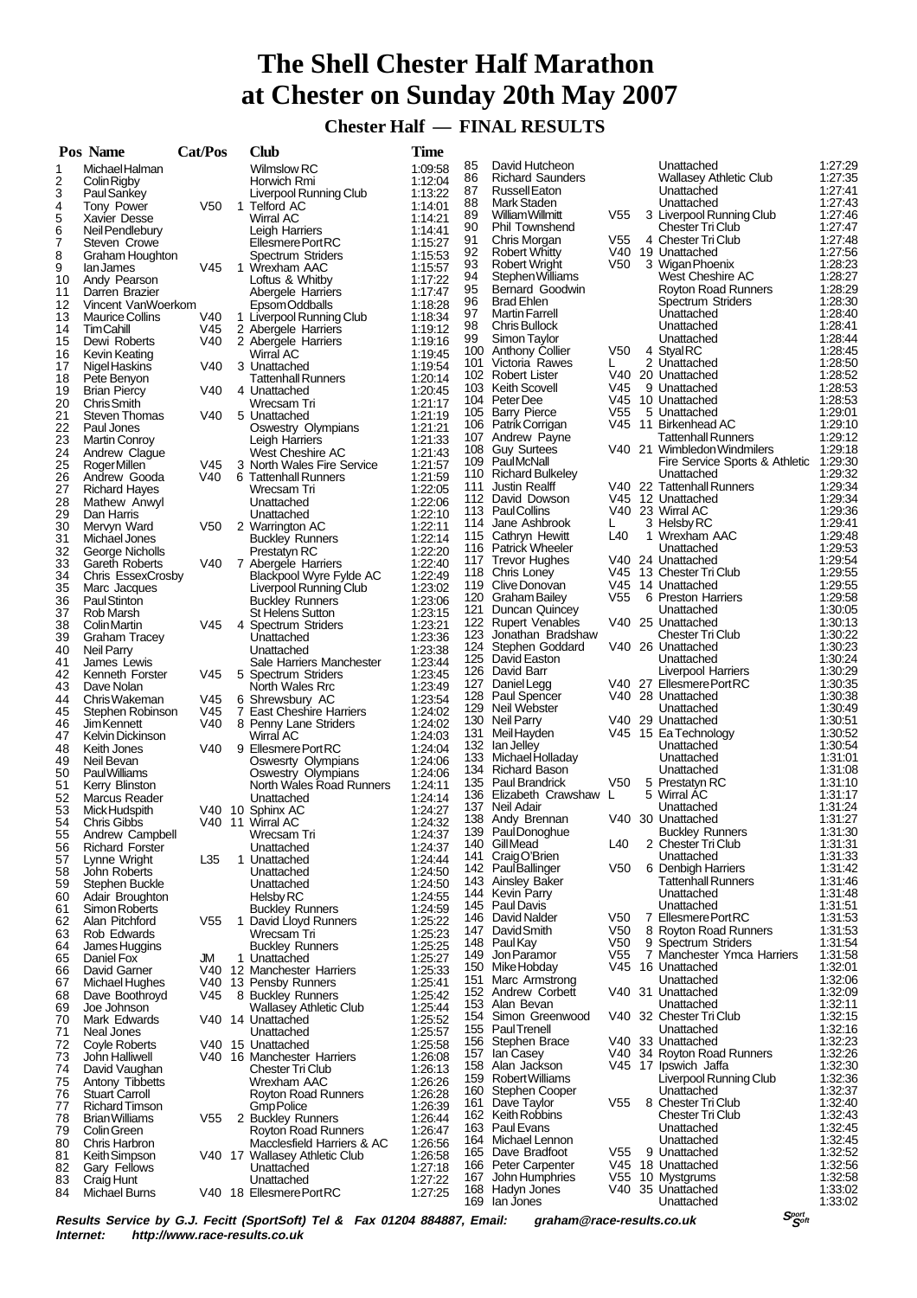## **The Shell Chester Half Marathon at Chester on Sunday 20th May 2007**

 **Chester Half — FINAL RESULTS**

|          | Pos Name                           | Cat/Pos         |    | <b>Club</b>                                     | <b>Time</b>        |            |                                          |                 |                                         |                    |
|----------|------------------------------------|-----------------|----|-------------------------------------------------|--------------------|------------|------------------------------------------|-----------------|-----------------------------------------|--------------------|
| 1        | Michael Halman                     |                 |    | <b>Wilmslow RC</b>                              | 1:09:58            | 85         | David Hutcheon                           |                 | Unattached                              | 1:27:29            |
| 2        | Colin Rigby                        |                 |    | Horwich Rmi                                     | 1:12:04            | 86         | <b>Richard Saunders</b>                  |                 | Wallasey Athletic Club                  | 1:27:35            |
| 3        | Paul Sankey                        |                 |    | Liverpool Running Club                          | 1:13:22            | 87         | Russell Eaton                            |                 | Unattached                              | 1:27:41            |
| 4        | Tony Power                         | V <sub>50</sub> |    | 1 Telford AC                                    | 1:14:01            | 88         | Mark Staden                              |                 | Unattached                              | 1:27:43            |
| 5        | Xavier Desse                       |                 |    | Wirral AC                                       | 1:14:21            | 89         | <b>William Willmitt</b>                  | V55             | 3 Liverpool Running Club                | 1:27:46            |
| 6        | Neil Pendleburv                    |                 |    | Leigh Harriers                                  | 1:14:41            | 90         | <b>Phil Townshend</b>                    |                 | Chester Tri Club                        | 1:27:47            |
| 7        | Steven Crowe                       |                 |    | Ellesmere Port RC                               | 1:15:27            | 91         | Chris Morgan                             | V <sub>55</sub> | 4 Chester Tri Club                      | 1:27:48            |
| 8        | Graham Houghton                    |                 |    | <b>Spectrum Striders</b>                        | 1:15:53            | 92         | <b>Robert Whitty</b>                     |                 | V40 19 Unattached                       | 1:27:56            |
| 9        | lan James                          | V45             |    | 1 Wrexham AAC                                   | 1:15:57            | 93         | Robert Wright                            | V50             | 3 Wigan Phoenix                         | 1:28:23            |
| 10       | Andy Pearson                       |                 |    | Loftus & Whitby                                 | 1:17:22            | 94         | Stephen Williams                         |                 | West Cheshire AC                        | 1:28:27            |
| 11       | Darren Brazier                     |                 |    | Abergele Harriers                               | 1:17:47            | 95         | Bernard Goodwin<br><b>Brad Ehlen</b>     |                 | Royton Road Runners                     | 1:28:29<br>1:28:30 |
| 12       | Vincent VanWoerkom                 |                 |    | Epsom Oddballs                                  | 1:18:28            | 96<br>97   | <b>Martin Farrell</b>                    |                 | Spectrum Striders<br>Unattached         | 1:28:40            |
| 13       | <b>Maurice Collins</b>             | V40             |    | 1 Liverpool Running Club                        | 1:18:34            | 98         | Chris Bullock                            |                 | Unattached                              | 1:28:41            |
| 14       | TimCahill                          | V45             |    | 2 Abergele Harriers                             | 1:19:12            | 99         | Simon Taylor                             |                 | Unattached                              | 1:28:44            |
| 15       | Dewi Roberts                       | V40             |    | 2 Abergele Harriers                             | 1:19:16            | 100        | <b>Anthony Collier</b>                   | V50             | 4 StyalRC                               | 1:28:45            |
| 16       | Kevin Keating                      |                 |    | Wirral AC                                       | 1:19:45            | 101        | Victoria Rawes                           | L               | 2 Unattached                            | 1:28:50            |
| 17       | Nigel Haskins                      | V40             |    | 3 Unattached                                    | 1:19:54            |            | 102 Robert Lister                        |                 | V40 20 Unattached                       | 1:28:52            |
| 18<br>19 | Pete Benyon                        | V40             |    | <b>Tattenhall Runners</b><br>4 Unattached       | 1:20:14<br>1:20:45 |            | 103 Keith Scovell                        | V45             | 9 Unattached                            | 1:28:53            |
| 20       | <b>Brian Piercy</b><br>Chris Smith |                 |    | Wrecsam Tri                                     | 1:21:17            |            | 104 Peter Dee                            | V45             | 10 Unattached                           | 1:28:53            |
| 21       | <b>Steven Thomas</b>               | V40             |    | 5 Unattached                                    | 1:21:19            |            | 105 Barry Pierce                         | V <sub>55</sub> | 5 Unattached                            | 1:29:01            |
| 22       | Paul Jones                         |                 |    | Oswestry Olympians                              | 1:21:21            |            | 106 Patrik Corrigan                      |                 | V45 11 Birkenhead AC                    | 1:29:10            |
| 23       | <b>Martin Conroy</b>               |                 |    | Leigh Harriers                                  | 1:21:33            |            | 107 Andrew Payne                         |                 | <b>Tattenhall Runners</b>               | 1:29:12            |
| 24       | Andrew Clague                      |                 |    | West Cheshire AC                                | 1:21:43            |            | 108 Guy Surtees                          |                 | V40 21 Wimbledon Windmilers             | 1:29:18            |
| 25       | <b>RogerMillen</b>                 | V45             |    | 3 North Wales Fire Service                      | 1:21:57            |            | 109 PaulMcNall                           |                 | Fire Service Sports & Athletic          | 1:29:30            |
| 26       | Andrew Gooda                       | V40             |    | 6 Tattenhall Runners                            | 1:21:59            |            | 110 Richard Bulkeley                     |                 | Unattached                              | 1:29:32            |
| 27       | <b>Richard Haves</b>               |                 |    | Wrecsam Tri                                     | 1:22:05            | 111        | <b>Justin Realff</b>                     |                 | V40 22 Tattenhall Runners               | 1.29:34            |
| 28       | Mathew Anwyl                       |                 |    | Unattached                                      | 1:22:06            |            | 112 David Dowson                         |                 | V45 12 Unattached                       | 1:29:34            |
| 29       | Dan Harris                         |                 |    | Unattached                                      | 1:22:10            | 113        | PaulCollins                              |                 | V40 23 Wirral AC                        | 1.29.36            |
| 30       | Mervyn Ward                        | V50             |    | 2 Warrington AC                                 | 1:22:11            | 114        | Jane Ashbrook                            | L               | 3 Helsby RC                             | 1:29:41            |
| 31       | Michael Jones                      |                 |    | <b>Buckley Runners</b>                          | 1:22:14            |            | 115 Cathryn Hewitt                       | L40             | 1 Wrexham AAC                           | 1.29.48            |
| 32       | George Nicholls                    |                 |    | Prestatyn RC                                    | 1:22:20            | 116        | <b>Patrick Wheeler</b>                   |                 | Unattached                              | 1:29:53            |
| 33       | <b>Gareth Roberts</b>              | V40             |    | 7 Abergele Harriers                             | 1:22:40            |            | 117 Trevor Hughes                        | V40             | 24 Unattached                           | 1:29:54            |
| 34       | Chris EssexCrosby                  |                 |    | <b>Blackpool Wyre Fylde AC</b>                  | 1:22:49            |            | 118 Chris Loney                          |                 | V45 13 Chester Tri Club                 | 1:29:55            |
| 35       | Marc Jacques                       |                 |    | Liverpool Running Club                          | 1:23:02            | 119        | Clive Donovan                            | V45             | 14 Unattached                           | 1:29:55            |
| 36       | <b>Paul Stinton</b>                |                 |    | <b>Buckley Runners</b>                          | 1:23:06            |            | 120 Graham Bailey                        | V <sub>55</sub> | 6 Preston Harriers                      | 1:29:58            |
| 37       | Rob Marsh                          |                 |    | <b>St Helens Sutton</b>                         | 1:23:15            | 121        | Duncan Quincey                           |                 | Unattached<br>V40 25 Unattached         | 1:30:05<br>1:30:13 |
| 38       | Colin Martin                       | V45             |    | 4 Spectrum Striders                             | 1:23:21            | 123        | 122 Rupert Venables<br>Jonathan Bradshaw |                 | <b>Chester Tri Club</b>                 | 1:30:22            |
| 39       | <b>Graham Tracey</b>               |                 |    | Unattached                                      | 1:23:36            | 124        | Stephen Goddard                          |                 | V40 26 Unattached                       | 1:30:23            |
| 40       | Neil Parry                         |                 |    | Unattached                                      | 1:23:38            |            | 125 David Easton                         |                 | Unattached                              | 1:30:24            |
| 41       | James Lewis                        |                 |    | Sale Harriers Manchester                        | 1:23:44            |            | 126 David Barr                           |                 | Liverpool Harriers                      | 1:30:29            |
| 42<br>43 | Kenneth Forster<br>Dave Nolan      | V45             |    | 5 Spectrum Striders                             | 1:23:45<br>1:23:49 | 127        | Daniel Legg                              |                 | V40 27 Ellesmere Port RC                | 1:30:35            |
| 44       |                                    | V45             |    | North Wales Rrc                                 | 1:23:54            | 128        | <b>Paul Spencer</b>                      |                 | V40 28 Unattached                       | 1:30:38            |
| 45       | Chris Wakeman<br>Stephen Robinson  | V45             |    | 6 Shrewsbury AC<br>7 East Cheshire Harriers     | 1:24:02            |            | 129 Neil Webster                         |                 | Unattached                              | 1:30:49            |
| 46       | Jim Kennett                        | V40             |    | 8 Penny Lane Striders                           | 1:24:02            | 130        | Neil Parry                               |                 | V40 29 Unattached                       | 1:30:51            |
| 47       | Kelvin Dickinson                   |                 |    | Wirral AC                                       | 1:24:03            | 131        | MeilHayden                               |                 | V45 15 Ea Technology                    | 1:30:52            |
| 48       | Keith Jones                        | V40             |    | 9 Ellesmere Port RC                             | 1:24:04            |            | 132 Ian Jelley                           |                 | Unattached                              | 1:30:54            |
| 49       | Neil Bevan                         |                 |    | Oswesrty Olympians                              | 1:24:06            | 133        | Michael Holladay                         |                 | Unattached                              | 1:31:01            |
| 50       | <b>Paul Williams</b>               |                 |    | Oswestry Olympians                              | 1:24:06            |            | 134 Richard Bason                        |                 | Unattached                              | 1:31:08            |
| 51       | Kerry Blinston                     |                 |    | North Wales Road Runners                        | 1:24:11            |            | 135 Paul Brandrick                       | V50             | 5 Prestatyn RC                          | 1:31:10            |
| 52       | Marcus Reader                      |                 |    | Unattached                                      | 1:24:14            | 136        | Elizabeth Crawshaw L                     |                 | 5 Wirral AC                             | 1:31:17            |
| 53       | Mick Hudspith                      |                 |    | V40 10 Sphinx AC                                | 1:24:27            | 137        | Neil Adair                               |                 | Unattached                              | 1:31:24            |
| 54       | <b>Chris Gibbs</b>                 |                 |    | V <sub>40</sub> 11 Wirral AC                    | 1:24:32            | 138        | Andy Brennan                             |                 | V40 30 Unattached                       | 1:31:27            |
| 55       | Andrew Campbell                    |                 |    | Wrecsam Tri                                     | 1:24:37            |            | 139 PaulDonoghue                         |                 | <b>Buckley Runners</b>                  | 1:31:30            |
| 56       | <b>Richard Forster</b>             |                 |    | Unattached                                      | 1:24:37            |            | 140 Gill Mead                            | L40             | 2 Chester Tri Club                      | 1:31:31            |
| 57       | Lynne Wright                       | L35             |    | 1 Unattached                                    | 1.24.44            | 141        | CraigO'Brien                             |                 | Unattached                              | 1:31:33            |
| 58       | John Roberts                       |                 |    | Unattached                                      | 1:24:50            |            | 142 Paul Ballinger                       | V <sub>50</sub> | 6 Denbigh Harriers                      | 1:31:42            |
| 59       | Stephen Buckle                     |                 |    | Unattached                                      | 1:24:50            |            | 143 Ainsley Baker                        |                 | <b>Tattenhall Runners</b><br>Unattached | 1:31:46<br>1:31:48 |
| 60       | Adair Broughton                    |                 |    | <b>Helsby RC</b>                                | 1:24:55            | 144<br>145 | <b>Kevin Parry</b><br>Paul Davis         |                 | Unattached                              | 1:31:51            |
| 61       | Simon Roberts                      |                 |    | <b>Buckley Runners</b>                          | 1:24:59            |            | 146 David Nalder                         | V50             | 7 Ellesmere Port RC                     | 1:31:53            |
| 62       | Alan Pitchford                     | V55             | -1 | David Lloyd Runners                             | 1:25:22            |            | 147 David Smith                          | V <sub>50</sub> | 8 Royton Road Runners                   | 1:31:53            |
| 63       | Rob Edwards                        |                 |    | Wrecsam Tri                                     | 1:25:23            |            | 148 Paul Kay                             | V50             | 9 Spectrum Striders                     | 1:31:54            |
| 64       | James Huggins                      |                 |    | <b>Buckley Runners</b>                          | 1:25:25            | 149        | Jon Paramor                              | V <sub>55</sub> | 7 Manchester Ymca Harriers              | 1.31.58            |
| 65       | Daniel Fox                         | JM              |    | 1 Unattached                                    | 1:25:27            |            | 150 Mike Hobday                          |                 | V45 16 Unattached                       | 1:32:01            |
| 66<br>67 | David Garner                       | V40             |    | V40 12 Manchester Harriers<br>13 Pensby Runners | 1:25:33<br>1:25:41 | 151        | Marc Armstrong                           |                 | Unattached                              | 1:32:06            |
| 68       | Michael Hughes<br>Dave Boothroyd   | V45             |    | 8 Buckley Runners                               | 1:25:42            |            | 152 Andrew Corbett                       |                 | V40 31 Unattached                       | 1:32:09            |
| 69       | Joe Johnson                        |                 |    | <b>Wallasey Athletic Club</b>                   | 1:25:44            | 153        | Alan Bevan                               |                 | Unattached                              | 1:32:11            |
| 70       | Mark Edwards                       |                 |    | V40 14 Unattached                               | 1:25:52            | 154        | Simon Greenwood                          |                 | V40 32 Chester Tri Club                 | 1:32:15            |
| 71       | Neal Jones                         |                 |    | Unattached                                      | 1:25:57            | 155        | <b>PaulTrenell</b>                       |                 | Unattached                              | 1:32:16            |
| 72       | Coyle Roberts                      |                 |    | V40 15 Unattached                               | 1:25:58            |            | 156 Stephen Brace                        |                 | V40 33 Unattached                       | 1:32:23            |
| 73       | John Halliwell                     |                 |    | V40 16 Manchester Harriers                      | 1:26:08            | 157        | lan Casey                                |                 | V40 34 Royton Road Runners              | 1:32:26            |
| 74       | David Vaughan                      |                 |    | <b>Chester Tri Club</b>                         | 1:26:13            | 158        | Alan Jackson                             |                 | V45 17 Ipswich Jaffa                    | 1:32:30            |
| 75       | Antony Tibbetts                    |                 |    | Wrexham AAC                                     | 1:26:26            | 159        | <b>Robert Williams</b>                   |                 | Liverpool Running Club                  | 1:32:36            |
| 76       | <b>Stuart Carroll</b>              |                 |    | <b>Royton Road Runners</b>                      | 1:26:28            | 160        | Stephen Cooper                           |                 | Unattached                              | 1:32:37            |
| 77       | <b>Richard Timson</b>              |                 |    | <b>Gmp Police</b>                               | 1:26:39            | 161        | Dave Taylor                              | V55             | 8 Chester Tri Club                      | 1:32:40            |
| 78       | <b>Brian Williams</b>              | V55             |    | 2 Buckley Runners                               | 1:26:44            |            | 162 Keith Robbins                        |                 | Chester Tri Club                        | 1:32:43            |
| 79       | Colin Green                        |                 |    | Royton Road Runners                             | 1:26:47            | 163        | Paul Evans                               |                 | Unattached                              | 1:32:45            |
| 80       | Chris Harbron                      |                 |    | Macclesfield Harriers & AC                      | 1:26:56            |            | 164 Michael Lennon                       |                 | Unattached                              | 1:32:45            |
| 81       | Keith Simpson                      |                 |    | V40 17 Wallasey Athletic Club                   | 1:26:58            |            | 165 Dave Bradfoot                        | V55             | 9 Unattached                            | 1:32:52            |
| 82       | Gary Fellows                       |                 |    | Unattached                                      | 1:27:18            |            | 166 Peter Carpenter                      |                 | V45 18 Unattached                       | 1:32:56            |
| 83       | Craig Hunt                         |                 |    | Unattached                                      | 1:27:22            | 167        | John Humphries<br>168 Hadyn Jones        | V40             | V55 10 Mystgrums<br>35 Unattached       | 1:32:58<br>1:33:02 |
| 84       | Michael Burns                      |                 |    | V40 18 Ellesmere Port RC                        | 1:27:25            |            | 169 Ian Jones                            |                 | Unattached                              | 1:33:02            |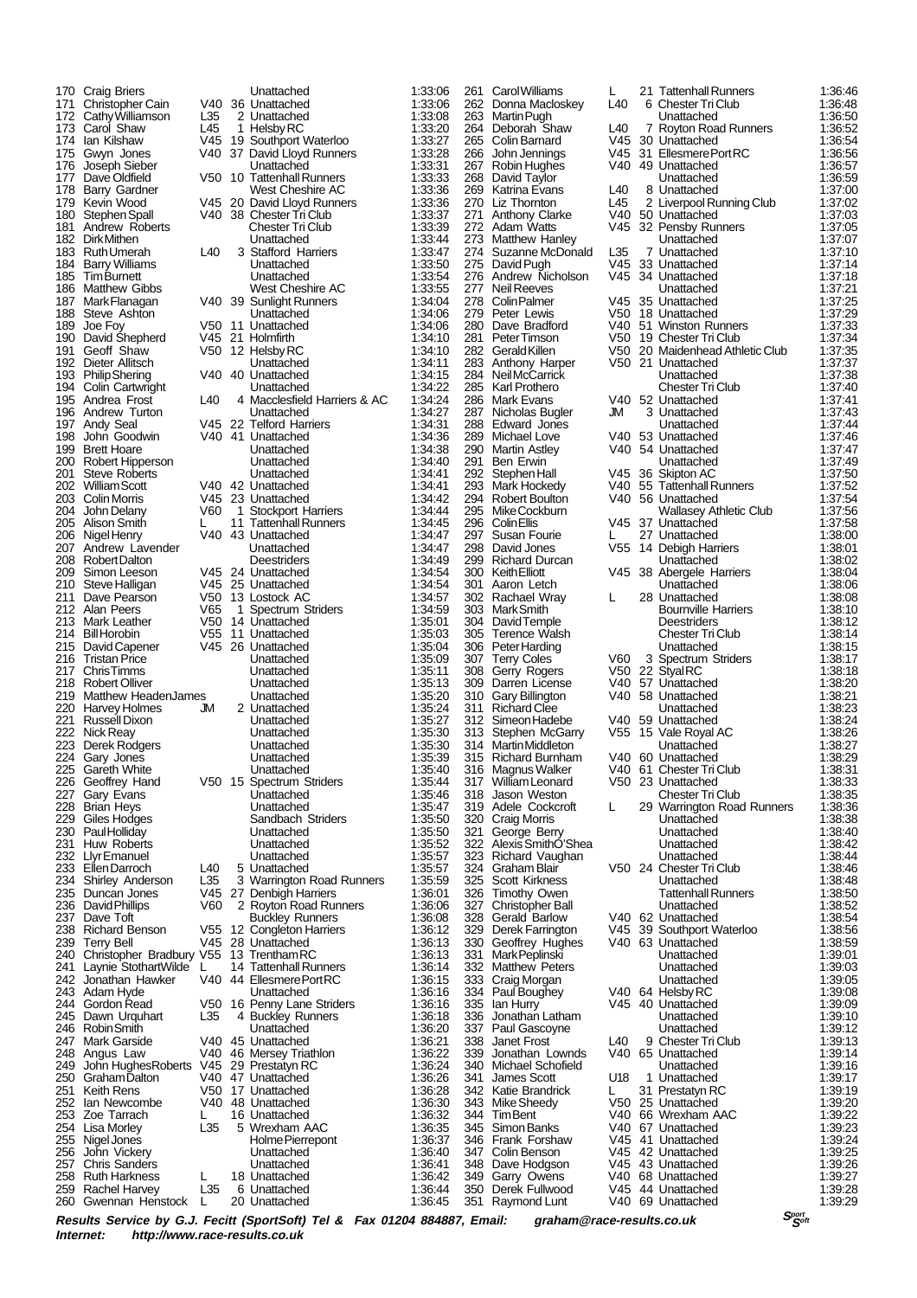| 170        | <b>Craig Briers</b>                      |      |    | Unattached                    | 1:33:06            | 261        | <b>Carol Williams</b>          | L               | 21 Tattenhall Runners          | 1:36:46            |
|------------|------------------------------------------|------|----|-------------------------------|--------------------|------------|--------------------------------|-----------------|--------------------------------|--------------------|
| 171        | Christopher Cain                         | V40. |    | 36 Unattached                 | 1:33:06            | 262        | Donna Macloskey                | L40             | 6 Chester Tri Club             | 1.36.48            |
|            |                                          |      |    |                               |                    |            |                                |                 |                                |                    |
| 172        | Cathy Williamson                         | L35  |    | 2 Unattached                  | 1:33:08            | 263        | Martin Pugh                    |                 | Unattached                     | 1:36:50            |
| 173        | Carol Shaw                               | L45  |    | 1 Helsby RC                   | 1:33:20            | 264        | Deborah Shaw                   | L40             | 7 Royton Road Runners          | 1:36:52            |
| 174        | lan Kilshaw                              | V45  |    | 19 Southport Waterloo         | 1:33:27            | 265        | Colin Barnard                  | V <sub>45</sub> | 30 Unattached                  | 1:36:54            |
| 175        | Gwyn Jones                               |      |    | V40 37 David Lloyd Runners    | 1:33:28            | 266        | John Jennings                  | V45             | 31 Ellesmere Port RC           | 1:36:56            |
|            |                                          |      |    | Unattached                    |                    |            |                                | V40.            |                                |                    |
| 176        | Joseph Sieber                            |      |    |                               | 1:33:31            | 267        | Robin Hughes                   |                 | 49 Unattached                  | 1:36:57            |
| 177        | Dave Oldfield                            |      |    | V50 10 Tattenhall Runners     | 1:33:33            | 268        | David Taylor                   |                 | Unattached                     | 1:36:59            |
| 178        | Barry Gardner                            |      |    | West Cheshire AC              | 1:33:36            | 269        | Katrina Evans                  | L40             | 8 Unattached                   | 1:37:00            |
| 179        | Kevin Wood                               |      |    | V45 20 David Lloyd Runners    | 1:33:36            | 270        | Liz Thornton                   | L45             | 2 Liverpool Running Club       | 1:37:02            |
|            |                                          |      |    | V40 38 Chester Tri Club       | 1:33:37            | 271        |                                |                 |                                |                    |
| 180        | Stephen Spall                            |      |    |                               |                    |            | <b>Anthony Clarke</b>          | V40.            | 50 Unattached                  | 1:37:03            |
| 181        | Andrew Roberts                           |      |    | <b>Chester Tri Club</b>       | 1:33:39            | 272        | Adam Watts                     | V45             | 32 Pensby Runners              | 1:37:05            |
| 182        | <b>DirkMithen</b>                        |      |    | Unattached                    | 1.33.44            | 273        | <b>Matthew Hanley</b>          |                 | Unattached                     | 1:37:07            |
| 183        | <b>Ruth Umerah</b>                       | L40  |    | 3 Stafford Harriers           | 1:33:47            | 274        | Suzanne McDonald               | L35             | 7 Unattached                   | 1:37:10            |
|            |                                          |      |    |                               |                    |            |                                |                 |                                |                    |
| 184        | <b>Barry Williams</b>                    |      |    | Unattached                    | 1:33:50            | 275        | David Pugh                     | V45             | 33 Unattached                  | 1.37.14            |
| 185        | Tim Burnett                              |      |    | Unattached                    | 1:33:54            | 276        | Andrew Nicholson               | V45             | 34 Unattached                  | 1:37:18            |
| 186        | <b>Matthew Gibbs</b>                     |      |    | West Cheshire AC              | 1:33:55            | 277        | Neil Reeves                    |                 | Unattached                     | 1:37:21            |
|            | Mark Flanagan                            |      |    | V40 39 Sunlight Runners       | 1:34:04            | 278        | <b>Colin Palmer</b>            |                 | V45 35 Unattached              | 1:37:25            |
| 187        |                                          |      |    |                               |                    |            |                                |                 |                                |                    |
| 188        | Steve Ashton                             |      |    | Unattached                    | 1:34:06            | 279        | Peter Lewis                    | V50             | 18 Unattached                  | 1:37:29            |
| 189        | Joe Foy                                  |      |    | V50 11 Unattached             | 1:34:06            | 280        | Dave Bradford                  |                 | V40 51 Winston Runners         | 1:37:33            |
| 190        | David Shepherd                           |      |    | V45 21 Holmfirth              | 1:34:10            | 281        | Peter Timson                   |                 | V50 19 Chester Tri Club        | 1:37:34            |
|            | Geoff Shaw                               | V50  |    |                               | 1:34:10            | 282        | Gerald Killen                  | V50             | 20 Maidenhead Athletic Club    |                    |
| 191        |                                          |      |    | 12 Helsby RC                  |                    |            |                                |                 |                                | 1:37:35            |
| 192        | Dieter Allitsch                          |      |    | Unattached                    | 1:34:11            | 283        | Anthony Harper                 | V50             | 21 Unattached                  | 1:37:37            |
| 193        | <b>Philip Shering</b>                    |      |    | V40 40 Unattached             | 1:34:15            | 284        | Neil McCarrick                 |                 | Unattached                     | 1:37:38            |
| 194        | Colin Cartwright                         |      |    | Unattached                    | 1:34:22            | 285        | Karl Prothero                  |                 | <b>Chester Tri Club</b>        | 1:37:40            |
| 195        | Andrea Frost                             | L40  |    | 4 Macclesfield Harriers & AC  | 1:34:24            | 286        | Mark Evans                     |                 | V40 52 Unattached              | 1:37:41            |
|            |                                          |      |    |                               |                    |            |                                |                 |                                |                    |
| 196        | Andrew Turton                            |      |    | Unattached                    | 1:34:27            | 287        | Nicholas Bugler                | JM              | 3 Unattached                   | 1:37:43            |
| 197        | Andy Seal                                |      |    | V45 22 Telford Harriers       | 1:34:31            | 288        | Edward Jones                   |                 | Unattached                     | 1:37:44            |
| 198        | John Goodwin                             |      |    | V40 41 Unattached             | 1:34:36            | 289        | Michael Love                   | V40.            | 53 Unattached                  | 1:37:46            |
|            |                                          |      |    |                               |                    |            |                                |                 |                                |                    |
| 199        | <b>Brett Hoare</b>                       |      |    | Unattached                    | 1:34:38            | 290        | <b>Martin Astley</b>           |                 | V40 54 Unattached              | 1:37:47            |
| 200        | Robert Hipperson                         |      |    | Unattached                    | 1:34:40            | 291        | Ben Erwin                      |                 | Unattached                     | 1:37:49            |
| 201        | <b>Steve Roberts</b>                     |      |    | Unattached                    | 1:34:41            | 292        | Stephen Hall                   |                 | V45 36 Skipton AC              | 1:37:50            |
| 202        | <b>William Scott</b>                     |      |    | V40 42 Unattached             | 1.34.41            | 293        | Mark Hockedy                   |                 | V40 55 Tattenhall Runners      | 1:37:52            |
| 203        |                                          |      |    | V45 23 Unattached             | 1:34:42            | 294        | <b>Robert Boulton</b>          |                 | V40 56 Unattached              | 1:37:54            |
|            | Colin Morris                             |      |    |                               |                    |            |                                |                 |                                |                    |
| 204        | John Delany                              | V60  | -1 | <b>Stockport Harriers</b>     | 1:34:44            | 295        | Mike Cockburn                  |                 | <b>Wallasey Athletic Club</b>  | 1:37:56            |
| 205        | Alison Smith                             | L    |    | 11 Tattenhall Runners         | 1:34:45            | 296        | Colin Ellis                    |                 | V45 37 Unattached              | 1:37:58            |
| 206        | Nigel Henry                              |      |    | V40 43 Unattached             | 1:34:47            | 297        | Susan Fourie                   | L               | 27 Unattached                  | 1:38:00            |
| 207        |                                          |      |    | Unattached                    | 1:34:47            | 298        | David Jones                    |                 | V55 14 Debigh Harriers         | 1:38:01            |
|            | Andrew Lavender                          |      |    |                               |                    |            |                                |                 |                                |                    |
| 208        | <b>Robert Dalton</b>                     |      |    | Deestriders                   | 1:34:49            | 299        | <b>Richard Durcan</b>          |                 | Unattached                     | 1:38:02            |
| 209        | Simon Leeson                             |      |    | V45 24 Unattached             | 1:34:54            | 300        | Keith Elliott                  |                 | V45 38 Abergele Harriers       | 1:38:04            |
| 210        | Steve Halligan                           |      |    | V45 25 Unattached             | 1:34:54            | 301        | Aaron Letch                    |                 | Unattached                     | 1:38:06            |
| 211        | Dave Pearson                             |      |    | V50 13 Lostock AC             | 1:34:57            | 302        | Rachael Wray                   | L               | 28 Unattached                  | 1:38:08            |
|            | 212 Alan Peers                           | V65  | 1  | Spectrum Striders             | 1:34:59            | 303        | <b>MarkSmith</b>               |                 | <b>Bournville Harriers</b>     | 1:38:10            |
|            |                                          |      |    |                               |                    |            |                                |                 |                                |                    |
| 213        | Mark Leather                             | V50  |    | 14 Unattached                 | 1:35:01            | 304        | David Temple                   |                 | Deestriders                    | 1:38:12            |
| 214        | <b>Bill Horobin</b>                      | V55  |    | 11 Unattached                 | 1:35:03            | 305        | Terence Walsh                  |                 | <b>Chester Tri Club</b>        | 1:38:14            |
| 215        | David Capener                            |      |    | V45 26 Unattached             | 1:35:04            | 306        | Peter Harding                  |                 | Unattached                     | 1:38:15            |
| 216        | <b>Tristan Price</b>                     |      |    | Unattached                    | 1:35:09            |            | 307 Terry Coles                | V60             | 3 Spectrum Striders            | 1:38:17            |
|            |                                          |      |    |                               |                    |            |                                |                 |                                |                    |
| 217        | <b>ChrisTimms</b>                        |      |    | Unattached                    | 1:35:11            | 308        | Gerry Rogers                   | V50             | 22 StyalRC                     | 1:38:18            |
| 218        | Robert Olliver                           |      |    | Unattached                    | 1:35:13            | 309        | Darren License                 | V40             | 57 Unattached                  | 1:38:20            |
| 219        | Matthew HeadenJames                      |      |    | Unattached                    | 1:35:20            | 310        | Gary Billington                | V40.            | 58 Unattached                  | 1:38:21            |
| 220        | Harvey Holmes                            | JM.  |    | 2 Unattached                  | 1:35:24            | 311        | <b>Richard Clee</b>            |                 | Unattached                     | 1:38:23            |
| 221        | Russell Dixon                            |      |    | Unattached                    | 1:35:27            | 312        | Simeon Hadebe                  |                 | V40 59 Unattached              | 1:38:24            |
| 222        |                                          |      |    |                               | 1:35:30            |            |                                |                 |                                | 1:38:26            |
|            | Nick Reay                                |      |    | Unattached                    |                    | 313        | Stephen McGarry                |                 | V55 15 Vale Royal AC           |                    |
| 223        | Derek Rodgers                            |      |    | Unattached                    | 1:35:30            | 314        | <b>Martin Middleton</b>        |                 | Unattached                     | 1:38:27            |
| 224        | Gary Jones                               |      |    | Unattached                    | 1:35:39            | 315        | Richard Burnham                |                 | V40 60 Unattached              | 1:38:29            |
|            | 225 Gareth White                         |      |    | Unattached                    | 1:35:40            | 316        | Magnus Walker                  |                 | V40 61 Chester Tri Club        | 1:38:31            |
| 226        |                                          | V50  |    |                               | 1:35 44            | 317        | William Leonard                | V50.            | 23 Unattached                  | 1:38:33            |
|            | Geoffrey Hand                            |      |    | 15 Spectrum Striders          |                    |            |                                |                 |                                |                    |
| 227        | Gary Evans                               |      |    | Unattached                    | 1:35:46            | 318        | Jason Weston                   |                 | Chester Tri Club               | 1:38:35            |
| 228        | <b>Brian Heys</b>                        |      |    | Unattached                    | 1:35:47            | 319        | Adele Cockcroft                | L               | 29 Warrington Road Runners     | 1:38:36            |
| 229        | Giles Hodges                             |      |    | Sandbach Striders             | 1:35:50            | 320        | Craig Morris                   |                 | Unattached                     | 1:38:38            |
| 230        | <b>Paul Holliday</b>                     |      |    | Unattached                    | 1:35:50            | 321        | George Berry                   |                 | Unattached                     | 1:38.40            |
|            |                                          |      |    |                               |                    |            |                                |                 |                                |                    |
| 231        | Huw Roberts                              |      |    | Unattached                    | 1:35:52            | 322        | Alexis SmithO'Shea             |                 | Unattached                     | 1:38:42            |
| 232        | <b>Llyr Emanuel</b>                      |      |    | Unattached                    | 1:35:57            | 323        | Richard Vaughan                |                 | Unattached                     | 1:38:44            |
| 233        | Ellen Darroch                            | L40  |    | 5 Unattached                  | 1:35.57            | 324        | Graham Blair                   |                 | V50 24 Chester Tri Club        | 1:38:46            |
| 234        | Shirley Anderson                         | L35  |    | 3 Warrington Road Runners     | 1:35:59            | 325        | <b>Scott Kirkness</b>          |                 | Unattached                     | 1:38:48            |
| 235        | Duncan Jones                             |      |    | V45 27 Denbigh Harriers       | 1:36:01            | 326        | <b>Timothy Owen</b>            |                 | <b>Tattenhall Runners</b>      | 1.38.50            |
|            |                                          |      |    |                               |                    |            |                                |                 |                                |                    |
| 236        | <b>DavidPhillips</b>                     | V60  |    | 2 Royton Road Runners         | 1:36:06            | 327        | <b>Christopher Ball</b>        |                 | Unattached                     | 1:38:52            |
| 237        | Dave Toft                                |      |    | <b>Buckley Runners</b>        | 1:36:08            | 328        | <b>Gerald Barlow</b>           |                 | V40 62 Unattached              | 1:38:54            |
| 238        | <b>Richard Benson</b>                    | V55  |    | 12 Congleton Harriers         | 1:36:12            | 329        | Derek Farrington               | V45             | 39 Southport Waterloo          | 1:38:56            |
| 239        | <b>Terry Bell</b>                        | V45  |    | 28 Unattached                 | 1:36:13            | 330        | Geoffrey Hughes                | V40.            | 63 Unattached                  | 1:38:59            |
|            |                                          |      |    |                               |                    |            |                                |                 |                                |                    |
| 240        | Christopher Bradbury V55 13 Trentham RC  |      |    |                               | 1:36:13            | 331        | Mark Peplinski                 |                 | Unattached                     | 1:39:01            |
| 241        | Laynie StothartWilde                     | L    |    | 14 Tattenhall Runners         | 1:36:14            | 332        | Matthew Peters                 |                 | Unattached                     | 1:39:03            |
| 242        | Jonathan Hawker                          |      |    | V40 44 Ellesmere Port RC      | 1:36:15            | 333        | Craig Morgan                   |                 | Unattached                     | 1:39:05            |
| 243        | Adam Hyde                                |      |    | Unattached                    | 1:36:16            | 334        | Paul Boughey                   |                 | V40 64 Helsby RC               | 1:39:08            |
| 244        | Gordon Read                              |      |    | V50 16 Penny Lane Striders    | 1:36:16            | 335        | lan Hurry                      |                 | V45 40 Unattached              | 1:39:09            |
|            |                                          |      |    |                               |                    |            |                                |                 |                                |                    |
| 245        | Dawn Urquhart                            | L35  |    | 4 Buckley Runners             | 1:36:18            | 336        | Jonathan Latham                |                 | Unattached                     | 1:39:10            |
| 246        | Robin Smith                              |      |    | Unattached                    | 1:36:20            | 337        | Paul Gascoyne                  |                 | Unattached                     | 1:39:12            |
| 247        | <b>Mark Garside</b>                      |      |    | V40 45 Unattached             | 1:36:21            | 338        | Janet Frost                    | L40             | 9 Chester Tri Club             | 1:39:13            |
| 248        | Angus Law                                | V40  |    | 46 Mersey Triathlon           | 1:36:22            | 339        | Jonathan Lownds                |                 | V40 65 Unattached              | 1:39:14            |
| 249        |                                          | V45  |    |                               | 1:36:24            | 340        | Michael Schofield              |                 | Unattached                     | 1:39:16            |
|            | John HughesRoberts                       |      |    | 29 Prestatyn RC               |                    |            |                                |                 |                                |                    |
| 250        |                                          |      |    | V40 47 Unattached             | 1:36:26            | 341        | James Scott                    | U18             | 1 Unattached                   | 1:39:17            |
| 251        | Graham Dalton                            |      |    | 17 Unattached                 | 1:36:28            | 342        | Katie Brandrick                | L               | 31 Prestatyn RC                | 1:39:19            |
|            | Keith Rens                               | V50  |    |                               | 1:36:30            | 343        | Mike Sheedy                    | V50             | 25 Unattached                  | 1:39:20            |
| 252        | lan Newcombe                             | V40  |    | 48 Unattached                 |                    |            |                                |                 |                                |                    |
|            |                                          |      |    |                               |                    |            |                                |                 |                                |                    |
| 253        | Zoe Tarrach                              | L    |    | 16 Unattached                 | 1:36:32            | 344        | <b>TimBent</b>                 | V40.            | 66 Wrexham AAC                 | 1:39:22            |
| 254        | Lisa Morley                              | L35  |    | 5 Wrexham AAC                 | 1:36:35            | 345        | Simon Banks                    | V40             | 67 Unattached                  | 1:39:23            |
| 255        | Nigel Jones                              |      |    | Holme Pierrepont              | 1:36:37            | 346        | Frank Forshaw                  | V45             | 41 Unattached                  | 1:39:24            |
| 256        | John Vickery                             |      |    | Unattached                    | 1:36:40            | 347        | Colin Benson                   | V45             | 42 Unattached                  | 1:39:25            |
| 257        |                                          |      |    | Unattached                    |                    | 348        |                                | V45             |                                |                    |
|            | <b>Chris Sanders</b>                     |      |    |                               | 1:36:41            |            | Dave Hodgson                   |                 | 43 Unattached                  | 1:39.26            |
| 258        | <b>Ruth Harkness</b>                     | L    |    | 18 Unattached                 | 1:36:42            | 349        | Garry Owens                    | V40             | 68 Unattached                  | 1:39.27            |
| 259<br>260 | <b>Rachel Harvey</b><br>Gwennan Henstock | L35  |    | 6 Unattached<br>20 Unattached | 1:36:44<br>1:36:45 | 350<br>351 | Derek Fullwood<br>Raymond Lunt | V45<br>V40      | 44 Unattached<br>69 Unattached | 1:39:28<br>1:39.29 |

**<sup>S</sup>port <sup>S</sup> Results Service by G.J. Fecitt (SportSoft) Tel & Fax 01204 884887, Email: graham@race-results.co.uk oft Internet: http://www.race-results.co.uk**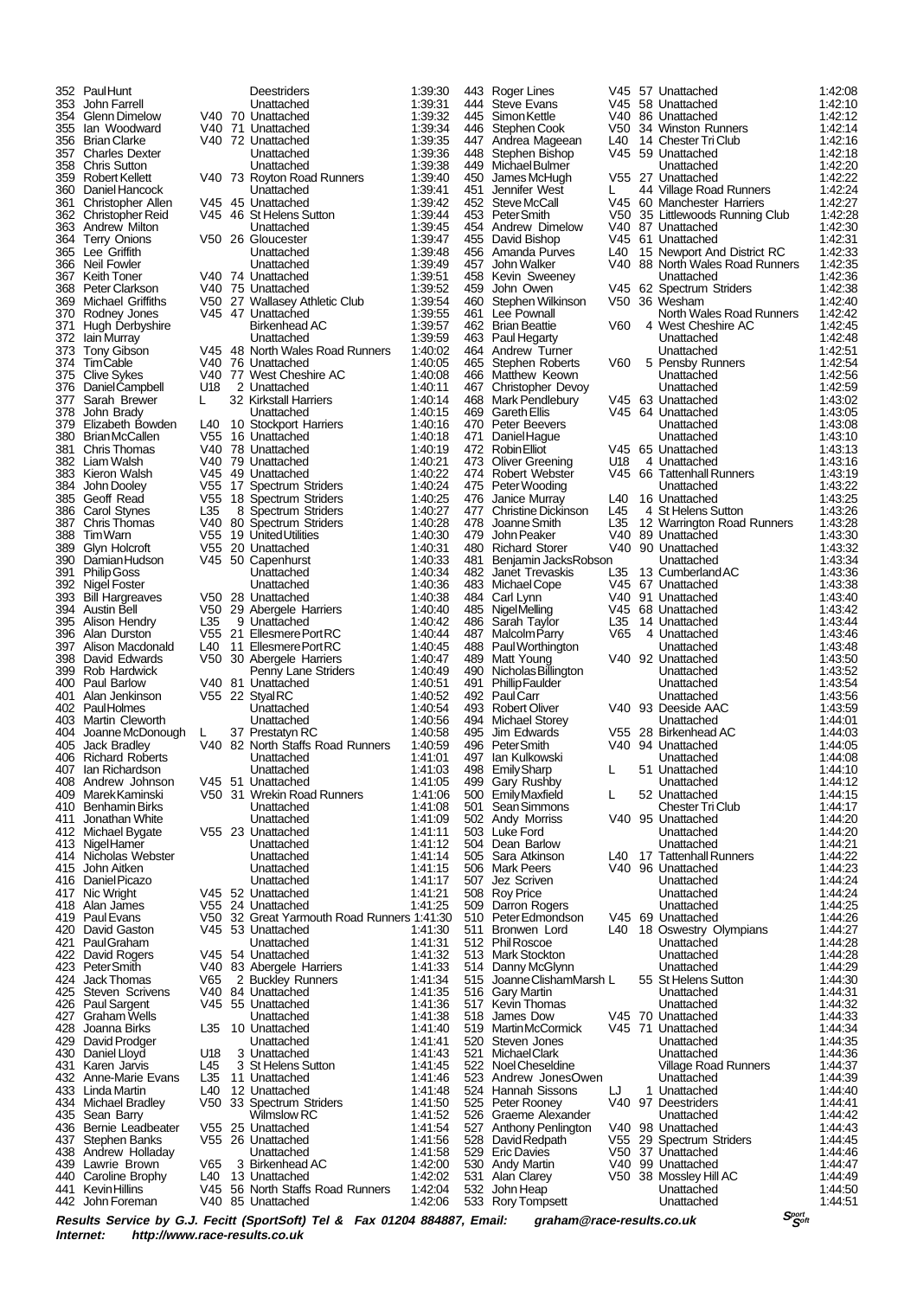| 352             | PaulHunt                       |
|-----------------|--------------------------------|
|                 |                                |
| 353             | John Farrell                   |
| 354             | Glenn Dimelow                  |
| 355             | lan Woodward                   |
| 356             | <b>Brian Clarke</b>            |
| 357             |                                |
| 358             | Charles Dexter<br>Chris Sutton |
| 359             | Robert Kellett                 |
| 360             | Daniel Hancock                 |
| 361             | Christopher Allen              |
| 362             | Christopher Reid               |
| 363             | Andrew Milton                  |
| 364             | Terry Onions                   |
| 365             | Lee <sup>-</sup> Griffith      |
| 366             |                                |
| 367             | Neil Fowler                    |
|                 | Keith Toner                    |
| 368             | Peter Clarkson                 |
| 369             | Michael Griffiths              |
| 370             | Rodney Jones                   |
| 371             | Hugh Derbyshire                |
| 372             | lain Murray                    |
| $\frac{2}{373}$ | Tony Gibson                    |
| 374             | <b>TimCable</b>                |
| 375             | <b>Clive Sykes</b>             |
| 376             | Daniel Campbell                |
| 377             | Sarah Brewer                   |
| 378             | John Brady                     |
| 379             | Elizabeth Bowden               |
| 380             | Brian McCallen                 |
| 381             | <b>Chris Thomas</b>            |
| 382             |                                |
|                 | Liam Walsh                     |
| 383             | Kieron Walsh                   |
| 384             | John Dooley                    |
| 385             | Geoff Read                     |
| 386             | Carol Stynes                   |
| 387             | Chris Thomas                   |
| 388             | TimWarn                        |
| 389             | Glyn Holcroft                  |
| 390             | DamianHudson                   |
| 391             | <b>Philip Goss</b>             |
| 392             | Nigel Foster                   |
| 393             | Bill Hargreaves                |
| 394             | Austin Bell                    |
| 395             | Alison Hendry                  |
| 396             | Alan Durston                   |
| 397             | Alison Macdonald               |
|                 |                                |
| 398             | David Edwards                  |
| 399             | Rob Hardwick                   |
| 400             | Paul Barlow                    |
| 401             | Alan Jenkinson                 |
| 402             | PaulHolmes                     |
| 403             | Martin Cleworth                |
| 404             | Joanne McDonough               |
| 405             | <b>Jack Bradley</b>            |
| 406             | Richard Roberts                |
| 407             | lan Richardson                 |
| 408             | Andrew Johnson                 |
| 409             | Marek Kaminski                 |
| 410             | Benhamin Birks                 |
| 411             | Jonathan White                 |
| 412             | Michael Bygate                 |
| 413             |                                |
|                 | NigelHamer                     |
| 414<br>415      | Nicholas Webster               |
|                 | John Aitken                    |
| 416             | Daniel Picazo                  |
| 417             | Nic Wright                     |
| 418             | Alan James                     |
| 419             | Paul Evans                     |
| 420             | David Gaston                   |
| 421             | PaulGraham                     |
| 422             | David Rogers                   |
| 423             | Peter Smith                    |
| 424             | Jack Thomas                    |
| 425             | Steven Scrivens                |
| 426             | Paul Sargent                   |
| 427             | Graham Wells                   |
| 428             | Joanna Birks                   |
| 429             | David Prodger                  |
| 430             | Daniel Lloyd                   |
| 431             | Karen Jarvis                   |
| 432             | Anne-Marie Evans               |
| 433             | Linda Martin                   |
|                 |                                |
| 434             | Michael Bradley                |
| 435             | Sean Barry                     |
| 436             | <b>Bernie Leadbeater</b>       |
| 437             | Stephen Banks                  |
| 438             | Andrew Holladay                |
| 439             | Lawrie Brown                   |
| 440             | Caroline Brophy                |
| 441             | Kevin Hillins                  |
| 442             | John Foreman                   |

|             | 352 PaulHunt                             |            | Deestriders                                         | 1:39:30            |     | 443 Roger Lines                              |            | V45 57 Unattached                               | 1:42:08            |
|-------------|------------------------------------------|------------|-----------------------------------------------------|--------------------|-----|----------------------------------------------|------------|-------------------------------------------------|--------------------|
| 353         | John Farrell                             |            | Unattached                                          | 1:39:31            | 444 | <b>Steve Evans</b>                           |            | V45 58 Unattached                               | 1:42:10            |
|             | 354 Glenn Dimelow                        |            | V40 70 Unattached                                   | 1:39:32            |     | 445 Simon Kettle                             |            | V40 86 Unattached                               | 1:42:12            |
| 355         | Ian Woodward                             |            | V40 71 Unattached                                   | 1:39:34            |     | 446 Stephen Cook                             |            | V50 34 Winston Runners                          | 1:42:14            |
|             | 356 Brian Clarke<br>357 Charles Dexter   |            | V40 72 Unattached<br>Unattached                     | 1:39:35<br>1:39:36 |     | 447 Andrea Mageean<br>448 Stephen Bishop     | L40        | 14 Chester Tri Club<br>V45 59 Unattached        | 1:42:16<br>1:42:18 |
|             | 358 Chris Sutton                         |            | Unattached                                          | 1:39:38            |     | 449 MichaelBulmer                            |            | Unattached                                      | 1:42:20            |
|             | 359 Robert Kellett                       |            | V40 73 Royton Road Runners                          | 1:39:40            |     | 450 James McHugh                             |            | V55 27 Unattached                               | 1:42:22            |
|             | 360 Daniel Hancock                       |            | Unattached                                          | 1:39:41            | 451 | Jennifer West                                | L.         | 44 Village Road Runners                         | 1:42:24            |
|             | 361 Christopher Allen                    |            | V45 45 Unattached                                   | 1:39:42            |     | 452 Steve McCall                             |            | V45 60 Manchester Harriers                      | 1:42:27            |
|             | 362 Christopher Reid                     |            | V45 46 St Helens Sutton                             | 1.39.44            |     | 453 PeterSmith                               |            | V50 35 Littlewoods Running Club                 | 1:42:28            |
| 363         | Andrew Milton                            |            | Unattached                                          | 1:39:45            |     | 454 Andrew Dimelow                           |            | V40 87 Unattached                               | 1:42:30            |
|             | 364 Terry Onions<br>365 Lee Griffith     |            | V50 26 Gloucester<br>Unattached                     | 1:39:47<br>1:39:48 |     | 455 David Bishop<br>456 Amanda Purves        | L40        | V45 61 Unattached<br>15 Newport And District RC | 1:42:31<br>1:42:33 |
|             | 366 Neil Fowler                          |            | Unattached                                          | 1:39:49            |     | 457 John Walker                              |            | V40 88 North Wales Road Runners                 | 1:42:35            |
|             | 367 Keith Toner                          |            | V40 74 Unattached                                   | 1:39.51            |     | 458 Kevin Sweeney                            |            | Unattached                                      | 1:42:36            |
|             | 368 Peter Clarkson                       |            | V40 75 Unattached                                   | 1:39:52            | 459 | John Owen                                    |            | V45 62 Spectrum Striders                        | 1:42:38            |
| 369         | Michael Griffiths                        |            | V50 27 Wallasey Athletic Club                       | 1:39:54            |     | 460 Stephen Wilkinson                        |            | V50 36 Wesham                                   | 1:42:40            |
|             | 370 Rodney Jones                         |            | V45 47 Unattached                                   | 1:39.55            |     | 461 Lee Pownall                              |            | North Wales Road Runners                        | 1:42:42            |
| 371         | Hugh Derbyshire                          |            | <b>Birkenhead AC</b>                                | 1:39:57            |     | 462 Brian Beattie                            | V60        | 4 West Cheshire AC                              | 1:42:45            |
| 372<br>373. | lain Murray<br>Tony Gibson               |            | Unattached<br>V45 48 North Wales Road Runners       | 1:39:59<br>1:40:02 |     | 463 Paul Hegarty<br>464 Andrew Turner        |            | Unattached<br>Unattached                        | 1:42:48<br>1:42:51 |
|             | 374 TimCable                             |            | V40 76 Unattached                                   | 1:40:05            |     | 465 Stephen Roberts                          | V60        | 5 Pensby Runners                                | 1:42:54            |
|             | 375 Clive Sykes                          |            | V40 77 West Cheshire AC                             | 1:40:08            |     | 466 Matthew Keown                            |            | Unattached                                      | 1:42:56            |
| 376         | Daniel Campbell                          | U18        | 2 Unattached                                        | 1.40:11            |     | 467 Christopher Devoy                        |            | Unattached                                      | 1:42:59            |
| 377         | Sarah Brewer                             | L          | 32 Kirkstall Harriers                               | 1:40:14            |     | 468 Mark Pendlebury                          |            | V45 63 Unattached                               | 1:43:02            |
| 378         | John Brady                               |            | Unattached                                          | 1:40:15            |     | 469 Gareth Ellis                             |            | V45 64 Unattached                               | 1:43:05            |
| 379         | Elizabeth Bowden                         |            | L40 10 Stockport Harriers<br>V55 16 Unattached      | 1:40:16<br>1:40:18 |     | 470 Peter Beevers                            |            | Unattached                                      | 1:43:08            |
|             | 380 BrianMcCallen<br>381 Chris Thomas    |            | V40 78 Unattached                                   | 1:40:19            |     | 471 Daniel Hague<br>472 Robin Elliot         |            | Unattached<br>V45 65 Unattached                 | 1:43:10<br>1:43:13 |
|             | 382 Liam Walsh                           |            | V40 79 Unattached                                   | 1:40.21            |     | 473 Oliver Greening                          | U18        | 4 Unattached                                    | 1:43:16            |
|             | 383 Kieron Walsh                         |            | V45 49 Unattached                                   | 1:40:22            |     | 474 Robert Webster                           |            | V45 66 Tattenhall Runners                       | 1:43:19            |
| 384         | John Dooley                              |            | V55 17 Spectrum Striders                            | 1:40:24            |     | 475 Peter Wooding                            |            | Unattached                                      | 1:43:22            |
| 385         | Geoff Read                               | V55        | 18 Spectrum Striders                                | 1:40:25            |     | 476 Janice Murray                            |            | L40 16 Unattached                               | 1:43:25            |
|             | 386 Carol Stynes                         | L35        | 8 Spectrum Striders                                 | 1:40:27            |     | 477 Christine Dickinson                      | L45        | 4 St Helens Sutton                              | 1:43:26            |
| 388         | 387 Chris Thomas                         |            | V40 80 Spectrum Striders<br>V55 19 United Utilities | 1:40:28<br>1:40:30 | 479 | 478 Joanne Smith                             | L35        | 12 Warrington Road Runners<br>V40 89 Unattached | 1:43:28            |
|             | TimWarn<br>389 Glyn Holcroft             |            | V55 20 Unattached                                   | 1:40:31            |     | John Peaker<br>480 Richard Storer            |            | V40 90 Unattached                               | 1:43:30<br>1:43:32 |
| 390-        | Damian Hudson                            |            | V45 50 Capenhurst                                   | 1:40:33            | 481 | Benjamin JacksRobson                         |            | Unattached                                      | 1:43:34            |
| 391         | <b>Philip Goss</b>                       |            | Unattached                                          | 1:40:34            |     | 482 Janet Trevaskis                          |            | L35 13 Cumberland AC                            | 1:43:36            |
|             | 392 Nigel Foster                         |            | Unattached                                          | 1:40:36            |     | 483 Michael Cope                             |            | V45 67 Unattached                               | 1:43:38            |
| 393         | <b>Bill Hargreaves</b>                   |            | V50 28 Unattached                                   | 1:40:38            |     | 484 Carl Lynn                                |            | V40 91 Unattached                               | 1:43:40            |
|             | 394 Austin Bell                          |            | V50 29 Abergele Harriers                            | 1:40:40            |     | 485 Nigel Melling                            |            | V45 68 Unattached                               | 1:43:42            |
|             | 395 Alison Hendry<br>396 Alan Durston    | L35        | 9 Unattached<br>V55 21 Ellesmere Port RC            | 1:40:42<br>1:40:44 |     | 486 Sarah Taylor<br>487 Malcolm Parry        | L35<br>V65 | 14 Unattached<br>4 Unattached                   | 1:43:44<br>1:43:46 |
|             | 397 Alison Macdonald                     | L40        | 11 Ellesmere Port RC                                | 1:40:45            |     | 488 Paul Worthington                         |            | Unattached                                      | 1:43:48            |
|             | 398 David Edwards                        |            | V50 30 Abergele Harriers                            | 1:40:47            |     | 489 Matt Young                               |            | V40 92 Unattached                               | 1:43:50            |
| 399         | Rob Hardwick                             |            | Penny Lane Striders                                 | 1:40:49            |     | 490 Nicholas Billington                      |            | Unattached                                      | 1:43:52            |
|             | 400 Paul Barlow                          |            | V40 81 Unattached                                   | 1:40:51            |     | 491 Phillip Faulder                          |            | Unattached                                      | 1:43:54            |
|             | 401 Alan Jenkinson                       |            | V55 22 StyalRC                                      | 1:40:52            |     | 492 Paul Carr                                |            | Unattached                                      | 1:43:56            |
|             | 402 PaulHolmes<br>403 Martin Cleworth    |            | Unattached<br>Unattached                            | 1:40:54<br>1:40:56 |     | 493 Robert Oliver<br>494 Michael Storey      |            | V40 93 Deeside AAC<br>Unattached                | 1:43:59<br>1:44:01 |
|             | 404 Joanne McDonough                     | L          | 37 Prestatyn RC                                     | 1:40:58            |     | 495 Jim Edwards                              |            | V55 28 Birkenhead AC                            | 1:44:03            |
|             | 405 Jack Bradley                         |            | V40 82 North Staffs Road Runners                    | 1:40:59            |     | 496 Peter Smith                              |            | V40 94 Unattached                               | 1:44:05            |
|             | 406 Richard Roberts                      |            | Unattached                                          | 1.41.01            |     | 497 Ian Kulkowski                            |            | Unattached                                      | 1:44:08            |
|             | 407 Ian Richardson                       |            | Unattached                                          | 1:41:03            |     | 498 Emily Sharp                              |            | 51 Unattached                                   | 1:44:10            |
|             | 408 Andrew Johnson                       |            | V45 51 Unattached                                   | 1:41:05            |     | 499 Gary Rushby                              |            | Unattached                                      | 1:44:12            |
|             | 409 MarekKaminski<br>410 Benhamin Birks  |            | V50 31 Wrekin Road Runners                          | 1:41:06<br>1.41.08 |     | 500 Emily Maxfield<br>501 Sean Simmons       | L          | 52 Unattached<br><b>Chester Tri Club</b>        | 1:44:15<br>1:44:17 |
| 411         | Jonathan White                           |            | Unattached<br>Unattached                            | 1:41:09            |     | 502 Andy Morriss                             |            | V40 95 Unattached                               | 1:44:20            |
|             | 412 Michael Bygate                       |            | V55 23 Unattached                                   | 1:41:11            |     | 503 Luke Ford                                |            | Unattached                                      | 1:44:20            |
|             | 413 NigelHamer                           |            | Unattached                                          | 1:41:12            |     | 504 Dean Barlow                              |            | Unattached                                      | 1:44:21            |
|             | 414 Nicholas Webster                     |            | Unattached                                          | 1:41:14            |     | 505 Sara Atkinson                            |            | L40 17 Tattenhall Runners                       | 1:44:22            |
|             | 415 John Aitken                          |            | Unattached                                          | 1:41:15            |     | 506 Mark Peers                               |            | V40 96 Unattached                               | 1:44:23            |
|             | 416 Daniel Picazo<br>417 Nic Wright      |            | Unattached<br>V45 52 Unattached                     | 1:41:17<br>1:41:21 | 507 | Jez Scriven<br>508 Roy Price                 |            | Unattached<br>Unattached                        | 1:44:24<br>1:44:24 |
|             | 418 Alan James                           |            | V55 24 Unattached                                   | 1:41:25            |     | 509 Darron Rogers                            |            | Unattached                                      | 1:44:25            |
|             | 419 Paul Evans                           |            | V50 32 Great Yarmouth Road Runners 1:41:30          |                    |     | 510 Peter Edmondson                          |            | V45 69 Unattached                               | 1:44:26            |
|             | 420 David Gaston                         |            | V45 53 Unattached                                   | 1:41:30            | 511 | Bronwen Lord                                 | L40        | 18 Oswestry Olympians                           | 1:44:27            |
|             | 421 PaulGraham                           |            | Unattached                                          | 1:41:31            |     | 512 Phil Roscoe                              |            | Unattached                                      | 1:44:28            |
|             | 422 David Rogers                         |            | V45 54 Unattached                                   | 1.41.32            |     | 513 Mark Stockton                            |            | Unattached                                      | 1:44:28            |
|             | 423 PeterSmith                           |            | V40 83 Abergele Harriers                            | 1:41:33            |     | 514 Danny McGlynn                            |            | Unattached                                      | 1:44:29            |
|             | 424 Jack Thomas<br>425 Steven Scrivens   | V65        | 2 Buckley Runners<br>V40 84 Unattached              | 1:41:34<br>1:41:35 |     | 515 Joanne ClishamMarsh L<br>516 Gary Martin |            | 55 St Helens Sutton<br>Unattached               | 1:44:30<br>1:44:31 |
|             | 426 Paul Sargent                         |            | V45 55 Unattached                                   | 1:41:36            |     | 517 Kevin Thomas                             |            | Unattached                                      | 1:44:32            |
|             | 427 Graham Wells                         |            | Unattached                                          | 1:41:38            |     | 518 James Dow                                |            | V45 70 Unattached                               | 1:44:33            |
|             | 428 Joanna Birks                         | L35        | 10 Unattached                                       | 1:41:40            |     | 519 Martin McCormick                         |            | V45 71 Unattached                               | 1.44.34            |
|             | 429 David Prodger                        |            | Unattached                                          | 1:41:41            |     | 520 Steven Jones                             |            | Unattached                                      | 1:44:35            |
|             | 430 Daniel Lloyd                         | U18        | 3 Unattached                                        | 1:41:43            |     | 521 Michael Clark                            |            | Unattached                                      | 1:44:36            |
|             | 431 Karen Jarvis<br>432 Anne-Marie Evans | L45<br>L35 | 3 St Helens Sutton                                  | 1:41:45<br>1:41:46 |     | 522 Noel Cheseldine<br>523 Andrew JonesOwen  |            | <b>Village Road Runners</b><br>Unattached       | 1:44:37<br>1.44.39 |
|             | 433 Linda Martin                         | L40        | 11 Unattached<br>12 Unattached                      | 1:41:48            |     | 524 Hannah Sissons                           | IJ         | 1 Unattached                                    | 1:44:40            |
|             | 434 Michael Bradley                      |            | V50 33 Spectrum Striders                            | 1:41:50            |     | 525 Peter Rooney                             |            | V40 97 Deestriders                              | 1:44:41            |
|             | 435 Sean Barry                           |            | <b>Wilmslow RC</b>                                  | 1:41:52            |     | 526 Graeme Alexander                         |            | Unattached                                      | 1:44:42            |
|             | 436 Bernie Leadbeater                    |            | V55 25 Unattached                                   | 1:41:54            |     | 527 Anthony Penlington                       |            | V40 98 Unattached                               | 1:44:43            |
|             | 437 Stephen Banks                        | V55        | 26 Unattached                                       | 1:41:56            |     | 528 David Redpath                            |            | V55 29 Spectrum Striders                        | 1:44:45            |
|             | 438 Andrew Holladay                      |            | Unattached                                          | 1:41:58            |     | 529 Eric Davies                              |            | V50 37 Unattached                               | 1:44:46            |
|             | 439 Lawrie Brown<br>440 Caroline Brophy  | V65<br>L40 | 3 Birkenhead AC<br>13 Unattached                    | 1:42:00<br>1:42:02 |     | 530 Andy Martin<br>531 Alan Clarey           |            | V40 99 Unattached<br>V50 38 Mossley Hill AC     | 1:44:47<br>1:44:49 |
|             | 441 Kevin Hillins                        |            | V45 56 North Staffs Road Runners                    | 1:42:04            |     | 532 John Heap                                |            | Unattached                                      | 1:44:50            |
|             | 442 John Foreman                         |            | V40 85 Unattached                                   | 1:42:06            |     | 533 Rory Tompsett                            |            | Unattached                                      | 1:44:51            |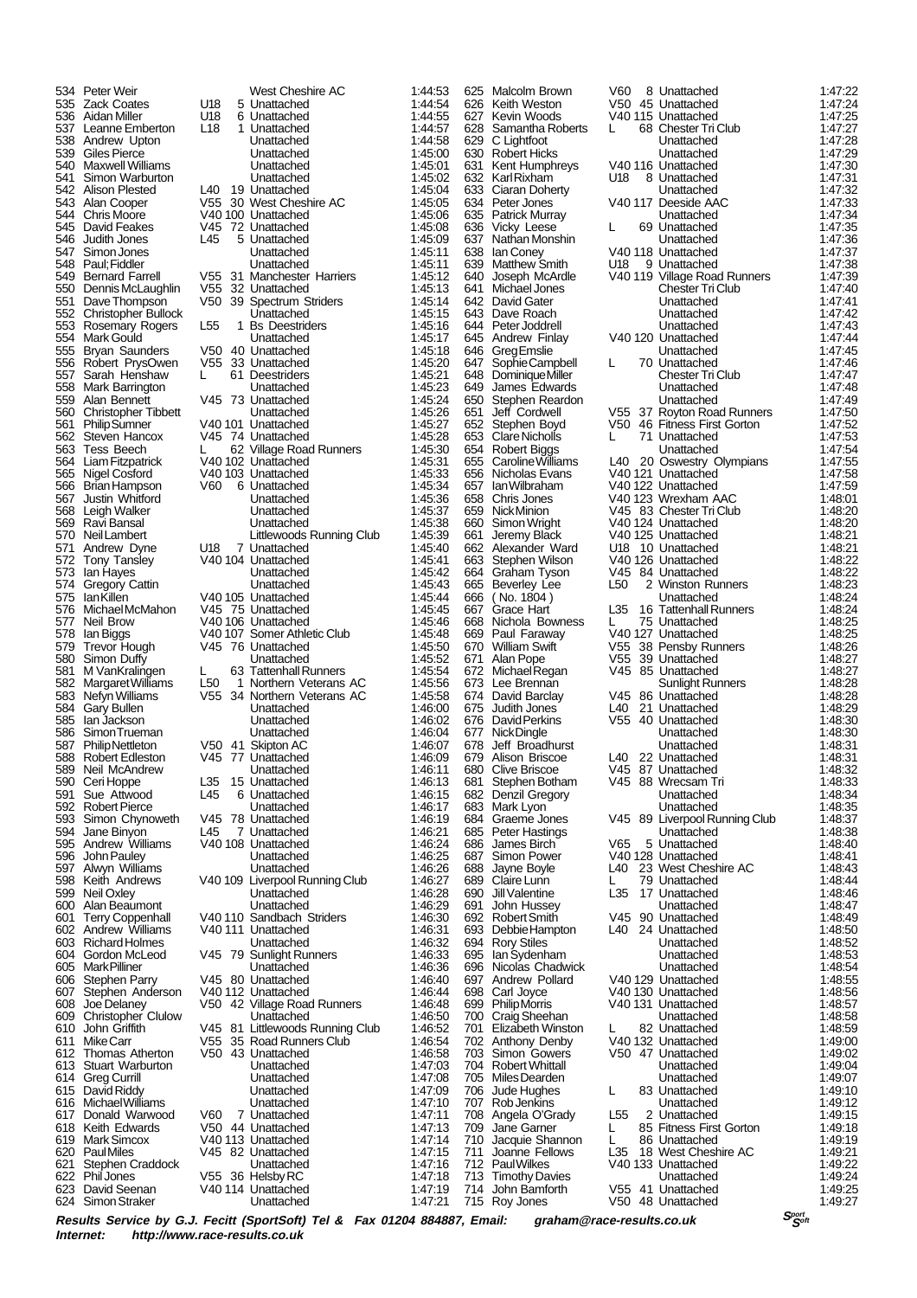565 Nigel Cosford V40 103 Unattached<br>566 Brian Hampson V60 6 Unattached 51 Stuart Warburton Unattached Unattached<br>Greg Currill Unattached Mark Simcox V40 113 Unattached<br>
Paul Miles V45: 82 Unattached 623 David Seenan V40 114 Unattached 1:47:19 Simon Straker

534 Peter Weir West Cheshire AC 1:44:53 535 Zack Coates U18 5 Unattached 1:44:54 536 Aidan Miller U18 6 Unattached 1:44:55 537 Leanne Emberton L18 1 Unattached 1:44:57<br>538 Andrew Upton Unattached 1:44:58 538 Andrew Upton Unattached 1:44:58 539 Giles Pierce Unattached 1:45:00 540 Maxwell Williams Unattached 1:45:01<br>541 Simon Warburton Unattached 1:45:02 541 Simon Warburton Unattached 1:45:02 542 Alison Plested L40 19 Unattached 1:45:04 543 Alan Cooper V55 30 West Cheshire AC 1:45:05 544 Chris Moore V40 100 Unattached 1:45:06<br>545 David Feakes V45 72 Unattached 1:45:08 545 David Feakes V45 72 Unattached 1:45:08<br>546 Judith Jones 145 5 Unattached 1:45:09 546 Judith Jones L45 5 Unattached 1:45:09 547 Simon Jones Unattached 1:45:11 548 Paul; Fiddler **Caulists** Unattached 1:45:11<br>549 Bernard Farrell V55 31 Manchester Harriers 1:45:12 549 Bernard Farrell V55 31 Manchester Harriers 1:45:12 550 Dennis McLaughlin V55 32 Unattached 1:45:13 551 Dave Thompson V50 39 Spectrum Striders 1:45:14 552 Christopher Bullock Unattached 1:45:15 553 Rosemary Rogers L55 1 Bs Deestriders 1:45:16<br>554 Mark Gould Unattached 1:45:17 554 Mark Gould Communication Unattached 1:45:17<br>555 Bryan Saunders 1:50 40 Unattached 1:45:18 555 Bryan Saunders V50 40 Unattached 1:45:18 556 Robert PrysOwen V55 33 Unattached 1:45:20 557 Sarah Henshaw L 61 Deestriders 1:45:21 558 Mark Barrington Unattached 1:45:23 559 Alan Bennett V45 73 Unattached 1:45:24 560 Christopher Tibbett Unattached 1:45:26<br>561 PhilipSumner 1:45:26 V40 101 Unattached 1:45:27 561 Philip Sumner V40 101 Unattached 1:45:27 562 Steven Hancox V45 74 Unattached 1:45:28 563 Tess Beech L 62 Village Road Runners 1:45:30 564 Liam Fitzpatrick 1.45:31<br>565 Nigel Cosford 1:45:33<br>566 Brian Hampson 1:46:32<br>566 Brian Hampson 1:46:34 566 Brian Hampson V60 6 Unattached 1:45:34 567 Justin Whitford Consumer Consumer Unattached 1:45:36<br>568 Leigh Walker Unattached 1:45:36 568 Leigh Walker Unattached 1:45:37 569 Ravi Bansal Unattached 1:45:38 570 Neil Lambert Littlewoods Running Club 1:45:39 Form Dyne U18 7 Unattached 1:45:40<br>Tony Tansley V40 104 Unattached 1:45:41 572 Tony Tansley 1:45:41 V40 104 Unattached 1:45:41 1:45:41 1:45:41 573 Ian Hayes Unattached 1:45:42 574 Gregory Cattin **1:45:43**<br>575 Ian Killen 1:45:44 V40 105 Unattached 1:45:44 1:45:44 575 Ian Killen V40 105 Unattached 1:45:44<br>576 Michael McMahon V45 75 Unattached 1:45:45 576 Michael McMahon V45 75 Unattached 1:45:45 577 Neil Brow V40 106 Unattached 1:45:46<br>578 Ian Biggs V40 107 Somer Athletic Club 1:45:48 578 Ian Biggs V40 107 Somer Athletic Club 1:45:48 579 Trevor Hough  $V45$  76 Unattached 1:45:50<br>580 Simon Duffy **1:45:52** Unattached 1:45:52 580 Simon Duffy Unattached 1:45:52 581 M VanKralingen L 63 Tattenhall Runners 1:45:54 582 Margaret Williams L50 1 Northern Veterans AC 1:45:56 583 Nefyn Williams V55 34 Northern Veterans AC 1:45:58 584 Gary Bullen Unattached 1:46:00 585 Ian Jackson Unattached 1:46:02 586 Simon Trueman Unattached 1:46:04 587 Philip Nettleton V50 41 Skipton AC 1:46:07 588 Robert Edleston V45 77 Unattached 1:46:09 589 Neil McAndrew Unattached 1:46:11 590 Ceri Hoppe L35 15 Unattached 1:46:13 591 Sue Attwood L45 6 Unattached 1:46:15 592 Robert Pierce Unattached 1:46:17 593 Simon Chynoweth V45 78 Unattached 1:46:19<br>594 Jane Binyon 1:46:19 1:46:21<br>594 Jane Binyon 1:46:21 594 Jane Binyon L45 7 Unattached 1:46:21 595 Andrew Williams V40 108 Unattached 1:46:24 596 John Pauley Unattached 1:46:25 597 Alwyn Williams Unattached 1:46:26<br>598 Keith Andrews V40 109 Liverpool Running Club 1:46:27 V40 109 Liverpool Running Club 599 Neil Oxley Unattached 1:46:28 600 Alan Beaumont Unattached 1:46:29<br>601 Terry Coppenhall V40 110 Sandbach Striders 1:46:30<br>602 Andrew Williams V40 111 Unattached 1:46:31 V40 110 Sandbach Striders 1:46:30<br>V40 111 Unattached 1:46:31 602 Andrew Williams V40 111 Unattached 1:46:31 603 Richard Holmes Unattached 1:46:32 604 Gordon McLeod V45 79 Sunlight Runners 1:46:33 60:36 Mark Pilliner Unattached 1:46:36<br>Stephen Parry 1:46:40 Unattached 1:46:40 606 Stephen Parry V45 80 Unattached 1:46:40<br>607 Stephen Anderson V40 112 Unattached 1:46:40 607 Stephen Anderson V40 112 Unattached 1:46:44 608 Joe Delaney V50 42 Village Road Runners 1:46:48 609 Christopher Clulow Unattached 1:46:50<br>610 John Griffith V45 81 Littlewoods Running Club 1:46:52 610 John Griffith V45 81 Littlewoods Running Club 1:46:52 611 Mike Carr V55 35 Road Runners Club 1:46:54 612 Thomas Atherton V50 43 Unattached 1:46:58<br>613 Stuart Warburton Unattached 1:47:03 614 Greg Currill Unattached 1:47:08 615 David Riddy Unattached 1:47:09 616 Michael Williams Unattached 1:47:10<br>617 Donald Warwood V60 7 Unattached 1:47:11 617 Donald Warwood V60 7 Unattached 1:47:11 618 Keith Edwards V50 44 Unattached 1:47:13<br>619 Mark Simcox V40 113 Unattached 1:47:14 620 Paul Miles V45 82 Unattached 1:47:15 621 Stephen Craddock Unattached 1:47:16 622 Phil Jones V55 36 Helsby RC 1:47:18<br>623 David Seenan V40 114 Unattached 1:47:19

625 Malcolm Brown V6<br>626 Keith Weston V5 626 Keith Weston V5<br>627 Kevin Woods V4 627 Kevin Woods V<br>628 Samantha Roberts L 628 Samantha Roberts<br>629 C Lightfoot 629 C Lightfoot<br>630 Robert Hick 630 Robert Hicks<br>631 Kent Humphreys V4 631 Kent Humphreys V4<br>632 Karl Rixham U18 632 Karl Rixham<br>633 Ciaran Dohe 633 Ciaran Doherty<br>634 Peter Jones V4 634 Peter Jones<br>635 Patrick Murr 635 Patrick Murray<br>636 Vicky Leese L Vicky Leese 637 Nathan Monshin Unattached 1:47:36 638 Ian Coney V4<br>639 Matthew Smith U1 639 Matthew Smith U1<br>640 Joseph McArdle V4 640 Joseph McArdle<br>641 Michael Jones 641 Michael Jones<br>642 David Gater David Gater 643 Dave Roach<br>644 Peter Joddre 644 Peter Joddrell<br>645 Andrew Finlav V4 645 Andrew Finlay<br>646 Greg Emslie 646 Greg Emslie<br>647 Sophie Campbell L Sophie Campbell 648 Dominique Miller<br>649 James Edwards 649 James Edwards<br>650 Stephen Reardo 652 Stephen Boyd V5<br>653 Clare Nicholls L 653 Clare Nicholls<br>654 Robert Biggs 654 Robert Biggs<br>655 Caroline Williams L4 655 Caroline Williams L4<br>656 Nicholas Evans V4<br>657 Ian Wilbraham V4 Nicholas Evans V4<br>IanWilbraham V4 657 Ian Wilbraham V4<br>658 Chris Jones V4 658 Chris Jones V4<br>659 NickMinion V4 659 Nick Minion V45 83 Chester Tri Club 1:48:20 660 Simon Wright V4<br>661 Jeremy Black V4 661 Jeremy Black V4<br>662 Alexander Ward U1 664 Graham Tyson V4<br>665 Beverlev Lee L50 665 Beverley Lee<br>666 (No. 1804) 666 ( No. 1804 )<br>667 Grace Hart L35 667 Grace Hart L35<br>668 Nichola Bowness L<br>669 Paul Faraway V4 668 Nichola Bowness<br>669 Paul Faraway 669 Paul Faraway V4<br>670 William Swift V5 67 William Swift<br>Alan Pope 1:18:26:26<br>V5 671 Alan Pope V55 39 Unattached 1:48:27 672 Michael Regan<br>673 Lee Brennan 673 Lee Brennan Sunlight Runners 1:48:28 674 David Barclay V4<br>675 Judith Jones L40 675 Judith Jones<br>676 David Perkins V5 676 David Perkins<br>677 Nick Dingle 677 Nick Dingle<br>678 Jeff Broad 678 Jeff Broadhurst<br>679 Alison Briscoe 140 679 Alison Briscoe L4<br>680 Clive Briscoe V4 680 Clive Briscoe V4<br>681 Stephen Botham V4 681 Stephen Botham<br>682 Denzil Gregory 682 Denzil Gregory 683 Mark Lyon<br>684 Graeme Jones V4 684 Graeme Jones<br>685 Peter Hastings 685 Peter Hastings<br>686 James Birch 1/6 686 James Birch V65 5 Unattached 1:48:40 687 Simon Power V4<br>688 Jayne Boyle L40 688 Jayne Boyle L<br>689 Claire Lunn L Claire Lunn L<br>1:3! Valentine 1:3! 690 Jill Valentine<br>691 John Husse 691 John Hussey<br>692 Robert Smith V4 692 Robert Smith V4<br>693 Debbie Hampton L40 693 Debbie Hampton<br>694 Rory Stiles 694 Rory Stiles<br>695 Ian Sydenh 695 Ian Sydenham<br>696 Nicolas Chadw 698 Carl Joyce V4<br>699 PhilipMorris V4 699 Philip Morris<br>700 Craig Sheeh 700 Craig Sheehan<br>701 Elizabeth Wins 701 Elizabeth Winston L<br>702 Anthony Denby V4 702 Anthony Denby V4<br>703 Simon Gowers V5 703 Simon Gowers<br>704 Robert Whittall 704 Robert Whittall<br>705 Miles Dearden 705 Miles Dearden<br>706 Jude Hughes L 706 Jude Hughes<br>707 Rob Jenkins 707 Rob Jenkins<br>Angela O'Grady L55 708 Angela O'Grady L<br>709 Jane Garner 1: 709 Jane Garner Ludwig<br>710 Jacquie Shannon Lu Jacquie Shannon L<br>Joanne Fellows L3: 711 Joanne Fellows L3:<br>712 Paul Wilkes V4 Paul Wilkes 713 Timothy Davies<br>714 John Bamforth V5 714 John Bamforth V5<br>715 Roy Jones V5 Roy Jones

|            | 625 Malcolm Brown                                                     | V60          | 8 Unattached                                              |                                 | 1:47:22            |
|------------|-----------------------------------------------------------------------|--------------|-----------------------------------------------------------|---------------------------------|--------------------|
|            | 626 Keith Weston                                                      |              | V50 45 Unattached                                         |                                 | 1.47.24            |
|            | 627 Kevin Woods<br>628 Samantha Roberts                               |              | V40 115 Unattached<br>L 68 Chester Tri Club               |                                 | 1:47:25<br>1:47:27 |
|            | 629 C Lightfoot                                                       |              | Unattached                                                |                                 | 1:47:28            |
|            | 630 Robert Hicks                                                      |              | Unattached                                                |                                 | 1:47:29            |
|            | 631 Kent Humphreys                                                    |              | V40 116 Unattached                                        |                                 | 1:47:30            |
|            | 632 Karl Rixham<br>633 Ciaran Doherty                                 |              | U <sub>18</sub> 8 Unattached<br>Unattached                |                                 | 1:47:31<br>1:47:32 |
|            | 634 Peter Jones                                                       |              | V40 117 Deeside AAC                                       |                                 | 1:47:33            |
|            | 635 Patrick Murray                                                    |              | Unattached                                                |                                 | 1:47:34            |
| 636        | Vicky Leese                                                           | L.           | 69 Unattached                                             |                                 | 1:47:35            |
|            | 637 Nathan Monshin<br>638 Ian Coney                                   |              | Unattached<br>V40 118 Unattached                          |                                 | 1:47:36<br>1:47:37 |
|            | 639 Matthew Smith                                                     |              | U18 9 Unattached                                          |                                 | 1.47:38            |
|            | 640 Joseph McArdle                                                    |              | V40 119 Village Road Runners                              |                                 | 1:47:39            |
|            | 641 Michael Jones<br>642 David Gater                                  |              | <b>Chester Tri Club</b><br>Unattached                     |                                 | 1.47:40<br>1.47:41 |
|            | 643 Dave Roach                                                        |              | Unattached                                                |                                 | 1:47:42            |
|            | 644 Peter Joddrell                                                    |              | Unattached                                                |                                 | 1.47.43            |
|            | 645 Andrew Finlay                                                     |              | V40 120 Unattached                                        |                                 | 1 47 44            |
|            | 646 GregEmslie<br>647 Sophie Campbell                                 | L.           | Unattached<br>70 Unattached                               |                                 | 1:47:45<br>1:47:46 |
|            | 648 DominiqueMiller                                                   |              | Chester Tri Club                                          |                                 | 1:47:47            |
|            | 649 James Edwards                                                     |              | Unattached                                                |                                 | 1:47:48            |
| 651        | 650 Stephen Reardon<br>Jeff Cordwell                                  |              | Unattached                                                |                                 | 1:47:49<br>1:47:50 |
|            | 652 Stephen Boyd                                                      |              | V55 37 Royton Road Runners<br>V50 46 Fitness First Gorton |                                 | 1:47:52            |
|            | 653 Clare Nicholls                                                    | $\mathsf{L}$ | 71 Unattached                                             |                                 | 1:47:53            |
|            | 654 Robert Biggs                                                      |              | Unattached                                                |                                 | 1.47.54            |
|            | 655 Caroline Williams L40 20 Oswestry Olympians<br>656 Nicholas Evans |              | V40 121 Unattached                                        |                                 | 1:47:55<br>1:47:58 |
|            | 657 lanWilbraham                                                      |              | V40 122 Unattached                                        |                                 | 1:47:59            |
|            | 658 Chris Jones                                                       |              | V40 123 Wrexham AAC                                       |                                 | 1:48:01            |
|            | 659 NickMinion                                                        |              | V45 83 Chester Tri Club                                   |                                 | 1.48:20            |
|            | 660 Simon Wright<br>CC4 Jangru Plask<br>661 Jeremy Black              |              | V40 124 Unattached<br>V40 125 Unattached                  |                                 | 1:48:20<br>1:48:21 |
|            | 662 Alexander Ward                                                    |              | U18 10 Unattached                                         |                                 | 1:48:21            |
|            | 663 Stephen Wilson                                                    |              | V40 126 Unattached                                        |                                 | 1.48.22            |
|            | 664 Graham Tyson                                                      |              | V45 84 Unattached                                         |                                 | 1:48:22            |
|            | 665 Beverley Lee<br>666 (No. 1804)                                    |              | L50 2 Winston Runners<br>Unattached                       |                                 | 1:48:23<br>1:48:24 |
| 667        | Grace Hart                                                            |              | L35 16 Tattenhall Runners                                 |                                 | 1:48:24            |
|            | 668 Nichola Bowness                                                   | L.           | 75 Unattached                                             |                                 | 1:48:25            |
|            | 669 Paul Faraway<br>670 William Swift                                 |              | V40 127 Unattached                                        |                                 | 1:48:25<br>1:48:26 |
|            | 671 Alan Pope                                                         |              | V55 38 Pensby Runners<br>V55 39 Unattached                |                                 | 1:48:27            |
|            | 672 Michael Regan                                                     |              | V45 85 Unattached                                         |                                 | 1:48:27            |
|            | 673 Lee Brennan                                                       |              | Sunlight Runners                                          |                                 | 1:48:28            |
|            | 674 David Barclay<br>675 Judith Jones<br>676 David Perkins            |              | V45 86 Unattached<br>L40 21 Unattached                    |                                 | 1:48:28<br>1:48:29 |
|            |                                                                       |              | V55 40 Unattached                                         |                                 | 1:48:30            |
|            | 677 Nick Dingle                                                       |              | Unattached                                                |                                 | 1:48:30            |
|            | 678 Jeff Broadhurst<br>679 Alison Briscoe                             | L40          | Unattached<br>22 Unattached                               |                                 | 1:48:31<br>1:48:31 |
|            | 680 Clive Briscoe                                                     |              | V45 87 Unattached                                         |                                 | 1:48:32            |
| 681        | Stephen Botham                                                        |              | V45 88 Wrecsam Tri                                        |                                 | 1:48:33            |
|            | 682 Denzil Gregory                                                    |              | Unattached                                                |                                 | 1:48:34            |
|            | 683 Mark Lyon<br>684 Graeme Jones                                     |              | Unattached<br>V45 89 Liverpool Running Club               |                                 | 1:48:35<br>1:48:37 |
|            | 685 Peter Hastings                                                    |              | Unattached                                                |                                 | 1:48:38            |
| 686        | James Birch                                                           | V65          | 5 Unattached                                              |                                 | 1:48:40            |
| 687        | Simon Power                                                           |              | V40 128 Unattached                                        |                                 | 1:48:41            |
| 688<br>689 | Jayne Boyle<br>Claire Lunn                                            | L40<br>L.    | 23 West Cheshire AC<br>79 Unattached                      |                                 | 1:48:43<br>1:48:44 |
| 690        | Jill Valentine                                                        | L35          | 17 Unattached                                             |                                 | 1:48:46            |
| 691        | John Hussey                                                           |              | Unattached                                                |                                 | 1:48:47            |
|            | 692 Robert Smith<br>693 Debbie Hampton                                |              | V45 90 Unattached<br>L40 24 Unattached                    |                                 | 1.48.49<br>1:48:50 |
|            | 694 Rory Stiles                                                       |              | Unattached                                                |                                 | 1:48:52            |
|            | 695 lan Sydenham                                                      |              | Unattached                                                |                                 | 1.48.53            |
| 696        | Nicolas Chadwick                                                      |              | Unattached                                                |                                 | 1:48:54            |
|            | 697 Andrew Pollard<br>698 Carl Joyce                                  |              | V40 129 Unattached<br>V40 130 Unattached                  |                                 | 1:48:55<br>1:48:56 |
| 699        | <b>PhilipMorris</b>                                                   |              | V40 131 Unattached                                        |                                 | 1:48:57            |
| 700        | Craig Sheehan                                                         |              | Unattached                                                |                                 | 1:48:58            |
| 701        | Elizabeth Winston                                                     | L.           | 82 Unattached                                             |                                 | 1:48:59            |
|            | 702 Anthony Denby<br>703 Simon Gowers                                 |              | V40 132 Unattached<br>V50 47 Unattached                   |                                 | 1:49:00<br>1:49:02 |
|            | 704 Robert Whittall                                                   |              | Unattached                                                |                                 | 1:49:04            |
|            | 705 Miles Dearden                                                     |              | Unattached                                                |                                 | 1:49:07            |
|            | 706 Jude Hughes                                                       | L.           | 83 Unattached                                             |                                 | 1:49:10            |
|            | 707 Rob Jenkins<br>708 Angela O'Grady                                 | L55          | Unattached<br>2 Unattached                                |                                 | 1:49:12<br>1:49:15 |
|            | 709 Jane Garner                                                       | L.           | 85 Fitness First Gorton                                   |                                 | 1:49:18            |
|            | 710 Jacquie Shannon                                                   | L.           | 86 Unattached                                             |                                 | 1:49:19            |
| 711        | Joanne Fellows<br>712 PaulWilkes                                      |              | L35 18 West Cheshire AC<br>V40 133 Unattached             |                                 | 1:49:21<br>1:49:22 |
| 713        | <b>Timothy Davies</b>                                                 |              | Unattached                                                |                                 | 1:49:24            |
| 714        | John Bamforth                                                         |              | V55 41 Unattached                                         |                                 | 1:49:25            |
|            | 715 Roy Jones                                                         |              | V50 48 Unattached                                         |                                 | 1:49:27            |
|            | $F$ mail: $\alpha r$ aham@race-requite co uk                          |              |                                                           | $S_{\text{Cont}}^{\text{port}}$ |                    |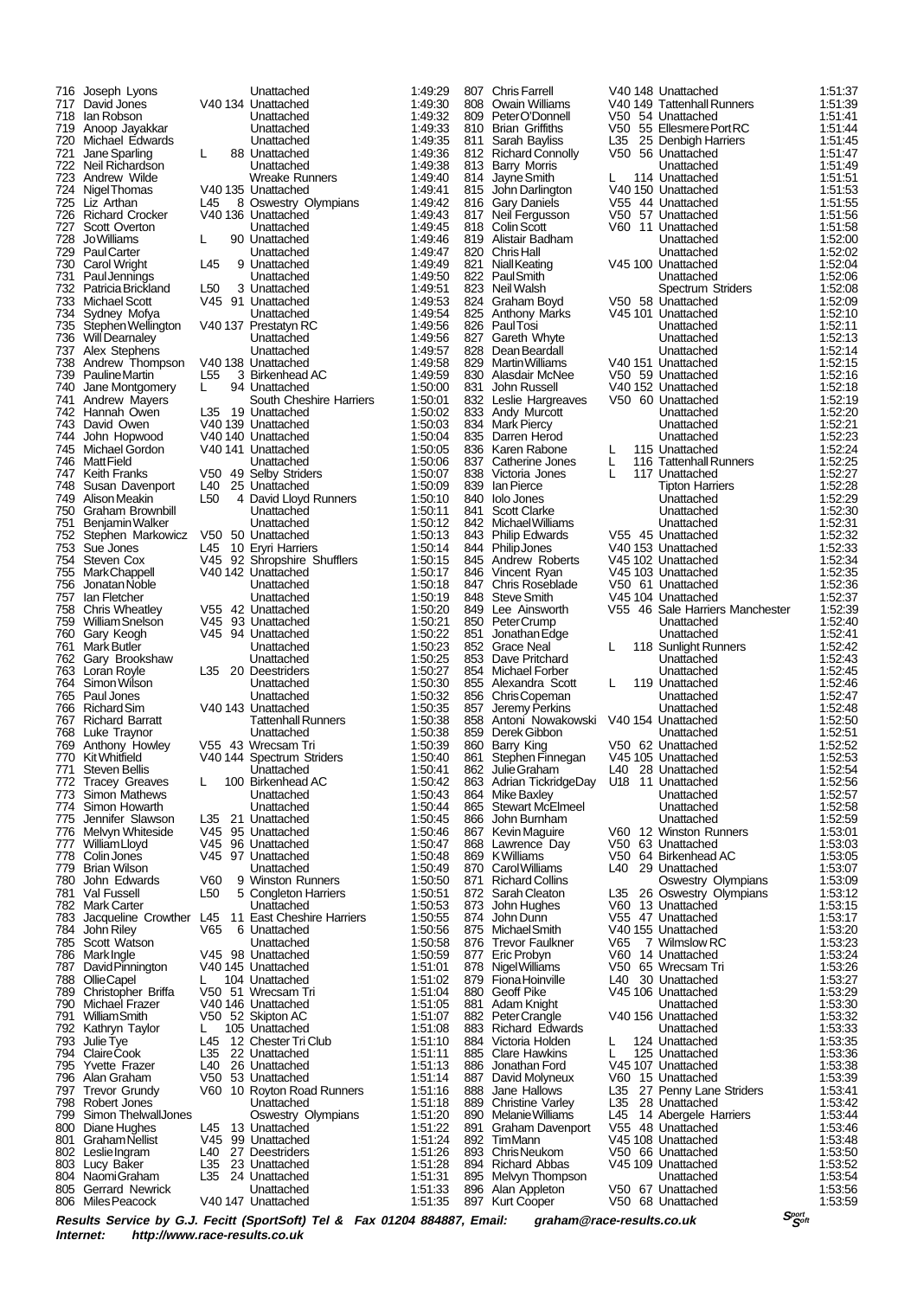Robert Jones<br>
Simon ThelwallJones 804 Naomi Graham L35 24 Unattached 1:51:31 805 Gerrard Newrick Unattached 1:51:33

716 Joseph Lyons Unattached 1:49:29 717 David Jones V40 134 Unattached 1:49:30 718 Ian Robson Unattached 1:49:32 719 Anoop Jayakkar Unattached 1:49:33 720 Michael Edwards Unattached 1:49:35 721 Jane Sparling L 88 Unattached 1:49:36 722 Neil Richardson **Carl Library Control Control Control Control Control Control Control Control Control Contro**<br>723 Andrew Wilde **Control Control Control Control Control Control Control Control Control Control Control Co** 723 Andrew Wilde Wreake Runners 1:49:40 724 Nigel Thomas V40 135 Unattached 1:49:41 725 Liz Arthan L45 8 Oswestry Olympians 1:49:42 726 Richard Crocker V40 136 Unattached 1:49:43<br>727 Scott Overton 1:49:45 Unattached 1:49:45 727 Scott Overton Unattached 1:49:45<br>1493 No Unattached 1:49:46 - 1:49:46 728 Jo Williams L 90 Unattached 1:49:46 729 Paul Carter **Carter Contract Contract Contract Cartes** 1:49:47<br>730 Carol Wright L45 9 Unattached 1:49:49 730 Carol Wright L45 9 Unattached 1:49:49 731 Paul Jennings Unattached 1:49:50 732 Patricia Brickland L50 3 Unattached 1:49:51 733 Michael Scott V45 91 Unattached 1:49:53 734 Sydney Mofya Unattached 1:49:54 735 Stephen Wellington V40 137 Prestatyn RC 1:49:56 736 Will Dearnaley Unattached 1:49:56 737 Alex Stephens Unattached 1:49:57 738 Andrew Thompson V40 138 Unattached 1:49:58 739 Pauline Martin L55 3 Birkenhead AC 1:49:59 740 Jane Montgomery L 94 Unattached 1:50:00 741 Andrew Mayers<br>742 Hannah Owen L35 19 Unattached 1:50:01 741 Andrew Mayers<br>742 Hannah Owen L35 19 Unattached 1:50:02<br>743 David Owen V40 139 Unattached 1:50:03 743 David Owen V40 139 Unattached 1:50:03 744 John Hopwood V40 140 Unattached 1:50:04 744 John Hopwood V40 140 Unattached 1:50:04<br>745 Michael Gordon V40 141 Unattached 1:50:05<br>746 MattField Unattached 1:50:06 746 MattField **Charles Unattached 1:50:06**<br>747 Keith Franks V50 49 Selby Striders 1:50:07<br>748 Susan Davenport L40 25 Unattached 1:50:09 747 Keith Franks V50 49 Selby Striders 1:50:07 748 Susan Davenport L40 25 Unattached 1:50:09 749 Alison Meakin L50 4 David Lloyd Runners 1:50:10 750 Graham Brownbill Unattached 1:50:11 751 Benjamin Walker Unattached 1:50:12 752 Stephen Markowicz V50 50 Unattached 1:50:13<br>753 Sue Jones 1.45 10 Eryri Harriers 1:50:14 10 Eryri Harriers 754 Steven Cox V45 92 Shropshire Shufflers 1:50:15 755 Mark Chappell V40 142 Unattached 1:50:17 1.50.18 Jonatain Noble Unattached 1:50:18<br>756 Jonatan Noble Unattached 1:50:18<br>757 Jan Fletcher Unattached 1:50:19 757 Ian Fletcher Unattached 1:50:19 758 Chris Wheatley V55 42 Unattached 1:50:20 759 William Snelson V45 93 Unattached 1:50:21 760 Gary Keogh  $V45$  94 Unattached 1:50:22<br>150:22 T61 Mark Butler (1:50:23 761 Mark Butler Unattached 1:50:23 762 Gary Brookshaw Unattached 1:50:25 763 Loran Royle L35 20 Deestriders 1:50:27 764 Simon Wilson Unattached 1:50:30 765 Paul Jones Unattached 1:50:32 766 Richard Sim V40 143 Unattached 1:50:35 767 Richard Barratt Tattenhall Runners 1:50:38 768 Luke Traynor Unattached 1:50:38 769 Anthony Howley V55 43 Wrecsam Tri 1:50:39 770 Kit Whitfield **1:50:40**<br>770 Kit Whitfield **V40 144 Spectrum Striders** 1:50:40<br>771 Steven Bellis Unattached 1:50:41 771 Steven Bellis Unattached 1:50:41 772 Tracey Greaves L 100 Birkenhead AC 1:50:42<br>773 Simon Mathews Linattached 1:50:42 773 Simon Mathews Unattached 1:50:43<br>774 Simon Howarth (Instrached 1:50:44 774 Simon Howarth **1:50:44**<br>775 Jennifer Slawson L35 21 Unattached 1:50:45 775 Jennifer Slawson L35 21 Unattached 1:50:45<br>776 Melvyn Whiteside V45 95 Unattached 1:50:45 776 Melvyn Whiteside V45 95 Unattached 1:50:46<br>777 William Lloyd V45 96 Unattached 1:50:46 777 William Lloyd V45 96 Unattached 1:50:47 778 Colin Jones V45 97 Unattached 1:50:48 779 Brian Wilson Unattached 1:50:49 Winston Runners 781 Val Fussell L50 5 Congleton Harriers 1:50:51 782 Mark Carter **1:50:53**<br>783 Jacqueline Crowther L45 11 East Cheshire Harriers 1:50:55 783 Jacqueline Crowther L45 11 East Cheshire Harriers 1:50:55 784 John Riley V65 6 Unattached 1:50:56 785 Scott Watson Unattached 1:50:58 786 Mark Ingle V45 98 Unattached 1:50:59 787 David Pinnington V40 145 Unattached 1:51:01 788 Ollie Capel L 104 Unattached 1:51:02<br>789 Christopher Briffa V50 51 Wrecsam Tri 1:51:04 1.51:04 Christopher Briffa V50 51 Wrecsam Tri 1:51:04<br>790 Michael Frazer V40 146 Unattached 1:51:05 790 Michael Frazer V40 146 Unattached 1:51:05 791 William Smith V50 52 Skipton AC 1:51:07 792 Kathryn Taylor L 105 Unattached 1:51:08 793 Julie Tye L45 12 Chester Tri Club 1:51:10 794 Claire Cook L35 22 Unattached 1:51:11<br>795 Yvette Frazer LL40 26 Unattached 1:51:13 795 Yvette Frazer L40 26 Unattached 1:51:13 796 Alan Graham V50 53 Unattached 1:51:14 797 Trevor Grundy V60 10 Royton Road Runners 1:51:16 799 Simon ThelwallJones Oswestry Olympians 1:51:20 800 Diane Hughes L45 13 Unattached 1:51:22<br>801 Graham Nellist V45 99 Unattached 1:51:24 81:51:24 Graham Nellist V45 99 Unattached 1:51:24 1:51:24<br>
1.51:26 I eslie Ingram 1:40 27 Deestriders 1:51:26 802 Leslie Ingram L40 27 Deestriders 1:51:26 803 Lucy Baker L35 23 Unattached 1:51:28

818 Colin Scott V60 11 Unattached<br>819 Alistair Badham Linattached 886 Jonathan Ford V45 107 Unattached<br>887 David Molyneux V60 15 Unattached

807 Chris Farrell V40 148 Unattached 1:51:37 808 Owain Williams V40 149 Tattenhall Runners 1:51:39<br>809 PeterO'Donnell V50 54 Unattached 1:51:41 809 Peter O'Donnell V50 54 Unattached 1:51:41<br>810 Brian Griffiths V50 55 Ellesmere Port RC 1:51:44 810 Brian Griffiths V50 55 Ellesmere Port RC 1:51:44<br>811 Sarah Bayliss L35 25 Denbigh Harriers 1:51:45<br>812 Richard Connolly V50 56 Unattached 1:51:47 1.51:45 L35 Denbigh Harriers 1:51:45<br>1.51:47 1:51:47 PS Linattached 1:51:47 812 Richard Connolly V50 56 Unattached 1:51:47<br>813 Barry Morris Connolly V50 1:51:49 813 Barry Morris 1988 (1:51:49 Exercise 1:51:49 Phartached 1:51:49<br>814 Jayne Smith L 114 Unattached 1:51:51 814 Jayne Smith L 114 Unattached 1:51:51<br>815 John Darlington V40 150 Unattached 1:51:53 815 John Darlington V40 150 Unattached 1:51:53 816 Gary Daniels (1:51:55 44 Unattached 1:51:55 817 Neil Fergusson (1:51:56 1:51:56 1:51:56 1:51:56 1:51:56 1:51:56 1:51:56 1:51:56 1:51:56 1:51:56 1:51:56 1:51:56 1:51:56 1:51:56 1:51:56 1:51:56 1:51:56 1:51:56 1:51:56 1: 817 Neil Fergusson V50 57 Unattached 1:51:56<br>818 Colin Scott V60 11 Unattached 1:51:58 819 Alistair Badham Unattached 1:52:00 820 Chris Hall **Chris Hall Chris Hall Unattached** 1:52:02<br>821 Niall Keating V45 100 Unattached 1:52:04 821 Niall Keating V45 100 Unattached 1:52:04<br>822 Paul Smith Unattached 1:52:06 822 Paul Smith Commission Unattached 1:52:06<br>823 Neil Walsh Spectrum Striders 1:52:06 823 Neil Walsh Spectrum Striders 1:52:08 824 Graham Boyd V50 58 Unattached 1:52:09<br>825 Anthony Marks V45 101 Unattached 1:52:10 825 Anthony Marks V45 101 Unattached 1:52:10 826 Paul Tosi Unattached 1:52:11 827 Gareth Whyte Unattached 1:52:13<br>828 Dean Beardall Mattached 1:52:13 828 Dean Beardall Unattached 1:52:14 829 Martin Williams V40 151 Unattached 1:52:15 830 Alasdair McNee V50 59 Unattached 1:52:16 831 John Russell V40 152 Unattached 1:52:18 832 Leslie Hargreaves V50 60 Unattached 1:52:19 833 Andy Murcott Communication Communication Communication Unattached 1:52:20<br>834 Mark Piercy Unattached 1:52:21 834 Mark Piercy **1:52:21**<br>835 Darren Herod **Unattached 1:52:21**<br>835 Darren Herod Unattached 1:52:23 835 Darren Herod Unattached 1:52:23 836 Karen Rabone L 115 Unattached 1:52:24<br>837 Catherine Jones L 116 Tattenhall Runners 1:52:25 837 Catherine Jones L 116 Tattenhall Runners 1:52:25<br>838 Victoria Jones L 117 Unattached 1:52:27 838 Victoria Jones L 117 Unattached 1:52:27<br>839 Ian Pierce C 1:52:27 Tipton Harriers 1:52:28 839 Ian Pierce Tipton Harriers 1:52:28 840 Iolo Jones Unattached 1:52:29<br>841 Scott Clarke Unattached 1:52:30 841 Scott Clarke Unattached 1:52:30 842 Michael Williams Unattached 1:52:31 843 Philip Edwards V55 45 Unattached 1:52:32<br>844 Philip Jones V40 153 Unattached 1:52:33<br>845 Andrew Roberts V45 102 Unattached 1:52:34 Philip Jones V40 153 Unattached 1:52:33<br>Andrew Roberts V45 102 Unattached 1:52:34 845 Andrew Roberts V45 102 Unattached 1:52:34 846 Vincent Ryan  $\begin{array}{r} \n\sqrt{45} & 103 \\
\hline\n847 & 152.35 \\
\end{array}$  Chris Roseblade  $\begin{array}{r} \n\sqrt{45} & 103 \\
\sqrt{52} & 152.36 \\
\end{array}$  (1:52:36 847 Chris Roseblade V50 61 Unattached 1:52:36<br>848 Steve Smith V45 104 Unattached 1:52:37 848 Steve Smith V45 104 Unattached 1:52:37<br>849 Lee Ainsworth V45 16 Sale Harriers Manchester 1:52:39 849 Lee Ainsworth V55 46 Sale Harriers Manchester 1:52:39 850 Peter Crump Unattached 1:52:40<br>851 Jonathan Edge Unattached 1:52:40 851 Jonathan Edge Unattached 1:52:41 852 Grace Neal L 118 Sunlight Runners 1:52:42<br>853 Dave Pritchard Linattached 1:52:42 853 Dave Pritchard Unattached 1:52:43 854 Michael Forber Unattached 1:52:45 855 Alexandra Scott L 119 Unattached 1:52:46 856 Chris Copeman Unattached 1:52:47 857 Jeremy Perkins Unattached 1:52:48 858 Antoni Nowakowski V40 154 Unattached 1:52:50<br>859 Derek Gibbon Unattached 1:52:50 859 Derek Gibbon Unattached 1:52:51 860 Barry King V50 62 Unattached 1:52:52<br>861 Stephen Finnegan V45 105 Unattached 1:52:52 861 Stephen Finnegan V45 105 Unattached 1:52:53 862 Julie Graham L40 28 Unattached 1:52:54 863 Adrian TickridgeDay U18 11 Unattached 1:52:56 864 Mike Baxley (and the Unattached 1:52:57<br>865 Stewart McElmeel (1.52:58 Unattached 1:52:58 865 Stewart McElmeel Unattached 1:52:58 866 John Burnham Unattached 1:52:59<br>867 Kevin Maguire V60 12 Winston Runners 1:52:59 867 Kevin Maguire 1960 12 Winston Runners 1:53:01<br>1:53:03 Lawrence Day 1:53:03 Unattached 1:53:03 868 Lawrence Day  $\begin{array}{l} \text{V50} \text{ 63 Unattached} \\ \text{869 KWilliams} \text{ 1:53:03} \\ \text{V50} \text{ 64 Birkenhead AC} \text{ 1:53:05} \end{array}$ 869 K Williams V50 64 Birkenhead AC 1:53:05 870 Carol Williams L40 29 Unattached 1:53:07<br>871 Richard Collins Collector Contestry Olympians 1:53:09 87 Bichard Collins Oswestry Olympians<br>135:26:09 Divestry Olympians 872 Sarah Cleaton L35 26 Oswestry Olympians 1:53:12 873 John Hughes V60 13 Unattached 1:53:15 874 John Dunn V55 47 Unattached 1:53:17 875 Michael Smith V40 155 Unattached 1:53:20<br>876 Trevor Faulkner V65 7 Wilmslow RC 1:53:23 876 Trevor Faulkner V65 7 Wilmslow RC 1:53:23 877 Eric Probyn V60 14 Unattached 1:53:24 878 Nigel Williams V50 65 Wrecsam Tri 1:53:26 879 Fiona Hoinville L40 30 Unattached 1:53:27 880 Geoff Pike V45 106 Unattached 1:53:29<br>881 Adam Knight Unattached 1:53:30 881 Adam Knight Unattached 1:53:30<br>882 PeterCrangle 1:53:30 V40 156 Unattached 1:53:32 882 Peter Crangle V40 156 Unattached 1:53:32 883 Richard Edwards Unattached 1:53:33 884 Victoria Holden L 124 Unattached 1:53:35 885 Clare Hawkins L 125 Unattached 1:53:36 887 David Molyneux V60 15 Unattached 1:53:39 888 Jane Hallows L35 27 Penny Lane Striders 1:53:41 889 Christine Varley 1.35 28 Unattached 1:53:42<br>890 Melanie Williams 1.45 14 Abergele Harriers 1:53:44 890 Melanie Williams L45 14 Abergele Harriers 1:53:44 891 Graham Davenport V55 48 Unattached 1:53:46 892 Tim Mann V45 108 Unattached 1:53:48 893 Chris Neukom V50 66 Unattached 1:53:50 894 Richard Abbas V45 109 Unattached 1:53:52<br>895 Melvyn Thompson Unattached 1:53:54 895 Melvyn Thompson Unattached 1:53:54 896 Alan Appleton V50 67 Unattached 1:53:56 V50 68 Unattached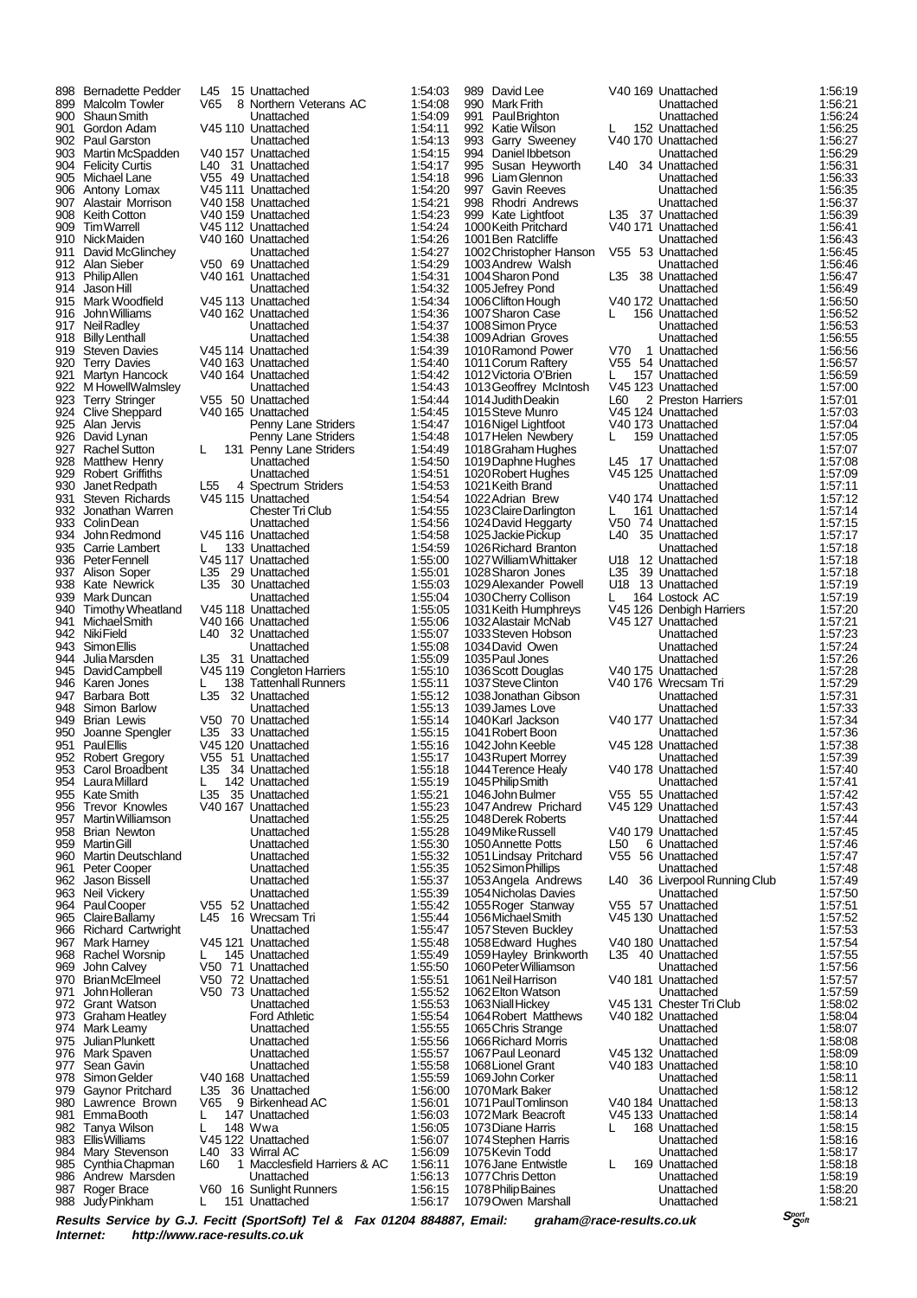902 Paul Garston Unattached<br>903 Martin McSpadden V40 157 Unattached 929 Robert Griffiths<br>930 Janet Rednath 1:55 4: Jason Bissell Lawrence Brown 983 Ellis Williams V45 122 Unattached<br>984 Mary Stevenson L40 33 Wirral AC

898 Bernadette Pedder L45 15 Unattached 1:54:03<br>899 Malcolm Towler V65 8 Northern Veterans AC 1:54:08 899 Malcolm Towler V65 8 Northern Veterans AC 1:54:08 900 Shaun Smith Unattached 1:54:09<br>901 Gordon Adam V45 110 Unattached 1:54:11 901 Gordon Adam V45 110 Unattached 1:54:11<br>902 Paul Garston Unattached 1:54:13<br>903 Martin McSpadden V40 157 Unattached 1:54:15 903 Martin McSpadden V40 157 Unattached 1:54:15 904 Felicity Curtis L40 31 Unattached 1:54:17 905 Michael Lane V55 49 Unattached 1:54:18 906 Antony Lomax V45 111 Unattached 1:54:20 907 Alastair Morrison V40 158 Unattached 1:54:21 908 Keith Cotton V40 159 Unattached 1:54:23<br>909 Tim Warrell V45 112 Unattached 1:54:24 909 Tim Warrell V45 112 Unattached 1:54:24<br>910 Nick Maiden V40 160 Unattached 1:54:26 910 Nick Maiden V40 160 Unattached 1:54:26 911 David McGlinchey Unattached 1:54:27 912 Alan Sieber V50 69 Unattached 1:54:29<br>913 PhilipAllen V40 161 Unattached 1:54:31 913 Philip Allen V40 161 Unattached 1:54:31<br>914 Jason Hill Unattached 1:54:32<br>1:54:32 Unattached 1:54:32 914 Jason Hill Unattached 1:54:32 915 Mark Woodfield V45 113 Unattached 1:54:34<br>916 John Williams V40 162 Unattached 1:54:36 916 John Williams V40 162 Unattached 1:54:36<br>1:54:37 Neil Radley Unattached 1:54:37 917 Neil Radley Unattached 1:54:37 918 Billy Lenthall **Contracted** Unattached 1:54:38<br>919 Steven Davies V45 114 Unattached 1:54:39 919 Steven Davies V45 114 Unattached 1:54:39<br>920 Terry Davies V40 163 Unattached 1:54:40 920 Terry Davies **1:54:40**<br>921 Martyn Hancock V40 163 Unattached 1:54:42<br>921 Martyn Hancock V40 164 Unattached 1:54:42 921 Martyn Hancock V40 164 Unattached 1:54:42 922 M HowellWalmsley Unattached 1:54:43<br>923 Terry Stringer 1:55 50 Unattached 1:54:44 923 Terry Stringer V55 50 Unattached 1:54:44<br>924 Clive Sheppard V40 165 Unattached 1:54:45 923 Terry Stringer  $\begin{array}{r} \sim 0.55560 \text{ Unattached} \\ \sim 924 \text{ Clive Sheppard} \\ \sim 925 \text{ Alan Jerusalem} \\ \sim 925 \text{ Alan Jerry} \\ \sim 1.54:45 \text{ Penn} \\ \sim 1.54:47 \text{ Penn} \\ \sim 1.54:47 \text{ Penn} \\ \sim 1.54:47 \text{ Penn} \\ \sim 1.54:47 \text{ Penn} \\ \sim 1.54:47 \text{ Penn} \\ \sim 1.54:47 \text{ Penn} \\ \sim 1.54:47 \text{调} \\ \sim 1.54:$ 925 Alan Jervis Penny Lane Striders 1:54:47 926 David Lynan Penny Lane Striders 1:54:48 927 Rachel Sutton L 131 Penny Lane Striders 1:54:49 928 Matthew Henry Unattached 1:54:50<br>929 Robert Griffiths Unattached 1:54:51<br>930 Janet Redpath 1:55 4 Spectrum Striders 1:54:53 930 Janet Redpath 1 155 4 Spectrum Striders 1:54:53<br>931 Steven Richards 1:54:54 Unattached 1:54:54 931 Steven Richards V45 115 Unattached 1:54:54<br>932 Jonathan Warren Chester Tri Club 1:54:55 932 Jonathan Warren Chester Tri Club 1:54:55 933 Colin Dean Unattached 1:54:56 934 John Redmond V45 116 Unattached 1:54:58<br>935 Carrie Lambert L 133 Unattached 1:54:59 935 Carrie Lambert L 133 Unattached 1:54:59 936 Peter Fennell V45 117 Unattached 1:55:00 937 Alison Soper L35 29 Unattached 1:55:01 938 Kate Newrick L35 30 Unattached 1:55:03 939 Mark Duncan Case Contracted 1:55:04<br>940 Timothy Wheatland V45 118 Unattached 1:55:04 940 Timothy Wheatland V45 118 Unattached 1:55:05 941 Michael Smith V40 166 Unattached 1:55:06 942 Niki Field L40 32 Unattached 1:55:07 943 Simon Ellis Unattached 1:55:08 944 Julia Marsden Laten Laten Laten Laten de du 1:55:09<br>945 David Campbell V45 119 Congleton Harriers 1:55:10 945 David Campbell V45 119 Congleton Harriers 1:55:10<br>946 Karen Jones L 138 Tattenhall Runners 1:55:10 946 Karen Jones L 138 Tattenhall Runners 1:55:11<br>947 Barbara Bott L35 32 Unattached 1:55:12 947 Barbara Bott L35 32 Unattached 1:55:12 948 Simon Barlow Unattached 1:55:13 949 Brian Lewis V50 70 Unattached 1:55:14 950 Joanne Spengler L35 33 Unattached 1:55:15 951 Paul Ellis V45 120 Unattached 1:55:16<br>952 Robert Gregory V55 51 Unattached 1:55:17 952 Robert Gregory 1755 51 Unattached 1:55:17<br>953 Carol Broadbent 1.35 34 Unattached 1:55:18 953 Carol Broadbent L35 34 Unattached 1:55:18<br>954 Laura Millard 1:55:18<br>954 Laura Millard 1:55:19 954 Laura Millard Letter Letter 1142 Unattached 1:55:19<br>955 Kate Smith L35 35 Unattached 1:55:21 955 Kate Smith L35 35 Unattached 1:55:21 956 Trevor Knowles V40 167 Unattached 1:55:23 957 Martin Williamson Unattached 1:55:25 958 Brian Newton Unattached 1:55:28 959 Martin Gill Unattached 1:55:30 960 Martin Deutschland Unattached 1:55:32 external values of the Unattached 1:55:35<br>962 Jason Bissell Mattached 1:55:37 963 Neil Vickery Unattached 1:55:39 964 Paul Cooper V55 52 Unattached 1:55:42 965 Claire Ballamy L45 16 Wrecsam Tri 1:55:44 966 Richard Cartwright Unattached 1:55:47 967 Mark Harney (1945 121 Unattached 1:55:48<br>968 Rachel Worsnip (1956) L 145 Unattached 1:55:49 968 Rachel Worsnip L 145 Unattached 1:55:49<br>969 John Calvey 1:55:50<br>970 Brian McElmeel 1:56:51 V50 72 Unattached 1:55:51 1:55:51 969 John Calvey V50 71 Unattached 1:55:50 970 Brian McElmeel V50 72 Unattached 1:55:51 971 John Holleran V50 73 Unattached 1:55:52<br>972 Grant Watson Unattached 1:55:52 972 Grant Watson Unattached 1:55:53<br>973 Graham Heatley Ford Athletic 1:55:54 973 Graham Heatley **Ford Athletic** 1:55:54<br>974 Mark Leamy **Containers** Unattached 1:55:55 974 Mark Leamy (1:55:55)<br>975 Julian Plunkett (1:55:56) Unattached 1:55:56 975 Julian Plunkett Unattached 1:55:56 976 Mark Spaven Unattached 1:55:57 977 Sean Gavin Unattached 1:55:58 978 Simon Gelder V40 168 Unattached 1:55:59 979 Gaynor Pritchard L35 36 Unattached 1:56:00<br>980 Lawrence Brown V65 9 Birkenhead AC 1:56:01 981 Emma Booth L 147 Unattached 1:56:03 982 Tanya Wilson L 148 Wwa 1:56:05 984 Mary Stevenson L40 33 Wirral AC 1:56:09<br>985 Cynthia Chapman L60 1 Macclesfield Harriers & AC 1:56:11 985 Cynthia Chapman L60 1 Macclesfield Harriers & AC 1:56:11<br>986 Andrew Marsden Unattached 1:56:13 986 Andrew Marsden Unattached 1:56:13 987 Roger Brace V60 16 Sunlight Runners 1:56:15 151 Unattached

1000 Kate Lightfoot Laborator 1000 Keith Pritchard<br>1000 Keith Pritchard V40 171 Unattached 1001 Ben Ratcliffe Unattached 1071 Paul Tomlinson V40 184 Unattached<br>1072 Mark Beacroft V45 133 Unattached 1074Stephen Harris Unattached 1:58:16 1079 Owen Marshall

989 David Lee V40 169 Unattached 1:56:19 990 Mark Frith Unattached 1:56:21 991 Paul Brighton Unattached 1:56:24 992 Katie Wilson L 152 Unattached 1:56:25 993 Garry Sweeney V40 170 Unattached 1:56:27 994 Daniel Ibbetson Unattached 1:56:29 995 Susan Heyworth L40 34 Unattached 1:56:31<br>996 Liam Glennon Mattached 1:56:31 example and Unattached 1:56:33<br>
996 Liam Glennon Unattached 1:56:33<br>
997 Gavin Reeves Unattached 1:56:35 997 Gavin Reeves Contracted Charles Contracted 1:56:35<br>1:56:37 Charles Unattached 1:56:37 998 Rhodri Andrews Unattached 1:56:37 L35 37 Unattached 1:56:39<br>1:56:39 V40 171 Unattached 1:56:41 1001Ben Ratcliffe Unattached 1:56:43 1002Christopher Hanson V55 53 Unattached 1:56:45 1003 Andrew Walsh **CONTROLL CONTROLL 1003 Andrew Walsh Unattached 1:56:46**<br>1004 Sharon Pond L35 38 Unattached 1:56:47 1004 Sharon Pond L35 38 Unattached 1:56:47<br>1004 Sharon Pond L35 38 Unattached 1:56:47<br>1:56:49 1:56:49 1005Jefrey Pond **1:56:49**<br>1006Clifton Hough 1006Clifton Hough 1:56:50 1006 V40 172 Unattached 1:56:50<br>1.56:50 1.56 Unattached 1:56:52 1007 Sharon Case L 156 Unattached 1:56:52<br>1007 Sharon Case L 156 Unattached 1:56:53 1008Simon Pryce Unattached 1:56:53 1009Adrian Groves Unattached 1:56:55 1010 Ramond Power V70 1 Unattached 1:56:56<br>1011 Corum Raftery V55 54 Unattached 1:56:56 1011 Corum Raftery V55 54 Unattached 1:56:57 1012Victoria O'Brien L 157 Unattached 1:56:59 1013Geoffrey McIntosh V45 123 Unattached 1:57:00 1014Judith Deakin L60 2 Preston Harriers 1:57:01 1015Steve Munro V45 124 Unattached 1:57:03 1016 173 Unattached 1:57:04<br>1.57:04 L 159 Unattached 1:57:05 1017Helen Newbery L 159 Unattached 1:57:05 1018Graham Hughes Unattached 1:57:07 1019Daphne Hughes Luis 17 Unattached 1:57:08<br>1020 Robert Hughes V45 125 Unattached 1:57:09 1:57:09 V45 125 Unattached 1:57:09<br>1:57:11 Unattached 1021 Reith Brand Unattached 1:57:11<br>1021 Adrian Brew V40 174 Unattached 1:57:11<br>1022 Adrian Brew V40 174 Unattached 1:57:12 V40 174 Unattached 1:57:12<br>1.57:12 L 161 Unattached 1:57:14 1023Claire Darlington L 161 Unattached 1:57:14 1024 David Heggarty V50 74 Unattached 1:57:15<br>
1025 Jackie Pickup L40 35 Unattached 1:57:17 1025Jackie Pickup L40 35 Unattached 1:57:17 1026Richard Branton Unattached 1:57:18 1027William Whittaker U18 12 Unattached 1:57:18 1028Sharon Jones L35 39 Unattached 1:57:18 1029Alexander Powell U18 13 Unattached 1:57:19 1030 Cherry Collison L 164 Lostock AC 1:57:19<br>1031 Keith Humphreys V45 126 Denbigh Harriers 1:57:20 1031Keith Humphreys V45 126 Denbigh Harriers 1:57:20 1032Alastair McNab V45 127 Unattached 1:57:21 1033 Steven Hobson Unattached 1:57:23<br>1034 David Owen Unattached 1:57:24 1034David Owen Unattached 1:57:24 1035Paul Jones Unattached 1:57:26 1036Scott Douglas V40 175 Unattached 1:57:28 V40 176 Wrecsam Tri 1:57:29<br>Unattached 1:57:31 1038Jonathan Gibson Unattached 1:57:31 1039 James Love **1:57:33**<br>1040 Karl Jackson V40 177 Unattached 1:57:34 V40 177 Unattached 1:57:34<br>Unattached 1:57:34<br>1:57:36 1:57 1041 Robert Boon Unattached 1:57:36<br>1042 John Keeble V45 128 Unattached 1:57:38 10245 128 Unattached 1:57:38<br>1157:38 Unattached 1:57:39 1043Rupert Morrey 11043Rupert Morrey Unattached 1:57:39<br>1044Terence Healy 1:57:39 V40 178 Unattached 1:57:40 V40 178 Unattached 1:57:40<br>Unattached 1:57:41 1045Philip Smith (Unattached 1:57:41<br>1046 John Bulmer (V55 55 Unattached 1:57:42 1046John Bulmer V55 55 Unattached 1:57:42 1047Andrew Prichard V45 129 Unattached 1:57:43 1048 Derek Roberts Unattached 1:57:44<br>1048 Derek Roberts Unattached 1:57:44<br>1049 Mike Russell V40 179 Unattached 1:57:45 V40 179 Unattached 1:57:45<br>L50 6 Unattached 1:57:46 1050Annette Potts L50 6 Unattached 1:57:46 1051Lindsay Pritchard V55 56 Unattached 1:57:47 1052 Simon Phillips **Carlies Contract Contract Contract Contract Contract Contract Contract Contract Contract C**<br>1053 Angela Andrews L40 36 Liverpool Running Club 1:57:49 36 Liverpool Running Club 1054Nicholas Davies Unattached 1:57:50 1055Roger Stanway V55 57 Unattached 1:57:51 1056 Michael Smith V45 130 Unattached 1:57:52<br>1057 Steven Buckley Unattached 1:57:53 1057Steven Buckley Unattached 1:57:53 1058Edward Hughes V40 180 Unattached 1:57:54 1059Hayley Brinkworth L35 40 Unattached 1:57:55 1060Peter Williamson Unattached 1:57:56 1061Neil Harrison V40 181 Unattached 1:57:57 1062 Elton Watson Unattached 1:57:59<br>1063 Niall Hickey 1:57:59<br>1.58:02 V45 131 Chester Tri Club 1:58:02<br>1:58:02 V40 182 Unattached 1:58:04 1064Robert Matthews V40 182 Unattached 1:58:04 1065Chris Strange Unattached 1:58:07 1066Richard Morris Unattached 1:58:08 1067 Paul Leonard V45 132 Unattached 1:58:09<br>1068 Paul Leonard V45 132 Unattached 1:58:09<br>1068 Line Grant V40 183 Unattached 1:58:10 V40 183 Unattached 1:58:10<br>1:58:11 Unattached 1:58:11 1069John Corker Unattached 1:58:11 1070 Mark Baker Unattached 1:58:12<br>1071 Paul Tomlinson V40 184 Unattached 1:58:12<br>158:13 1:58:13 1072Mark Beacroft V45 133 Unattached 1:58:14 1073Diane Harris L 168 Unattached 1:58:15 1075Kevin Todd Unattached 1:58:17 1076Jane Entwistle L 169 Unattached 1:58:18<br>1077Chris Detton L 169 Unattached 1:58:19 1077Chris Detton Unattached 1:58:19 1078Philip Baines Unattached 1:58:20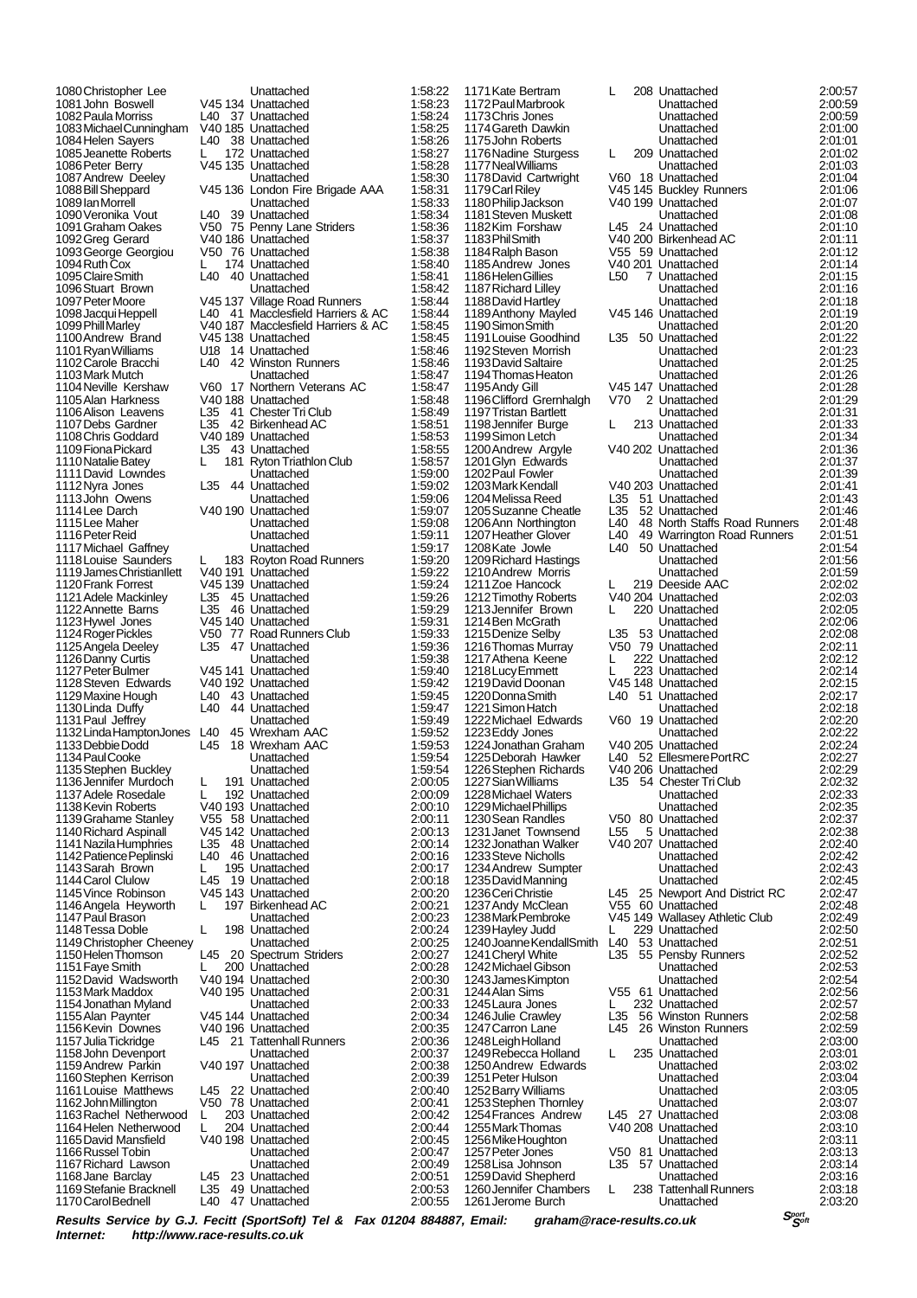1117 Michael Gaffney 1144 Carol Clulow<br>1145 Vince Robinson<br>1146 Angela Heyworth 1169Stefanie Bracknell L35 49 Unattached 2:00:53

1080Christopher Lee Unattached 1:58:22 V45 134 Unattached 1:58:23<br>1:58:24 1:58:24 Unattached 1:58:24 1082 Paula Morriss L40 37 Unattached 1:58:24<br>1083 Michael Cunningham V40 185 Unattached 1:58:25 1083 Michael Cunningham V40 185 Unattached 1:58:25<br>1084 Helen Sayers L40 38 Unattached 1:58:26<br>1085 Jeanette Roberts L 172 Unattached 1:58:27 1084 Helen Sayers L40 38 Unattached 1:58:26 1085 Jeanette Roberts L 172 Unattached 1:58:27 1086 Peter Berry 1086 Unattached 1:58:28<br>1087 Andrew Deeley 1:58:28<br>1087 Mattached 1:58:30 1087 Andrew Deeley Unattached 1:58:30<br>1088 Bill Sheppard V45 136 London Fire Brigade AAA 1:58:31 V45 136 London Fire Brigade AAA 1:58:31<br>1:58:33 Unattached 1:58:33 1089 Ian Morrell Unattached 1:58:33<br>1090 Veronika Vout L40 39 Unattached 1:58:34 1090 Veronika Vout L40 39 Unattached 1:58:34 1091Graham Oakes V50 75 Penny Lane Striders 1:58:36 1092 Greg Gerard 1:58:37<br>
1093 George Georgiou 1:50 76 Unattached 1:58:38<br>
1094 Ruth Cox 1:58:40<br>
1.58:40<br>
1.58:40 1093George Georgiou V50 76 Unattached 1:58:38 1094 Ruth Cox L 174 Unattached 1:58:40 1095 Claire Smith L40 40 Unattached 1:58:41<br>1096 Stuart Brown L40 40 Unattached 1:58:41 1096 Stuart Brown Unattached 1:58:42<br>1097 Peter Moore 1:58:44 V45 137 Village Road Runners 1:58:44 1156712<br>1158:44 Village Road Runners 1:58:44<br>1158:44 Macclesfield Harriers & AC 1.40 41 Macclesfield Harriers & AC 1:58:44<br>V40 187 Macclesfield Harriers & AC 1:58:45 1.58:45 Macclesfield Harriers & AC 1:58:45<br>158:45 V45 138 Unattached 1:58:45 1098 Jacqui Heppel<br>
1098 Jacqui Heppel<br>
1099 Phill Markey V40 187 Macclesfield Harriers & AC 1:58:45<br>
1100 Andrew Brand V45 138 Unattached 1:58:45<br>
1101 Ryan Williams U18 14 Unattached 1:58:46<br>
1:58:46 1101 Ryan Williams U18 14 Unattached 1:58:46<br>1102 Carole Bracchi L40 42 Winston Runners 1:58:46 1102 Winston Runners 1:58:46<br>
Unattached 1:58:47 1103 Mark Mutch **Drattached** 1:58:47<br>1104 Neville Kershaw V60 17 Northern Veterans AC 1:58:47 1104 Neville Kershaw V60 17 Northern Veterans AC 1:58:47<br>1105 Alan Harkness V40 188 Unattached 1:58:48 1158:48 Unattached 1:58:48<br>1158:49 L35 41 Chester Tri Club 1106 Alison Leavens L35 41 Chester Tri Club 1:58:49<br>1106 Alison Leavens L35 41 Chester Tri Club 1:58:49<br>1107 Debs Gardner L35 42 Birkenhead AC 1:58:51 1107 Debs Gardner 1.585 42 Birkenhead AC 1:58:51<br>1108 Chris Goddard 1.58:53 V40 189 Unattached 1:58:53<br>1:58:55 1:58:55 1:58:55 1109 Fiona Pickard L35 43 Unattached 1:58:55<br>1110 Natalie Batev L 181 Ryton Triathlon Club 1:58:57 1158:57<br>1.58:57 Unattached 1:59:00 1111David Lowndes **1:59:00**<br>1112Nvra Jones 1:35 44 Unattached 1:59:02 1112Nyra Jones L35 44 Unattached 1:59:02 1113John Owens 2002 - Unattached 1:59:06<br>1113John Owens 1114Lee Darch 1:59:06 1114Lee Darch V40 190 Unattached 1:59:07 1115Lee Maher Unattached 1:59:08 1116Peter Reid Unattached 1:59:11 1118Louise Saunders L 183 Royton Road Runners 1:59:20<br>1119James Christian llett V40 191 Unattached 1:59:22 1119James ChristianIlett V40 191 Unattached 1:59:22<br>1120 Frank Forrest V45 139 Unattached 1:59:24 1120Frank Forrest V45 139 Unattached 1:59:24<br>1120 L35 145 Unattached 1:59:26 1121 Adele Mackinley L35 45 Unattached 1:59:26<br>1122 Annette Barns L35 46 Unattached 1:59:26 1122Annette Barns L35 46 Unattached 1:59:29 V45 140 Unattached 1:59:31<br>V50 77 Road Runners Club 1:59:33 1124 Pickles V50 77 Road Runners Club 1:59:33<br>1.35 47 Unattached 1:59:36 1125 Angela Deeley L35 47 Unattached 1:59:36<br>1126 Danny Curtis **Lattached** 1:59:36 1126Danny Curtis **Curtis Communist Contract Unattached** 1:59:38 1127 Peter Bulmer V45 141 Unattached 1:59:40 1128 Steven Edwards V40 192 Unattached 1:59:42<br>1129 Maxine Hough L40 43 Unattached 1:59:42 1129 Maxine Hough L40 43 Unattached 1:59:45<br>1130 Linda Duffy 140 44 Unattached 1:59:47 1130 Linda Duffy **L40 44 Unattached 1:59:47**<br>1131 Paul Jeffrey **L40 44 Unattached** 1:59:49 1131 Paul Jeffrey 21.2 11.2 Unattached 1:59:49<br>1132 Inda Hampton Jones 140 45 Wrexham AAC 1:59:52 1132Linda HamptonJones L40 45 Wrexham AAC 1:59:52 1133Debbie Dodd L45 18 Wrexham AAC 1:59:53 1134 Paul Cooke **Cooker Cooker Unattached** 1:59:54<br>1135 Stephen Buckley **Cooker Unattached** 1:59:54 1135 Stephen Buckley Unattached 1:59:54<br>1136 Jennifer Murdoch 1 191 Unattached 2:00:05 1136Jennifer Murdoch L 191 Unattached 2:00:05 1137Adele Rosedale L 192 Unattached 2:00:09 1138 Kevin Roberts V40 193 Unattached 2:00:10<br>1139 Grahame Stanley V55 58 Unattached 2:00:11 1139 Grahame Stanley v55 58 Unattached 2:00:11<br>1140 Richard Aspinall v45 142 Unattached 2:00:13 1140 Richard Aspinall (1945 142 Unattached 1140 Richard 2:00:13<br>1141 Nazila Humphries (1945 148 Unattached 1141 Nazila Humphries (1956 148 Northern 1959 1141 1141 1141 1141 1 1141Nazila Humphries L35 48 Unattached 2:00:14 1142Patience Peplinski L40 46 Unattached 2:00:16 1143Sarah Brown L 195 Unattached 2:00:17 1145Vince Robinson V45 143 Unattached 2:00:20 1146Angela Heyworth L 197 Birkenhead AC 2:00:21 1147 Paul Brason Lewis Communication Unattached 2:00:23<br>1148 Tessa Doble L 198 Unattached 2:00:24 1148Tessa Doble L 198 Unattached 2:00:24 1149Christopher Cheeney Unattached 2:00:25 1150 20 Spectrum Striders 2:00:27<br>1 200 Unattached 2:00:28<br>1160 V40 194 Unattached 2:00:30 1151Faye Smith L 200 Unattached 2:00:28 1152David Wadsworth V40 194 Unattached 2:00:30 1153 Mark Maddox V40 195 Unattached 2:00:31<br>1154 Jonathan Myland V40 195 Unattached 2:00:33 1154 Jonathan Myland Unattached 2:00:33<br>1155 Alan Paynter V45 144 Unattached 2:00:34 1155Alan Paynter V45 144 Unattached 2:00:34 V40 196 Unattached 2:00:35<br>1156 121 Tattenhall Runners 2:00:36 1157Julia Tickridge L45 21 Tattenhall Runners 2:00:36 1158John Devenport Unattached 2:00:37 1159Andrew Parkin V40 197 Unattached 2:00:38 1160Stephen Kerrison Unattached 2:00:39 1161 Louise Matthews L45 22 Unattached 2:00:40<br>1162 John Millington V50 78 Unattached 2:00:41 1162 John Millington USO 78 Unattached 2:00:41<br>1163 Rachel Netherwood L 203 Unattached 2:00:42 1163Rachel Netherwood L 203 Unattached 2:00:42 1164Helen Netherwood L 204 Unattached 2:00:44 1165David Mansfield V40 198 Unattached 2:00:45 1166Russel Tobin Unattached 2:00:47 1167Richard Lawson Unattached 2:00:49 1168Jane Barclay L45 23 Unattached 2:00:51 47 Unattached

1235 David Manning<br>1236 Ceri Christie<br>1237 Andy McClean 1242Michael Gibson Unattached 2:02:53 1261 Jerome Burch

1171Kate Bertram L 208 Unattached 2:00:57 1172 Paul Marbrook <sup>Unattached</sup> 2:00:59<br>1173 Chris Jones Unattached 2:00:59 1173Chris Jones Unattached 2:00:59 1174Gareth Dawkin Unattached 2:01:00 1175John Roberts Unattached 2:01:01 1176Nadine Sturgess L 209 Unattached 2:01:02 1177 Neal Williams **Carlos 2:01:03**<br>
1177 Neal Williams **Carlos 2:01:03**<br>
1178 David Cartwright V60 18 Unattached 2:01:04 1178David Cartwright V60 18 Unattached 2:01:04<br>1179Carl Riley V45 145 Buckley Runners 2:01:06 1179 Carl Riley  $\frac{3}{145}$  145 Buckley Runners 2:01:06<br>1180 Philip Jackson V40 199 Unattached 2:01:07 1180Philip Jackson V40 199 Unattached 2:01:07 1181Steven Muskett Unattached 2:01:08 1182Kim Forshaw L45 24 Unattached 2:01:10 1183Phil Smith V40 200 Birkenhead AC 2:01:11 1184Ralph Bason V55 59 Unattached 2:01:12 11850 11850 11850 11850 11850 11850 11850 11850 11860 11860 11860 11860 11860 11860 11860 11860 11860 11860 11<br>11850 11860 11860 11860 11860 11860 11860 11860 11860 11860 11860 11860 11860 11860 11860 11860 11860 11860 11 1186Helen Gillies L50 7 Unattached 2:01:15<br>1187 Richard Lilley L50 7 Unattached 2:01:16<br>2:01:16 Unattached 2:01:16 1187Richard Lilley Unattached 2:01:16 1188David Hartley Unattached 2:01:18 1189Anthony Mayled V45 146 Unattached 2:01:19<br>1190SimonSmith Unattached 2:01:20<br>2:01:20 1190Simon Smith Unattached 2:01:20 1191Louise Goodhind L35 50 Unattached 2:01:22 1192 Steven Morrish Care Contracted 2:01:23<br>1193 David Saltaire Morrish Unattached 2:01:25 1193David Saltaire Unattached 2:01:25 1194Thomas Heaton Unattached 2:01:26 1195 V45 147 Unattached 2:01:28<br>1195 V70 2 Unattached 2:01:29 1196Clifford Grernhalgh V70 2 Unattached 2:01:29 1197Tristan Bartlett Unattached 2:01:31 1198Jennifer Burge L 213 Unattached 2:01:33 1199 Simon Letch (Unattached 2:01:34<br>1200 Andrew Aravle (V40 202 Unattached 2:01:36 12002 Unattached 2:01:36<br>12:01:37 Unattached 2:01:37 1201Glyn Edwards Unattached 2:01:37 1202 Paul Fowler **1202 Paul Fowler 12:01:39**<br>
1203 Mark Kendall 12:01:41 1203 Unattached 2:01:41<br>125 51 Unattached 2:01:43 1204 Melissa Reed L35 51 Unattached 2:01:43<br>1205 Suzanne Cheatle L35 52 Unattached 2:01:43 1205Suzanne Cheatle L35 52 Unattached 2:01:46 1206Ann Northington L40 48 North Staffs Road Runners 2:01:48 120749 Warrington Road Runners 2:01:51<br>120756 L40 50 Unattached 2:01:54 1208Kate Jowle L40 50 Unattached 2:01:54 1209Richard Hastings Unattached 2:01:56 1210Andrew Morris Unattached 2:01:59 1211Zoe Hancock L 219 Deeside AAC 2:02:02 1212Timothy Roberts V40 204 Unattached 2:02:03<br>1213Jennifer Brown L 220 Unattached 2:02:05 1213Jennifer Brown L 220 Unattached 2:02:05 1214Ben McGrath Unattached 2:02:06 1215Denize Selby L35 53 Unattached 2:02:08 1216Thomas Murray V50 79 Unattached 2:02:11 1217Athena Keene L 222 Unattached 2:02:12 1218 Lucy Emmett Later Later Later Later 2:02:14<br>1218 Lucy Emmett Later Later Later Later 2:02:14<br>1219 David Doonan V45 148 Unattached 2:02:15 1219David Doonan 1215 148 Unattached 12:02:15<br>1219David Doonan 125 148 Unattached 12:02:15<br>1220Donna Smith 140 51 Unattached 2:02:17 1220Donna Smith L40 51 Unattached 2:02:17 1221Simon Hatch Unattached 2:02:18 1222 Michael Edwards V60 19 Unattached 2:02:20<br>1223 Eddy Jones V60 19 Unattached 2:02:20 1223Eddy Jones Unattached 2:02:22 1224 Jonathan Graham V40 205 Unattached 2:02:24<br>1225 Deborah Hawker L40 52 Ellesmere Port RC 2:02:27 120 52 Ellesmere Port RC 2:02:27<br>1225 V40 206 Unattached 2:02:29 1226Stephen Richards V40 206 Unattached 2:02:29 122.32<br>12.02:32 Unattached 2:02:33 1228Michael Waters Unattached 2:02:33 1229Michael Phillips Unattached 2:02:35 1230Sean Randles V50 80 Unattached 2:02:37 1231Janet Townsend L55 5 Unattached 2:02:38 1232Jonathan Walker V40 207 Unattached 2:02:40 1233Steve Nicholls Unattached 2:02:42 1234Andrew Sumpter Unattached 2:02:43 1236Ceri Christie L45 25 Newport And District RC 2:02:47 1237Andy McClean V55 60 Unattached 2:02:48 1238 Mark Pembroke V45 149 Wallasey Athletic Club 2:02:49<br>1238 Mark Pembroke V45 149 Wallasey Athletic Club 2:02:49<br>1239 Hayley Judd L 229 Unattached 2:02:50 1239Hayley Judd L 229 Unattached 2:02:50 1240Joanne KendallSmith L40 53 Unattached 2:02:51<br>1241 Cheryl White L35 55 Pensby Runners 2:02:52 124155 55 Pensby Runners 2:02:52<br>
Unattached 2:02:53<br>
Unattached 2:02:54 1243James Kimpton Unattached 2:02:54<br>1244 Alan Sims V55 61 Unattached 2:02:56 12455 61 Unattached 2:02:56<br>1244 L 232 Unattached 2:02:57 1245Laura Jones L 232 Unattached 2:02:57 1246Julie Crawley L35 56 Winston Runners 2:02:58 Winston Runners 2:02:59<br>Unattached 2:03:00 1248Leigh Holland Unattached 2:03:00 1249Rebecca Holland L 235 Unattached 2:03:01 1250Andrew Edwards 1986 Unattached 2:03:02<br>1251 Peter Hulson 1251 Unattached 2:03:02<br>1251 Peter Hulson Unattached 2:03:04 1251Peter Hulson Unattached 2:03:04 1252 Barry Williams Unattached 2:03:05<br>1252 Barry Williams Unattached 2:03:05<br>1253 Stephen Thomley Unattached 2:03:07 1253Stephen Thornley Unattached 2:03:07 1254Frances Andrew L45 27 Unattached 2:03:08 1255Mark Thomas V40 208 Unattached 2:03:10 1256 Mike Houghton **1256 Mike Houghton** Unattached 2:03:11<br>1257 Peter Jones V50 81 Unattached 2:03:13 1257Peter Jones V50 81 Unattached 2:03:13 1258Lisa Johnson L35 57 Unattached 2:03:14 1259 David Shepherd 2002 Unattached 2:03:16<br>1260 Jennifer Chambers L 238 Tattenhall Runners 2:03:18 1260Jennifer Chambers L 238 Tattenhall Runners 2:03:18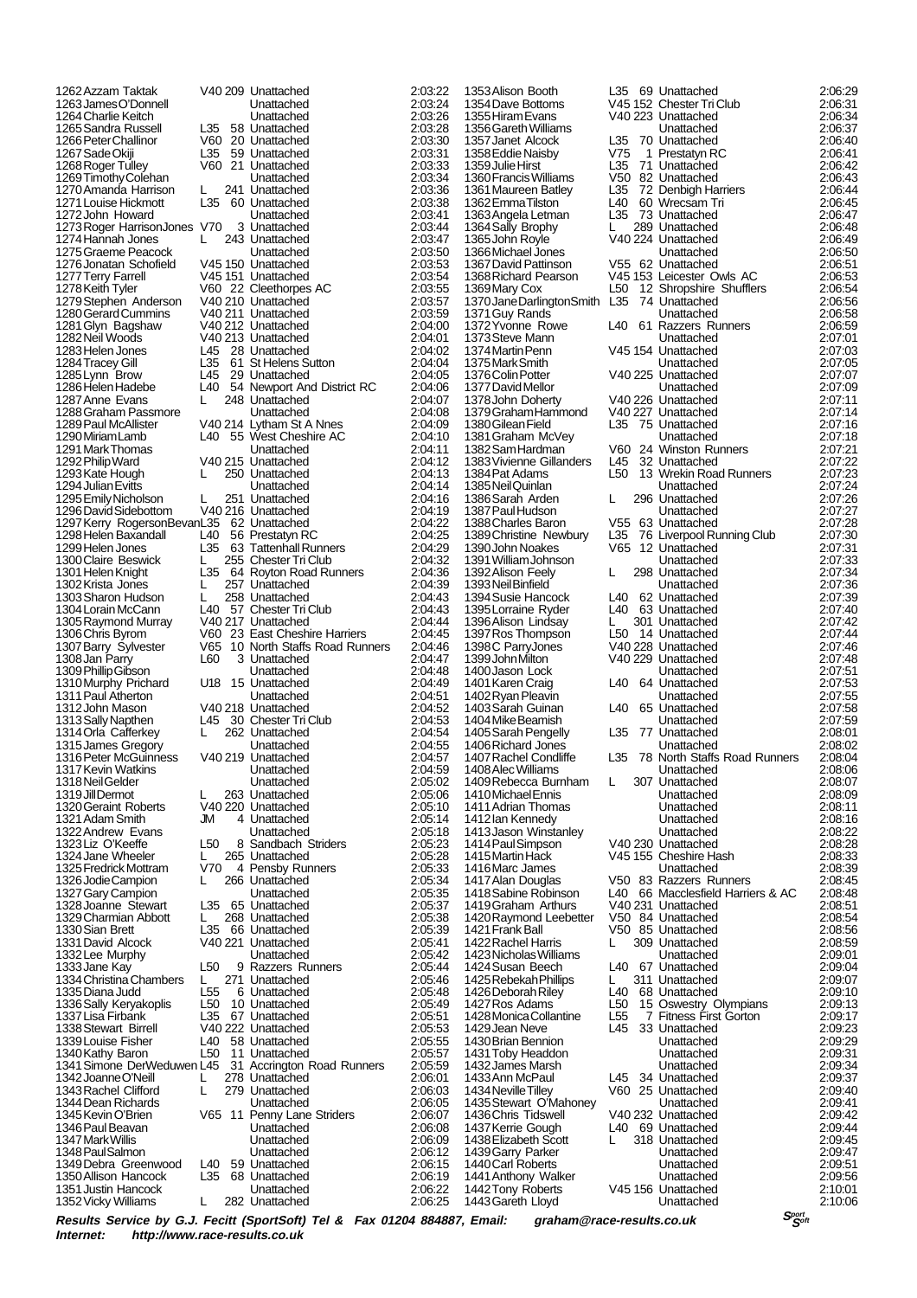1293Kate Hough L 250 Unattached 2:04:13 1326 Jodie Campion 1347 Mark Willis Unattached<br>1348 Paul Salmon Linattached 1352 Vicky Williams

1262Azzam Taktak V40 209 Unattached 2:03:22 1263James O'Donnell Unattached 2:03:24 1264Charlie Keitch Unattached 2:03:26 1265 1265 L35 58 Unattached 2:03:28<br>1260 20 Unattached 2:03:30 1266Peter Challinor V60 20 Unattached 2:03:30 1260 20 Unattached 2:03:30<br>
1267 59 Unattached 2:03:31<br>
1260 21 Unattached 2:03:33 1268Roger Tulley V60 21 Unattached 2:03:33 1269 Timothy Colehan Unattached 2:03:34<br>1270 Amanda Harrison L 241 Unattached 2:03:36 1270Amanda Harrison L 241 Unattached 2:03:36 1271Louise Hickmott L35 60 Unattached 2:03:38 1272John Howard Unattached 2:03:41 1273Roger HarrisonJones V70 3 Unattached 2:03:44 12763:47 L 243 Unattached 2:03:47<br>Unattached 2:03:50 1275 Graeme Peacock **Call Lucker Unattached** 2:03:50<br>1276 Jonatan Schofield V45 150 Unattached 2:03:53 1276Jonatan Schofield V45 150 Unattached 2:03:53 1277Terry Farrell V45 151 Unattached 2:03:54<br>1278 Keith Tyler V60 22 Cleethorpes AC 2:03:55 1278Keith Tyler V60 22 Cleethorpes AC 2:03:55 1279Stephen Anderson V40 210 Unattached 2:03:57 1280Gerard Cummins V40 211 Unattached 2:03:59 1281Glyn Bagshaw V40 212 Unattached 2:04:00 1282Neil Woods V40 213 Unattached 2:04:01 1283 Helen Jones 1283 Let 1283 Helen Jones 1283 Let 1283 Helen Jones 2:04:02<br>1284 Tracey Gill 1285 61 St Helens Sutton 2:04:04 12841 L35 61 St Helens Sutton 2:04:04<br>145 29 Unattached 2:04:05 1285Lynn Brow L45 29 Unattached 2:04:05<br>1286 Helen Hadebe L40 54 Newport And District RC 2:04:06 1286 L40 54 Newport And District RC 2:04:06<br>L 248 Unattached 2:04:07 1287Anne Evans L 248 Unattached 2:04:07 1288 Graham Passmore 1988 Unattached 1288 Graham Passmore 1988<br>1289 Paul McAllister 1988 V40 214 Lytham St A Nnes 2:04:09 1289Paul McAllister V40 214 Lytham St A Nnes 2:04:09 1290 Miriam Lamb L40 55 West Cheshire AC 2:04:10<br>1291 Mark Thomas Unattached 2:04:11 1291 Mark Thomas Unattached 2:04:11<br>1292 Philip Ward V40 215 Unattached 2:04:12 129215 Unattached 2:04:12<br>1292 L 250 Unattached 2:04:13<br>12-04:14 2:04:14 1294Julian Evitts Unattached 2:04:14 1295 Emily Nicholson L 251 Unattached 2:04:16<br>1296 David Sidebottom V40 216 Unattached 2:04:19 1296David Sidebottom V40 216 Unattached 2:04:19 1297Kerry RogersonBevanL35 62 Unattached 2:04:22 1298Helen Baxandall L40 56 Prestatyn RC 2:04:25 1299 63 Tattenhall Runners 2:04:29<br>1299 63 2:04:39 755 Chester Tri Club 1300 Claire Beswick L 255 Chester Tri Club 2:04:32<br>1301 Helen Knight L35 64 Rovton Road Runners 2:04:36 135 64 Royton Road Runners 2:04:36<br>1257 Unattached 2:04:39 1302 Krista Jones Land 2:57 Unattached 2:04:39<br>1303 Sharon Hudson Land 2:04:43 1303Sharon Hudson L 258 Unattached 2:04:43 1304Lorain McCann L40 57 Chester Tri Club 2:04:43 1305Raymond Murray V40 217 Unattached 2:04:44 1306Chris Byrom V60 23 East Cheshire Harriers 2:04:45<br>1307Barry Sylvester V65 10 North Staffs Road Runners 2:04:46 1307 V65 10 North Staffs Road Runners 2:04:46<br>160 3 Unattached 2:04:47 1308 Jan Parry Store L60 3 Unattached 2:04:47<br>1308 Jan Parry L60 3 Unattached 2:04:47<br>1309 Phillip Gibson Unattached 2:04:48 1309 Phillip Gibson 2007 Unattached 2:04:48<br>1310 Murphy Prichard U18 15 Unattached 2:04:49 1310 Murphy Prichard U18 15 Unattached 2:04:49<br>1311 Paul Atherton Unattached 2:04:51 1311Paul Atherton Unattached 2:04:51 V40 218 Unattached 2:04:52<br>145 30 Chester Tri Club 2:04:53 1313Sally Napthen L45 30 Chester Tri Club 2:04:53 1314 Orla Cafferkey L 262 Unattached 2:04:54<br>1315 James Gregory L 2:04:55 1315James Gregory Unattached 2:04:55 1316 Peter McGuinness V40 219 Unattached 2:04:57<br>1317 Kevin Watkins Brancher Unattached 2:04:59 1317Kevin Watkins Unattached 2:04:59 1318Neil Gelder Unattached 2:05:02 1319Jill Dermot L 263 Unattached 2:05:06 1320Geraint Roberts V40 220 Unattached 2:05:10 1321 Adam Smith JM 4 Unattached 2:05:14<br>
1322 Andrew Evans JM 4 Unattached 2:05:14<br>
1322 Andrew Evans Unattached 2:05:18 1322Andrew Evans Unattached 2:05:18 13265 8 Sandbach Striders 2:05:23<br>265 Unattached 2:05:28 1324Jane Wheeler L 265 Unattached 2:05:28 1325Fredrick Mottram V70 4 Pensby Runners 2:05:33 1327Gary Campion Unattached 2:05:35 1328Joanne Stewart L35 65 Unattached 2:05:37 1329Charmian Abbott L 268 Unattached 2:05:38 1330Sian Brett L35 66 Unattached 2:05:39 1331 David Alcock 1940 221 Unattached 2:05:41<br>1332 Lee Murphy 1332 Unattached 2:05:42 1332Lee Murphy Unattached 2:05:42 9 Razzers Runners 2:05:44<br>271 Unattached 2:05:46 1334 Christina Chambers L. 271 Unattached 2:05:46<br>1334 Christina Chambers L. 271 Unattached 2:05:46<br>1335 Diana Judd L55 6 Unattached 2:05:48 1335 Diana Judd L55 6 Unattached 2:05:48<br>1336 Sally Keryakoplis L50 10 Unattached 2:05:49 1336Sally Keryakoplis L50 10 Unattached 2:05:49 1337Lisa Firbank L35 67 Unattached 2:05:51 1338Stewart Birrell V40 222 Unattached 2:05:53 1339Louise Fisher L40 58 Unattached 2:05:55 1340 Kathy Baron L50 11 Unattached 2:05:57<br>1341 Simone DerWeduwen L45 31 Accrington Road Runners 2:05:59 11 Shemached<br>131 Accrington Road Runners 2:05:59<br>2:06:01 2:06:01 1342Joanne O'Neill L 278 Unattached 2:06:01<br>1343 Rachel Clifford L 279 Unattached 2:06:03 1343Rachel Clifford L 279 Unattached 2:06:03 1344 Dean Richards **1986 Library 1344 Dean Richards** 1345 Kevin O'Brien V65 11 Penny Lane Striders 2:06:07 13:06:07 Penny Lane Striders 2:06:07<br>1<br>2:06:08 2:06:08 1346Paul Beavan Unattached 2:06:08 1348Paul Salmon Unattached 2:06:12 1349Debra Greenwood L40 59 Unattached 2:06:15 1350Allison Hancock L35 68 Unattached 2:06:19 1351Justin Hancock Unattached 2:06:22

1378John Doherty V40 226 Unattached<br>1379GrahamHammond V40 227 Unattached 1443 Gareth Lloyd

1353 Alison Booth Late 69 Unattached 2:06:29<br>1354 Dave Bottoms V45 152 Chester Tri Club 2:06:31 1354Dave Bottoms V45 152 Chester Tri Club 2:06:31 V40 223 Unattached 2:06:34<br>Unattached 2:06:37 1356Gareth Williams Unattached 2:06:37 1357Janet Alcock L35 70 Unattached 2:06:40 1358Eddie Naisby V75 1 Prestatyn RC 2:06:41 1359 Julie Hirst Latinus Latinus Latinus Latinus Latinus Latinus Latinus Latinus Latinus Latinus Latinus Latin<br>1360 Francis Williams V50 82 Unattached 2:06:43 1360Francis Williams V50 82 Unattached 2:06:43 1361Maureen Batley L35 72 Denbigh Harriers 2:06:44 1362Emma Tilston L40 60 Wrecsam Tri 2:06:45 1363Angela Letman L35 73 Unattached 2:06:47 1364Sally Brophy L 289 Unattached 2:06:48 1365John Royle V40 224 Unattached 2:06:49 1366Michael Jones Unattached 2:06:50 1367David Pattinson vthe 6 Unattached 2:06:51<br>1368 Richard Pearson v45 153 Leicester Owls AC 2:06:53 V45 153 Leicester Owls AC 2:06:53<br>
L50 12 Shropshire Shufflers 2:06:54<br>
L35 74 Unattached 2:06:56 1369Mary Cox L50 12 Shropshire Shufflers 2:06:54 1370Jane DarlingtonSmith L35 74 Unattached 2:06:56 1371 Guy Rands **1988**<br>1372 Yvonne Rowe 140 61 Razzers Runners 2:06:58 1372Yvonne Rowe L40 61 Razzers Runners 2:06:59 1373Steve Mann Unattached 2:07:01 1374Martin Penn V45 154 Unattached 2:07:03 1375 Mark Smith Unattached 2:07:05<br>1376 Colin Potter 2:07:05 V40 225 Unattached 2:07:07 1376Colin Potter V40 225 Unattached 2:07:07 1377 David Mellor Unattached 2:07:09<br>1378 John Doherty V40 226 Unattached 2:07:11<br>1379 Graham Hammond V40 227 Unattached 2:07:14 1379 Graham Hammond V40 227 Unattached 2:07:14<br>1380 Gilean Field L35 75 Unattached 2:07:16 1380Gilean Field L35 75 Unattached 2:07:16 1381Graham McVey Unattached 2:07:18 1382 V60 24 Winston Runners 2:07:21<br>1382 Unattached 2:07:22 1383 Vivienne Gillanders L45 32 Unattached 2:07:22<br>1384 Pat Adams L50 13 Wrekin Road Runners 2:07:23<br>1385 Neil Quinlan Unattached 2:07:24 Wrekin Road Runners<br>LInattached 1385Neil Quinlan Unattached 2:07:24 1386 Sarah Arden L. 296 Unattached 2:07:26<br>1386 Sarah Arden L. 296 Unattached 2:07:26<br>1387 Paul Hudson Unattached 2:07:27 1387Paul Hudson Unattached 2:07:27 1388Charles Baron V55 63 Unattached 2:07:28 135 76 Liverpool Running Club 2:07:30<br>135 V65 12 Unattached 2:07:31 1390John Noakes V65 12 Unattached 2:07:31 1391William Johnson Unattached 2:07:33 1392 Alison Feely L 298 Unattached 2:07:34<br>1393 Neil Binfield Late Unattached 2:07:36 1393Neil Binfield **Carlos 12:07:36**<br>
1394 Susie Hancock L40 62 Unattached 2:07:39 1394 Susie Hancock L40 62 Unattached 2:07:39<br>1395 Lorraine Ryder L40 63 Unattached 2:07:39 1395Lorraine Ryder L40 63 Unattached 2:07:40 1396Alison Lindsay L 301 Unattached 2:07:42 1397Ros Thompson L50 14 Unattached 2:07:44 1398C ParryJones V40 228 Unattached 2:07:46 1399John Milton V40 229 Unattached 2:07:48<br>1400Jason Lock Unattached 2:07:51 1400 Jason Lock Contract Unattached 2:07:51<br>1401 Karen Craig L40 64 Unattached 2:07:53 1401Karen Craig L40 64 Unattached 2:07:53 1402Ryan Pleavin Unattached 2:07:55 1403Sarah Guinan L40 65 Unattached 2:07:58 1404Mike Beamish Unattached 2:07:59 1405 Sarah Pengelly L35 77 Unattached 2:08:01<br>1406 Richard Jones Unattached 2:08:02 1406Richard Jones Unattached 2:08:02 1.007. North Staffs Road Runners 2:08:04<br>1.08:06 2:08:06 1408 Alec Williams **Unattached** 2:08:06<br>1408 Rebecca Burnham L 307 Unattached 2:08:06 1409Rebecca Burnham L 307 Unattached 2:08:07 1410Michael Ennis Unattached 2:08:09 1411Adrian Thomas Unattached 2:08:11 1412Ian Kennedy Unattached 2:08:16 1413Jason Winstanley Unattached 2:08:22 141230 Unattached 2:08:28<br>145 155 Cheshire Hash 2:08:33 1415Martin Hack V45 155 Cheshire Hash 2:08:33 1416Marc James Unattached 2:08:39 V50 83 Razzers Runners 140 66 Macclesfield Harriers & AC 2:08:48<br>V40 231 Unattached 2:08:51 1419Graham Arthurs V40 231 Unattached 2:08:51 1420Raymond Leebetter V50 84 Unattached 2:08:54 1421 V50 85 Unattached 2:08:56<br>1 1421 12:08:59 Unattached 2:08:59 1422Rachel Harris L 309 Unattached 2:08:59 1423Nicholas Williams Unattached 2:09:01 1424Susan Beech L40 67 Unattached 2:09:04 1425Rebekah Phillips L 311 Unattached 2:09:07 1426 Deborah Riley L40 68 Unattached 2:09:10<br>1426 Deborah Riley L40 68 Unattached 2:09:10<br>1427 Ros Adams L50 15 Oswestry Olympians 2:09:13 1427Ros Adams L50 15 Oswestry Olympians 2:09:13 1428Monica Collantine L55 7 Fitness First Gorton 2:09:17 1429Jean Neve L45 33 Unattached 2:09:23 1430Brian Bennion Unattached 2:09:29 1431Toby Headdon Unattached 2:09:31 1432James Marsh Unattached 2:09:34 1433Ann McPaul L45 34 Unattached 2:09:37 1434 Neville Tilley V60 25 Unattached 2:09:40<br>1435 Stewart O'Mahoney Unattached 2:09:41 1435 Stewart O'Mahoney Unattached 2:09:41<br>1436 Chris Tidswell V40 232 Unattached 2:09:42 1436Chris Tidswell V40 232 Unattached 2:09:42 1437Kerrie Gough L40 69 Unattached 2:09:44 1438Elizabeth Scott L 318 Unattached 2:09:45 1439Garry Parker Unattached 2:09:47 1440Carl Roberts Unattached 2:09:51 1441Anthony Walker Unattached 2:09:56 145 156 Unattached 2:10:01<br>Unattached 2:10:06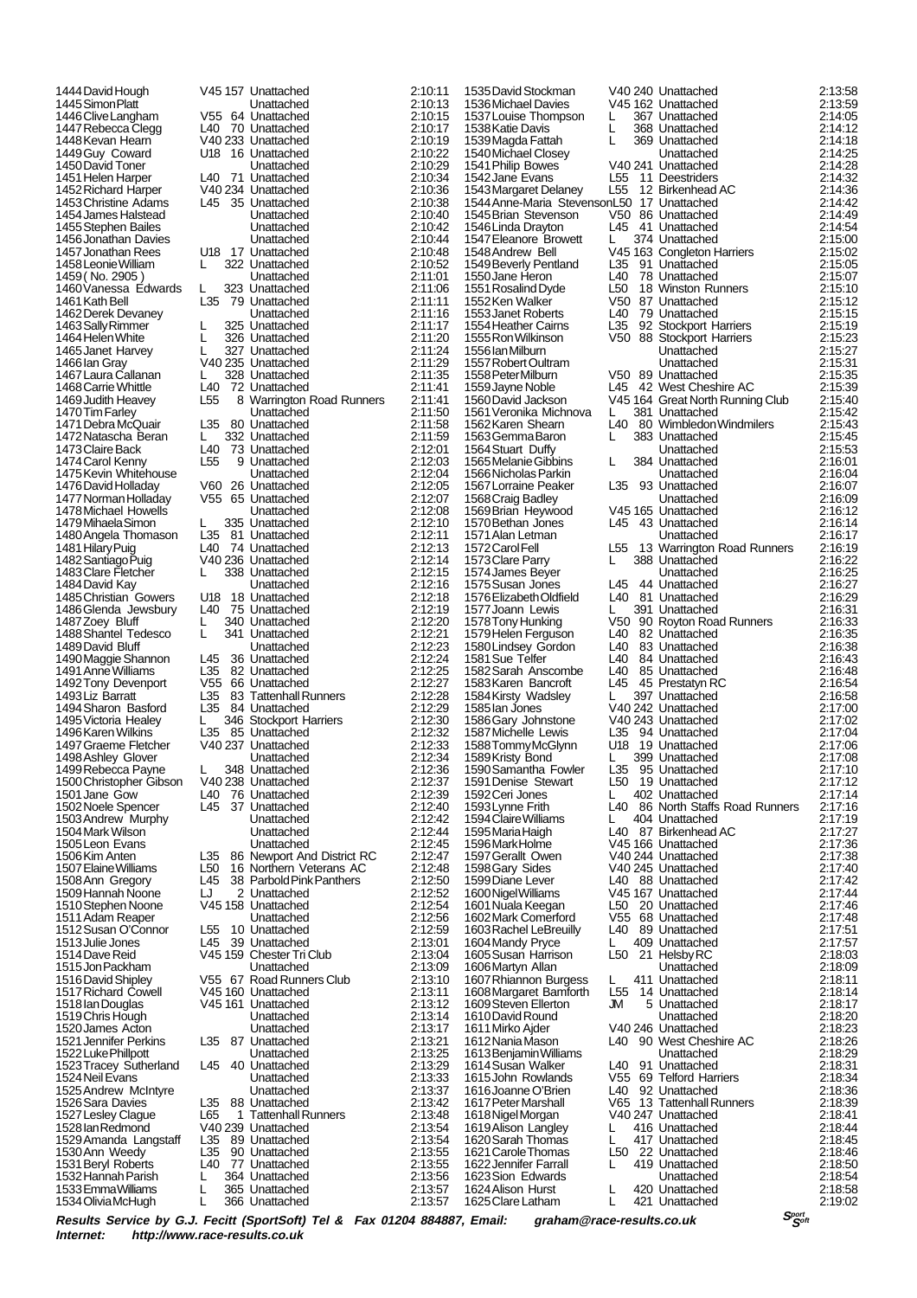1527 Lesley Clague L65 1 Tattenhall R<br>1528 Jan Redmond V40 239 Unattached 1533Emma Williams L 365 Unattached 2:13:57 1534 Olivia McHugh

1444David Hough V45 157 Unattached 2:10:11 1445Simon Platt Unattached 2:10:13 1446Clive Langham V55 64 Unattached 2:10:15 1447Rebecca Clegg L40 70 Unattached 2:10:17 140 233 Unattached 2:10:19<br>118 16 Unattached 2:10:22 1449Guy Coward U18 16 Unattached 2:10:22 1450David Toner Unattached 2:10:29 1451 Helen Harper Letter 12:10:34<br>
1452 Richard Harper V40 234 Unattached 2:10:36<br>
2:10:36 1452Richard Harper V40 234 Unattached 2:10:36 1453Christine Adams L45 35 Unattached 2:10:38 1454James Halstead Unattached 2:10:40 1455Stephen Bailes Unattached 2:10:42 1456Jonathan Davies Unattached 2:10:44 1457Jonathan Rees U18 17 Unattached 2:10:48 1458 Leonie William L 322 Unattached 2:10:52<br>1459 (No. 2905) Unattached 2:11:01 1459( No. 2905)<br>1460 Vanessa Edwards L 323 Unattached 2:11:01<br>1460 Vanessa Edwards L 323 Unattached 2:11:06 1460Vanessa Edwards L 323 Unattached 2:11:06 1461 Kath Bell **L35 79** Unattached 2:11:11<br>1462 Derek Devaney **Lattached** 2:11:16 1462Derek Devaney Unattached 2:11:16 1463 Sally Rimmer L 325 Unattached 2:11:17<br>1464 Helen White L 326 Unattached 2:11:20 1464 Helen White Lack 2:11:20<br>1465 Janet Harvey Lack 2:11:20<br>1465 Janet Harvey Lack 2:11:24 1465 Janet Harvey L 327 Unattached 2:11:24<br>1466 Janet Harvey L 327 Unattached 2:11:29<br>1466 Jan Gray V40 235 Unattached 2:11:29 1466Ian Gray V40 235 Unattached 2:11:29 1467Laura Callanan L 328 Unattached 2:11:35 1468Carrie Whittle L40 72 Unattached 2:11:41 1469Judith Heavey L55 8 Warrington Road Runners 2:11:41 1470Tim Farley Unattached 2:11:50 1471Debra McQuair L35 80 Unattached 2:11:58 1472Natascha Beran L 332 Unattached 2:11:59 1473Claire Back L40 73 Unattached 2:12:01 1474Carol Kenny L55 9 Unattached 2:12:03 1475Kevin Whitehouse Unattached 2:12:04 1476David Holladay V60 26 Unattached 2:12:05 1477 Norman Holladay V55 65 Unattached 2:12:07<br>1478 Michael Howells Unattached 2:12:08 1478Michael Howells Unattached 2:12:08 1479 Mihaela Simon Land 2:12:10<br>1480 Angela Thomason L35 81 Unattached 2:12:11 1480Angela Thomason L35 81 Unattached 2:12:11 1481Hilary Puig L40 74 Unattached 2:12:13 1482Santiago Puig V40 236 Unattached 2:12:14 1483Clare Fletcher L 338 Unattached 2:12:15 1484David Kay Unattached 2:12:16 1485Christian Gowers U18 18 Unattached 2:12:18 1486Glenda Jewsbury L40 75 Unattached 2:12:19 1487Zoey Bluff L 340 Unattached 2:12:20 1488Shantel Tedesco L 341 Unattached 2:12:21 1489David Bluff Unattached 2:12:23 1490Maggie Shannon L45 36 Unattached 2:12:24 1491Anne Williams L35 82 Unattached 2:12:25 1492Tony Devenport V55 66 Unattached 2:12:27 1493 Lattenhall Runners 2:12:28<br>135 84 Unattached 2:12:28 1494 Sharon Basford L35 84 Unattached 2:12:29<br>1495 Victoria Healey L 346 Stockport Harriers 2:12:30 1495 Victoria Herriers 2:12:30<br>1495 B5 Unattached 2:12:32<br>12:32 2:12:32 1496Karen Wilkins L35 85 Unattached 2:12:32 1497 Graeme Fletcher  $\frac{1497}{237}$  Unattached 2:12:33<br>1498 Ashley Glover Unattached 2:12:34 1498Ashley Glover Unattached 2:12:34 1499 Rebecca Payne L 348 Unattached 2:12:36<br>1500 Christopher Gibson V40 238 Unattached 2:12:37 1500Christopher Gibson V40 238 Unattached 2:12:37 140 76 Unattached 2:12:39<br>145 37 Unattached 2:12:40 1502Noele Spencer L45 37 Unattached 2:12:40 1503Andrew Murphy Unattached 2:12:42 1504 Mark Wilson **1504 Mark Wilson** Unattached 2:12:44<br>1505 Leon Evans **1505 Unattached** 2:12:45 1505Leon Evans Unattached 2:12:45 1506Kim Anten L35 86 Newport And District RC<br>1507 Elaine Williams L50 16 Northern Veterans AC 1507 Elaine Williams L50 16 Northern Veterans AC 2:12:48<br>1508 Ann Gregory L45 38 Parbold Pink Panthers 2:12:50 38 Parbold Pink Panthers 1509Hannah Noone LJ 2 Unattached 2:12:52 1510 Stephen Noone V45 158 Unattached 2:12:54<br>1511 Adam Reaper Unattached 2:12:56 1511Adam Reaper Unattached 2:12:56 1512Susan O'Connor L55 10 Unattached 2:12:59 1513Julie Jones L45 39 Unattached 2:13:01 1514Dave Reid V45 159 Chester Tri Club 2:13:04 1515Jon Packham Unattached 2:13:09 1516David Shipley V55 67 Road Runners Club 2:13:10 1517 V45 160 Unattached 2:13:11<br>1517 V45 161 Unattached 2:13:12 1518Ian Douglas V45 161 Unattached 2:13:12 1519Chris Hough Unattached 2:13:14 1520James Acton Unattached 2:13:17 1521Jennifer Perkins L35 87 Unattached 2:13:21 1522 Luke Phillpott **Depart Unattached** 2:13:25<br>1523 Tracey Sutherland U.45 40 Unattached 2:13:29 1523Tracey Sutherland L45 40 Unattached 2:13:29 1524Neil Evans Unattached 2:13:33 1525Andrew McIntyre Unattached 2:13:37 1526 Sara Davies Latinum Latin 1526 Sara Davies Latin 1527<br>1527 Lesley Clague L65 1 Tattenhall Runners 2:13:48<br>1528 Jan Redmond V40 239 Unattached 2:13:54 1528Ian Redmond V40 239 Unattached 2:13:54 1529Amanda Langstaff L35 89 Unattached 2:13:54 1530Ann Weedy L35 90 Unattached 2:13:55 1531 Beryl Roberts L40 77 Unattached 2:13:55<br>1532 Hannah Parish L. 264 Unattached 2:13:56 1532Hannah Parish L 364 Unattached 2:13:56

1625 Clare Latham

1535David Stockman V40 240 Unattached 2:13:58 1536Michael Davies V45 162 Unattached 2:13:59 1537 Louise Thompson L 367 Unattached 2:14:05<br>1538 Katie Davis L 368 Unattached 2:14:12 1538 Unattached 2:14:12<br>1538 Unattached 2:14:18 1539Magda Fattah L 369 Unattached 2:14:18 1540Michael Closey Unattached 2:14:25 1541Philip Bowes V40 241 Unattached 2:14:28 1542Jane Evans L55 11 Deestriders 2:14:32 1543Margaret Delaney L55 12 Birkenhead AC 2:14:36 1544Anne-Maria StevensonL50 17 Unattached 2:14:42 1545Brian Stevenson V50 86 Unattached 2:14:49 1546Linda Drayton L45 41 Unattached 2:14:54 1547 Eleanore Browett L 374 Unattached 2:15:00<br>1548 Andrew Bell V45 163 Congleton Harriers 2:15:02 15:02 V45 163 Congleton Harriers 2:15:02<br>15.05 11 Unattached 2:15:05 1549Beverly Pentland L35 91 Unattached 2:15:05 1550 Jane Heron L40 78 Unattached 2:15:07<br>1550 Jane Heron L40 78 Unattached 2:15:07<br>1551 Rosalind Dyde L50 18 Winston Runners 2:15:10 1551Rosalind Dyde L50 18 Winston Runners 2:15:10 1552Ken Walker V50 87 Unattached 2:15:12 1553 Janet Roberts Latin 79 Unattached 2:15:15<br>1554 Heather Cairns L35 92 Stockport Harriers 2:15:19 1554Heather Cairns L35 92 Stockport Harriers 2:15:19 1555Ron Wilkinson V50 88 Stockport Harriers 2:15:23 1556 Ian Milburn Unattached 2:15:27<br>1556 Ian Milburn Unattached 2:15:27<br>1557 Robert Oultram Unattached 2:15:31 1557Robert Oultram Unattached 2:15:31 1558Peter Milburn V50 89 Unattached 2:15:35 1559Jayne Noble L45 42 West Cheshire AC 2:15:39 V45 164 Great North Running Club 2:15:40<br>L 381 Unattached 2:15:42 1561 Veronika Michnova L 381 Unattached 2:15:42<br>1561 Veronika Michnova L 381 Unattached 2:15:42<br>1562 Karen Sheam L40 80 Wimbledon Windmilers 2:15:43 140 80 Wimbledon Windmilers 2:15:43<br>15:43 L 383 Unattached 2:15:45 1563Gemma Baron L 383 Unattached 2:15:45 1564Stuart Duffy Unattached 2:15:53 1565Melanie Gibbins L 384 Unattached 2:16:01 1566Nicholas Parkin Unattached 2:16:04 1567Lorraine Peaker L35 93 Unattached 2:16:07 1568 Craig Badley **1568** Craig Badley 1568 Craig Badley 16.09<br>1569 Brian Heywood 1569 Unattached 2:16:12 1569Brian Heywood V45 165 Unattached 2:16:12 1570Bethan Jones L45 43 Unattached 2:16:14 1571Alan Letman Unattached 2:16:17 13 Warrington Road Runners 2:16:19<br>25:19 2:16:22 Pass Unattached 1572CarolFell L55 13 Warrington Road Runners 2:16:19<br>1573Clare Parry L 388 Unattached 2:16:22<br>1574James Bever Unattached 2:16:25 1574James Beyer **168 Exercía de La Contact de la Contact de la Contact de La Contact de La Contact de La Conta**<br>1575 Susan Jones 145 44 Unattached 2:16:27 1575 Susan Jones Letter Later Later Later 2:16:27<br>1575 Susan Jones Letter Later 2:16:27<br>1576 Elizabeth Oldfield L40 81 Unattached 2:16:29 1576Elizabeth Oldfield L40 81 Unattached 2:16:29 1577Joann Lewis L 391 Unattached 2:16:31 1578 V50 90 Royton Road Runners 2:16:33<br>T40 82 Unattached 2:16:35 1579Helen Ferguson L40 82 Unattached 2:16:35 1580 Lindsey Gordon L40 83 Unattached 2:16:38<br>1581 Sue Telfer L40 84 Unattached 2:16:43 1581Sue Telfer L40 84 Unattached 2:16:43 1582Sarah Anscombe L40 85 Unattached 2:16:48 1583Karen Bancroft L45 45 Prestatyn RC 2:16:54 1584Kirsty Wadsley L 397 Unattached 2:16:58 1585Ian Jones V40 242 Unattached 2:17:00 1586Gary Johnstone V40 243 Unattached 2:17:02 1587Michelle Lewis L35 94 Unattached 2:17:04 1588Tommy McGlynn U18 19 Unattached 2:17:06 1589 Kristy Bond L 399 Unattached 2:17:08<br>1590 Samantha Fowler L35 95 Unattached 2:17:10 1590Samantha Fowler L35 95 Unattached 2:17:10 1591Denise Stewart L50 19 Unattached 2:17:12 1592 Ceri Jones L 402 Unattached 2:17:14<br>1593 I vnne Frith L 40 86 North Staffs Road Runners 2:17:16 1593 86 North Staffs Road Runners<br>15:17:16 404 Unattached<br>2:17:19 1593 Lynne Frith L40 86 North Staffs Road Runners 2:17:16<br>1594 Claire Williams L 404 Unattached 2:17:19<br>1595 Maria Haigh L40 87 Birkenhead AC 2:17:27 1595Maria Haigh L40 87 Birkenhead AC 2:17:27 1596Mark Holme V45 166 Unattached 2:17:36 1597Gerallt Owen V40 244 Unattached 2:17:38 1598Gary Sides V40 245 Unattached 2:17:40 1990 Lever Lever Lever Lever 2:17:42<br>1599 V45 167 Unattached 2:17:44<br>150 20 Unattached 2:17:46 1600Nigel Williams V45 167 Unattached 2:17:44 1601Nuala Keegan L50 20 Unattached 2:17:46 1602 Mark Comerford V55 68 Unattached 2:17:48<br>1603 Rachel LeBreuilly L40 89 Unattached 2:17:51 1603Rachel LeBreuilly L40 89 Unattached 2:17:51 1604Mandy Pryce L 409 Unattached 2:17:57 1605Susan Harrison L50 21 Helsby RC 2:18:03 1606Martyn Allan Unattached 2:18:09 1607Rhiannon Burgess L 411 Unattached 2:18:11 1608 Margaret Bamforth L55 14 Unattached 2:18:14<br>1608 Margaret Bamforth L55 14 Unattached 2:18:14<br>1609 Steven Ellerton JM 5 Unattached 2:18:17 1609 Steven Ellerton JM 5 Unattached 2:18:17<br>1610 David Round Unattached 2:18:20 1610David Round Unattached 2:18:20 1611Mirko Ajder V40 246 Unattached 2:18:23 140 90 West Cheshire AC 2:18:26<br>16:29 Linattached 2:18:29 1613Benjamin Williams Unattached 2:18:29 1614Susan Walker L40 91 Unattached 2:18:31 1615John Rowlands V55 69 Telford Harriers 2:18:34 1616Joanne O'Brien L40 92 Unattached 2:18:36<br>1616Joanne O'Brien L40 92 Unattached 2:18:36<br>1617 Peter Marshall V65 13 Tattenhall Runners 2:18:39 1617 Peter Marshall 165 13 Tattenhall Runners 2:18:39<br>1618 Nigel Morgan 1618 Nigel Norgan 1618 Nigel Norgan 1619 Alison J angley 1 1619 Alison 17:18:44 V40 247 Unattached<br>L. 416 Unattached 1619Alison Langley L 416 Unattached 2:18:44 1620Sarah Thomas L 417 Unattached 2:18:45 1621Carole Thomas L50 22 Unattached 2:18:46 1622 Jennifer Farrall L 419 Unattached 2:18:50<br>1623 Sion Edwards L 419 Unattached 2:18:50 1623Sion Edwards Unattached 2:18:54 1624Alison Hurst L 420 Unattached 2:18:58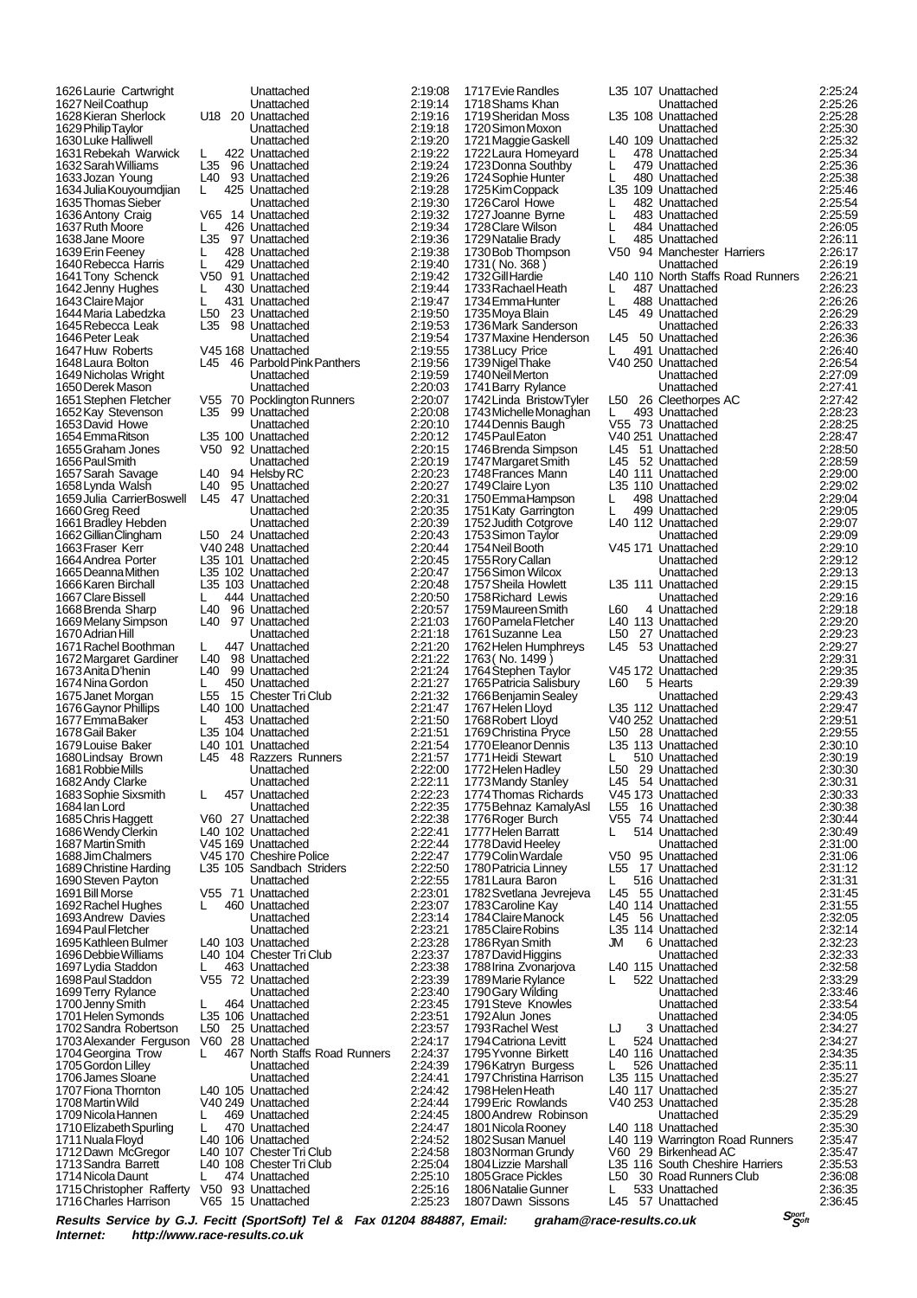1630 Luke Halliwell Unattached<br>1631 Rebekab Warwick Luis 422 Linattached 1683 Sophie Sixsmith L 457 Unattached<br>1684 Ian Lord Linattached 1690 Steven Payton<br>1691 Bill Morse V55 71 1715Christopher Rafferty V50 93 Unattached 2:25:16<br>1716Charles Harrison V65 15 Unattached 2:25:23 1716 Charles Harrison

1626 Laurie Cartwright **1626** Unattached 2:19:08<br>1627 Neil Coathup **1627 Neil Coathup 1627 Neil Coathup** 1627Neil Coathup Unattached 2:19:14 1628Kieran Sherlock U18 20 Unattached 2:19:16 1629 Philip Taylor **Carlo Unattached** 2:19:18<br>1630 Luke Halliwell **1630 Luke Halliwell** 2:19:20<br>1631 Rebekah Warwick L 422 Unattached 2:19:22 1631Rebekah Warwick L 422 Unattached 2:19:22 1632Sarah Williams L35 96 Unattached 2:19:24 1633Jozan Young L40 93 Unattached 2:19:26 1634Julia Kouyoumdjian L 425 Unattached 2:19:28 1635Thomas Sieber **1635Thomas Sieber** Unattached 2:19:30<br>1636Antony Craig 165 14 Unattached 2:19:32 1636Antony Craig V65 14 Unattached 2:19:32 1637Ruth Moore L 426 Unattached 2:19:34 1638Jane Moore L35 97 Unattached 2:19:36 1639 Unattached 2:19:38<br>1639 Unattached 2:19:40 1640 Rebecca Harris L 429 Unattached 2:19:40<br>1641 Tony Schenck V50 91 Unattached 2:19:42 1641 Tony Schenck V50 91 Unattached 2:19:42<br>1642 Jenny Hughes L 430 Unattached 2:19:44 1642Jenny Hughes L 430 Unattached 2:19:44 16431 Unattached 2:19:47<br>1642 L50 23 Unattached 2:19:50 1644Maria Labedzka L50 23 Unattached 2:19:50 1645 Rebecca Leak L35 98 Unattached 2:19:53<br>1646 Peter Leak Block Unattached 2:19:54 1646Peter Leak Unattached 2:19:54 1647Huw Roberts V45 168 Unattached 2:19:55<br>1648Laura Bolton L45 46 Parbold Pink Panthers 2:19:56 Parbold Pink Panthers 2:19:56<br>Unattached 2:19:59 1649Nicholas Wright Unattached 2:19:59 1650 Derek Mason Chromattached 2:20:03<br>1651 Stephen Fletcher V55 70 Pocklington Runners 2:20:07 1651Stephen Fletcher V55 70 Pocklington Runners 2:20:07 1652Kay Stevenson L35 99 Unattached 2:20:08 1653David Howe Unattached 2:20:10 1654Emma Ritson L35 100 Unattached 2:20:12 1655Graham Jones V50 92 Unattached 2:20:15 1656 Paul Smith Unattached 2:20:19<br>1657 Sarah Savage 140 94 Helsby RC 2:20:23<br>1658 I wida Walsh 140 95 Unattached 2:20:27 1657Sarah Savage L40 94 Helsby RC 2:20:23 1658Lynda Walsh L40 95 Unattached 2:20:27 1659 Julia CarrierBoswell L45 47 Unattached 2:20:31<br>1660 Greg Reed Unattached 2:20:35 1660Greg Reed Unattached 2:20:35 1661Bradley Hebden Unattached 2:20:39 1662 Gillian Clingham L50 24 Unattached 2:20:43<br>1663 Fraser Kerr V40 248 Unattached 2:20:44<br>1664 Andrea Porter L35 101 Unattached 2:20:45 1663Fraser Kerr V40 248 Unattached 2:20:44 1664Andrea Porter L35 101 Unattached 2:20:45 1665Deanna Mithen L35 102 Unattached 2:20:47 1666Karen Birchall L35 103 Unattached 2:20:48 erved a Vietnam 1667 Clare Bissell de 444 Unattached 2:20:50<br>1668 Brenda Sharp 1660 L40 96 Unattached 2:20:57 1668Brenda Sharp L40 96 Unattached 2:20:57 1669Melany Simpson L40 97 Unattached 2:21:03 1670Adrian Hill Unattached 2:21:18 1671 Rachel Boothman L 447 Unattached 2:21:20<br>1672 Margaret Gardiner L40 98 Unattached 2:21:22 1672Margaret Gardiner L40 98 Unattached 2:21:22 1673Anita D'henin L40 99 Unattached 2:21:24 1674 Nina Gordon L 450 Unattached 2:21:27<br>1675 Janet Morgan L55 15 Chester Tri Club 2:21:32 1575 15 Chester Tri Club 2:21:32<br>140 100 Unattached 2:21:47 1676Gaynor Phillips L40 100 Unattached 2:21:47 1677Emma Baker L 453 Unattached 2:21:50 1678 L35 104 Unattached 2:21:51<br>1678 L40 101 Unattached 2:21:54 1679Louise Baker L40 101 Unattached 2:21:54 1680Lindsay Brown L45 48 Razzers Runners 2:21:57 1681Robbie Mills Unattached 2:22:00 1682Andy Clarke Unattached 2:22:11 1684Ian Lord Unattached 2:22:35 1685Chris Haggett V60 27 Unattached 2:22:38 1686 Wendy Clerkin L40 102 Unattached 2:22:41<br>1687 Martin Smith V45 169 Unattached 2:22:44 1687Martin Smith V45 169 Unattached 2:22:44 V45 170 Cheshire Police 2:22:47<br>1688 105 Sandbach Striders 2:22:50 1689Christine Harding L35 105 Sandbach Striders 2:22:50 1691Bill Morse V55 71 Unattached 2:23:01 1692Rachel Hughes L 460 Unattached 2:23:07 1693Andrew Davies Unattached 2:23:14 1694Paul Fletcher Unattached 2:23:21 1695Kathleen Bulmer L40 103 Unattached 2:23:28 140 104 Chester Tri Club 2:23:37<br>1696 L 463 Unattached 2:23:38 1697Lydia Staddon L 463 Unattached 2:23:38 1698Paul Staddon V55 72 Unattached 2:23:39 1699 Terry Rylance Unattached 2:23:40<br>1700 Jenny Smith L 464 Unattached 2:23:45 1700 Jenny Smith L 464 Unattached 2:23:45<br>1701 Helen Symonds L35 106 Unattached 2:23:51 1701 L35 106 Unattached 2:23:51<br>1701 L50 25 Unattached 2:23:57 1702Sandra Robertson L50 25 Unattached 2:23:57 1703Alexander Ferguson V60 28 Unattached 2:24:17 1704Georgina Trow L 467 North Staffs Road Runners 2:24:37 1705 Gordon Lilley 2:24:39<br>1705 Gordon Lilley Unattached 2:24:39<br>1706 James Sloane Unattached 2:24:41 1706James Sloane Unattached 2:24:41 1707 Fiona Thomton L40 105 Unattached 2:24:42<br>1707 Fiona Thomton L40 105 Unattached 2:24:44 1708 249 Unattached 2:24:44<br>1708 2:24:44<br>2:24:45 Unattached 2:24:45 1709Nicola Hannen Luis 469 Unattached 2:24:45<br>1710 Flizabeth Spurling Luis 470 Unattached 2:24:47 1710Elizabeth Spurling L 470 Unattached 2:24:47 140 106 Unattached 2:24:52<br>140 107 Chester Tri Club 2:24:58 1712Dawn McGregor L40 107 Chester Tri Club 2:24:58 1713 Sandra Barrett L40 108 Chester Tri Club<br>1713 Sandra Barrett L40 108 Chester Tri Club<br>1714 Nicola Daunt Ludwig L474 Unattached 2:25:10 1714 Nicola Daunt L 474 Unattached 2:25:10<br>1715 Christopher Rafferty V50 93 Unattached 2:25:16

1717 Evie Randles L3 1718Shams Khan<br>1719Sheridan Moss: 2:25 1719 Sheridan Moss 1720 Simon Moxon<br>1721 Maggie Gaskell L4 1723 Donna Southby L<br>1723 Donna Southby L<br>1724 Sophie Hunter L 1724 Sophie Hunter L<br>1725 Kim Coppack L3 1725 Kim Coppack L<br>1726 Carol Howe L 1726 Carol Howe L<br>1727 Joanne Byrne L 1729 Natalie Brady L<br>1730 Bob Thompson V5 1730 Bob Thompson 1731 ( No. 368 )<br>1731 ( No. 368 ) Unattached 2:26:11<br>1732 Gill Hardie Units 1732 Gill Hardie Land Blue<br>1733 Rachael Heath L 1733 Rachael Heath L<br>1734 Emma Hunter Lu 1734 Emma Hunter L<br>1735 Mova Blain Lua 1735 Mova Blain 1736 Mark Sanderson<br>1737 Maxine Henderson U4 1737 Maxine Henderson 1738 Lucy Price Late 2:36:40<br>1738 Lucy Price Late Late 2:40<br>1739 Nigel Thake V4 1739 Nigel Thake 1740 Neil Merton 1741 Barry Rylance<br>1742 Linda Bristow Tyler L5 11144 Dennis Baugh V5<br>1744 Dennis Baugh V5<br>1745 Paul Faton V4 1745 Paul Eaton <sup>V4</sup><br>1746 Brenda Simpson L4 1746 Brenda Simpson L4<br>1747 Margaret Smith L4 1747 Margaret Smith L4<br>1748 Frances Mann L4<br>1749 Claire Lyon L3 1748 Frances Mann 1749 Claire Lyon Li<br>1749 Claire Lyon Li<br>1750 Emma Hampson L 1749 Stalle Byen<br>1750 Emma Hampson L<br>1751 Katy Garrington L 1753 Simon Taylor<br>1754 Neil Booth V4 1754 Neil Booth 1755 Rory Callan 1756 Simon Wilcox<br>1756 Simon Wilcox<br>1757 Sheila Howlett L3! 1757 Sheila Howlett 1758 Richard Lewis<br>1759 Maureen Smith L6 1759 Maureen Smith L6<br>1760 Pamela Fletcher L4 1760 Pamela Fletcher L4<br>1761 Suzanne Lea L5 1761 Suzanne Lea L5<br>1762 Helen Humphreys L4 1762 Helen Humphreys 1765 Patricia Salisbury L6 1766Benjamin Sealey Unattached 2:29:43 1767 Helen Lloyd L3:<br>1768 Robert Lloyd V4 1768 Robert Lloyd V4<br>1769 Christina Pryce U.5 1769 Christina Pryce L5<br>1770 Eleanor Dennis L3 1770 Eleanor Dennis 1771 Heidi Stewart Luis<br>1771 Heidi Stewart LL<br>1772 Helen Hadlev L5 1772 Helen Hadley L5<br>1773 Mandy Stanley L6 1773 Mandy Stanley L4<br>1774 Thomas Richards V4 1774Thomas Richards V4<br>1775 Behnaz KamalyAsl L5<br>1776 Roger Burch V5 1775 Behnaz KamalyAsl 1776 Roger Burch Views<br>1776 Roger Burch Views<br>1777 Helen Barratt L 1777 Helen Barratt 1778David Heeley Unattached 2:31:00 1779Colin Wardale V50 95 Unattached 2:31:06 1780 Patricia Linney<br>1781 Laura Baron L 1781 Laura Baron 1784 Claire Manock L4<br>1785 Claire Robins L3 1785 Claire Robins L3<br>1786 Ryan Smith JIV 1786 Ryan Smith 1787 David Higgins<br>1788 Irina Zvonarjova L4 1788 Irina Zvonarjova 1789 Marie Rylance L 1790 Gary Wilding 1791 Steve Knowles 1792 Alun Jones<br>1793 Rachel West LJ 1793 Rachel West 1794 Catriona Levitt L<br>1795 Yvonne Birkett L4 1795 Yvonne Birkett L<br>1796 Katryn Burgess L 1796 Katryn Burgess L<br>1797 Christina Harrison L3 1797 Christina Harrison L3<br>1798 Helen Heath L4 1798 Helen Heath<br>1798 Helen Heath L4<br>1799 Eric Rowlands V4 1799 Eric Rowlands 1800 Andrew Robinson<br>1801 Nicola Roopey UA 1801 Nicola Rooney Land<br>1802 Susan Manuel Land 1802Susan Manuel L40 119 Warrington Road Runners 2:35:47 1803 Norman Grundy 1804 Lizzie Marshall L3<br>1804 Lizzie Marshall L3<br>1805 Grace Pickles 15 1805 Grace Pickles 1806 Natalie Gunner L<br>1807 Dawn Sissons L4 1807 Dawn Sissons

| 1717 Evie Randles                   |                 | L35 107 Unattached                | 2:25:24 |
|-------------------------------------|-----------------|-----------------------------------|---------|
| 1718 Shams Khan                     |                 | Unattached                        | 2:25:26 |
| 1719 Sheridan Moss                  |                 | L35 108 Unattached                | 2:25:28 |
| 1720 Simon Moxon                    |                 | Unattached                        | 2:25:30 |
| 1721 Maggie Gaskell                 |                 | L40 109 Unattached                | 2:25:32 |
| 1722 Laura Homeyard                 | L               | 478 Unattached                    | 2:25:34 |
| 1723 Donna Southby                  | L               | 479 Unattached                    | 2:25:36 |
|                                     |                 |                                   |         |
| 1724 Sophie Hunter                  | L               | 480 Unattached                    | 2:25:38 |
| 1725 Kim Coppack                    |                 | L35 109 Unattached                | 2:25:46 |
| 1726 Carol Howe                     | L               | 482 Unattached                    | 2:25:54 |
| 1727 Joanne Byrne                   | L               | 483 Unattached                    | 2:25:59 |
| 1728 Clare Wilson                   | L               | 484 Unattached                    | 2:26:05 |
|                                     |                 |                                   |         |
| 1729 Natalie Brady                  | L               | 485 Unattached                    | 2:26:11 |
| 1730 Bob Thompson                   |                 | V50 94 Manchester Harriers        | 2:26:17 |
| 1731 (No. 368)                      |                 | Unattached                        | 2:26:19 |
| 1732 Gill Hardie                    |                 | L40 110 North Staffs Road Runners | 2:26:21 |
| 1733 Rachael Heath                  | L               | 487 Unattached                    | 2:26:23 |
|                                     | L               |                                   |         |
| 1734 Emma Hunter                    |                 | 488 Unattached                    | 2:26:26 |
| 1735 Moya Blain                     | L45             | 49 Unattached                     | 2:26:29 |
| 1736 Mark Sanderson                 |                 | Unattached                        | 2:26:33 |
| 1737 Maxine Henderson               |                 | L45 50 Unattached                 | 2:26:36 |
| 1738 Lucy Price                     | L.              | 491 Unattached                    | 2:26:40 |
| 1739 Nigél Thake                    |                 | V40 250 Unattached                | 2:26:54 |
|                                     |                 |                                   |         |
| 1740 Neil Merton                    |                 | Unattached                        | 2:27:09 |
| 1741 Barry Rylance                  |                 | Unattached                        | 2:27:41 |
| 1742 Linda BristowTyler             |                 | L50 26 Cleethorpes AC             | 2:27:42 |
| 1743 Michelle Monaghan              | L.              | 493 Unattached                    | 2:28:23 |
| 1744 Dennis Baugh                   |                 | V55 73 Unattached                 | 2:28:25 |
| 1745 Paul Eaton                     |                 | V40 251 Unattached                | 2:28:47 |
|                                     |                 |                                   |         |
| 1746 Brenda Simpson                 |                 | L45 51 Unattached                 | 2:28:50 |
| 1747 Margaret Smith                 | L45             | 52 Unattached                     | 2:28:59 |
| 1748 Frances Mann                   |                 | L40 111 Unattached                | 2:29:00 |
| 1749 Claire Lyon                    |                 | L35 110 Unattached                | 2:29:02 |
| 1750 Emma Hampson                   | L               | 498 Unattached                    | 2:29:04 |
|                                     |                 |                                   |         |
| 1751 Katy Garrington                | L.              | 499 Unattached                    | 2:29:05 |
| 1752 Judith Cotgrove                |                 | L40 112 Unattached                | 2:29:07 |
| 1753 Simon Taylor                   |                 | Unattached                        | 2:29:09 |
| 1754 Neil Booth                     |                 | V45 171 Unattached                | 2:29:10 |
| 1755 Rory Callan                    |                 | Unattached                        | 2:29:12 |
| 1756 Simon Wilcox                   |                 | Unattached                        | 2:29:13 |
|                                     |                 |                                   |         |
| 1757 Sheila Howlett                 |                 | L35 111 Unattached                | 2:29:15 |
| 1758 Richard Lewis                  |                 | Unattached                        | 2:29:16 |
| 1759 Maureen Smith                  | L60             | 4 Unattached                      | 2:29:18 |
| 1760 Pamela Fletcher                |                 | L40 113 Unattached                | 2:29:20 |
| 1761 Suzanne Lea                    | L <sub>50</sub> | 27 Unattached                     | 2:29:23 |
|                                     | L45             | 53 Unattached                     | 2:29:27 |
| 1762 Helen Humphreys                |                 |                                   |         |
| 1763 (No. 1499 )                    |                 | Unattached                        | 2:29:31 |
| 1764 Stephen Taylor                 |                 | V45 172 Unattached                | 2:29:35 |
| 1765 Patricia Salisbury             | L60             | 5 Hearts                          | 2:29:39 |
| 1766 Benjamin Sealey                |                 | Unattached                        | 2:29:43 |
| 1767 Helen Lloyd                    |                 | L35 112 Unattached                |         |
|                                     |                 |                                   | 2:29:47 |
| 1768 Robert Lloyd                   |                 | V40 252 Unattached                | 2:29:51 |
| 1769 Christina Pryce                |                 | L50 28 Unattached                 | 2:29:55 |
| 1770 Eleanor Dennis                 |                 | L35 113 Unattached                | 2:30:10 |
| 1771 Heidi Stewart                  | L.              | 510 Unattached                    | 2:30:19 |
| 1772 Helen Hadlev                   |                 | L50 29 Unattached                 | 2:30:30 |
|                                     |                 |                                   |         |
| 1773 Mandy Stanley                  | L45             | 54 Unattached                     | 2:30:31 |
| 1774 Thomas Richards                |                 | V45 173 Unattached                | 2:30:33 |
| 1775 Behnaz KamalyAsl               | L55             | 16 Unattached                     | 2:30:38 |
| 1776 Roger Burch                    |                 | V55 74 Unattached                 | 2:30:44 |
| 1777 Helen Barratt                  | L               | 514 Unattached                    | 2:30:49 |
| 1778 David Heeley                   |                 | Unattached                        | 2:31:00 |
|                                     |                 |                                   |         |
| 1779 Colin Wardale                  |                 | V50 95 Unattached                 | 2:31:06 |
| 1780 Patricia Linney                |                 | L55 17 Unattached                 | 2:31:12 |
| 1781 Laura Baron                    | L.              | 516 Unattached                    | 2:31:31 |
| 1782 Svetlana Jevrejeva             | L45             | 55 Unattached                     | 2:31:45 |
| 1783Caroline Kay                    |                 | L40 114 Unattached                | 2:31:55 |
| 1784 Claire Manock                  | L45             | 56 Unattached                     | 2:32:05 |
| 1785 Claire Robins                  |                 | L35 114 Unattached                | 2:32:14 |
|                                     |                 |                                   |         |
| 1786 Ryan Smith                     | JM              | 6 Unattached                      | 2:32:23 |
| 1787 David Higgins                  |                 | Unattached                        | 2:32:33 |
| 1788 Irina Zvonarjova               |                 | L40 115 Unattached                | 2:32:58 |
| 1789 Marie Rylance                  | L               | 522 Unattached                    | 2:33:29 |
| 1790 Gary Wilding                   |                 | Unattached                        | 2:33:46 |
|                                     |                 |                                   |         |
| 1791 Steve Knowles                  |                 | Unattached                        | 2:33:54 |
| 1792 Alun Jones                     |                 | Unattached                        | 2:34:05 |
| 1793 Rachel West                    | LJ              | 3 Unattached                      | 2:34:27 |
| 1794 Catriona Levitt                | L               | 524 Unattached                    | 2:34:27 |
| 1795 Yvonne Birkett                 |                 | L40 116 Unattached                | 2:34:35 |
| 1796 Katryn Burgess                 | L.              | 526 Unattached                    | 2:35:11 |
| 1797 Christina Harrison             |                 | L35 115 Unattached                | 2:35:27 |
|                                     |                 |                                   |         |
| 1798 Helen Heath                    |                 | L40 117 Unattached                | 2:35:27 |
| 1799 Eric Rowlands                  |                 | V40 253 Unattached                | 2:35:28 |
| 1800 Andrew Robinson                |                 | Unattached                        | 2.35.29 |
| 1801 Nicola Rooney                  |                 | L40 118 Unattached                | 2:35:30 |
| 1802 Susan Manuel                   |                 | L40 119 Warrington Road Runners   | 2:35:47 |
| 1803 Norman Grundy                  |                 | V60 29 Birkenhead AC              | 2:35:47 |
|                                     |                 |                                   |         |
| 1804 Lizzie Marshall                |                 | L35 116 South Cheshire Harriers   | 2:35:53 |
| 1805 Grace Pickles                  | L50             | 30 Road Runners Club              | 2:36:08 |
|                                     |                 |                                   |         |
| 1806 Natalie Gunner                 | L               | 533 Unattached                    | 2:36:35 |
| 1807Dawn Sissons                    | L45             | 57 Unattached                     | 2.36.45 |
| Email:<br>graham@race-results.co.uk |                 | Sport<br>Soft                     |         |